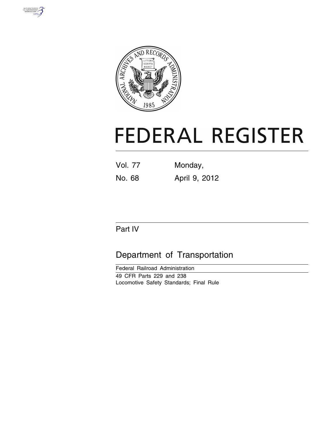



# **FEDERAL REGISTER**

Vol. 77 Monday, No. 68 April 9, 2012

# Part IV

# Department of Transportation

Federal Railroad Administration 49 CFR Parts 229 and 238 Locomotive Safety Standards; Final Rule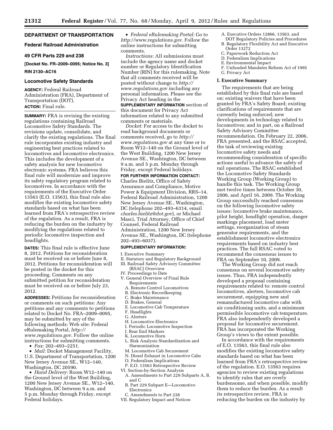# **DEPARTMENT OF TRANSPORTATION**

# **Federal Railroad Administration**

# **49 CFR Parts 229 and 238**

**[Docket No. FR–2009–0095; Notice No. 3] RIN 2130–AC16** 

#### **Locomotive Safety Standards**

**AGENCY:** Federal Railroad Administration (FRA), Department of Transportation (DOT). **ACTION:** Final rule.

**SUMMARY:** FRA is revising the existing regulations containing Railroad Locomotive Safety Standards. The revisions update, consolidate, and clarify the existing regulations. The final rule incorporates existing industry and engineering best practices related to locomotives and locomotive electronics. This includes the development of a safety analysis for new locomotive electronic systems. FRA believes this final rule will modernize and improve its safety regulatory program related to locomotives. In accordance with the requirements of the Executive Order 13563 (E.O. 13563), this final rule also modifies the existing locomotive safety standards based on what has been learned from FRA's retrospective review of the regulation. As a result, FRA is reducing the burden on the industry by modifying the regulations related to periodic locomotive inspection and headlights.

**DATES:** This final rule is effective June 8, 2012. Petitions for reconsideration must be received on or before June 8, 2012. Petitions for reconsideration will be posted in the docket for this proceeding. Comments on any submitted petition for reconsideration must be received on or before July 23, 2012.

**ADDRESSES:** Petitions for reconsideration or comments on such petitions: Any petitions and any comments to petitions related to Docket No. FRA–2009–0095, may be submitted by any of the following methods: Web site: Federal eRulemaking Portal, *[http://](http://www.regulations.gov) [www.regulations.gov.](http://www.regulations.gov)* Follow the online instructions for submitting comments.

• *Fax:* 202–493–2251.

• *Mail:* Docket Management Facility, U.S. Department of Transportation, 1200 New Jersey Avenue SE., W12–140, Washington, DC 20590.

• *Hand Delivery:* Room W12–140 on the Ground level of the West Building, 1200 New Jersey Avenue SE., W12–140, Washington, DC between 9 a.m. and 5 p.m. Monday through Friday, except Federal holidays.

• *Federal eRulemaking Portal:* Go to *[http://www.regulations.gov.](http://www.regulations.gov)* Follow the online instructions for submitting comments.

*Instructions:* All submissions must include the agency name and docket number or Regulatory Identification Number (RIN) for this rulemaking. Note that all comments received will be posted without change to *[http://](http://www.regulations.gov) [www.regulations.gov](http://www.regulations.gov)* including any personal information. Please see the Privacy Act heading in the

**SUPPLEMENTARY INFORMATION** section of this document for Privacy Act information related to any submitted comments or materials.

*Docket:* For access to the docket to read background documents or comments received, go to *[http://](http://www.regulations.gov)  [www.regulations.gov](http://www.regulations.gov)* at any time or to Room W12–140 on the Ground level of the West Building, 1200 New Jersey Avenue SE., Washington, DC between 9 a.m. and 5 p.m. Monday through Friday, except Federal holidays. **FOR FURTHER INFORMATION CONTACT:** 

Charles Bielitz, Office of Safety Assurance and Compliance, Motive Power & Equipment Division, RRS–14, Federal Railroad Administration, 1200 New Jersey Avenue SE., Washington, DC (telephone 202–493–6314, email *[charles.bielitz@dot.gov](mailto:charles.bielitz@dot.gov)*), or Michael Masci, Trial Attorney, Office of Chief Counsel, Federal Railroad Administration, 1200 New Jersey Avenue SE., Washington, DC (telephone 202–493–6037).

# **SUPPLEMENTARY INFORMATION:**

I. Executive Summary

- II. Statutory and Regulatory Background
- III. Railroad Safety Advisory Committee
- (RSAC) Overview
- IV. Proceedings to Date
- V. General Overview of Final Rule Requirements
	- A. Remote Control Locomotives
	- B. Electronic Recordkeeping
	- C. Brake Maintenance
	- D. Brakes, General
	- E. Locomotive Cab Temperature
	- F. Headlights
	- G. Alerters
	- H. Locomotive Electronics
	- I. Periodic Locomotive Inspection
	- J. Rear End Markers
	- K. Locomotive Horn
	- L. Risk Analysis Standardization and Harmonization
	- M. Locomotive Cab Securement
	- N. Diesel Exhaust in Locomotive Cabs
	- O. Federalism Implications
	- P. E.O. 13563 Retrospective Review
	-
- VI. Section-by-Section Analysis A. Amendments to Part 229 Subparts A, B, and C
	- B. Part 229 Subpart E—Locomotive Electronics
- C. Amendments to Part 238
- VII. Regulatory Impact and Notices
- A. Executive Orders 12866, 13563, and
- DOT Regulatory Policies and Procedures B. Regulatory Flexibility Act and Executive Order 13272
- C. Paperwork Reduction Act
- D. Federalism Implications
- E. Environmental Impact
- F. Unfunded Mandates Reform Act of 1995
- G. Privacy Act

# **I. Executive Summary**

The requirements that are being established by this final rule are based on: existing waivers that have been granted by FRA's Safety Board; existing clarifications of requirements that are currently being enforced; new developments in technology related to locomotives; and in part, on a Railroad Safety Advisory Committee recommendation. On February 22, 2006, FRA presented, and the RSAC accepted, the task of reviewing existing locomotive safety needs and recommending consideration of specific actions useful to advance the safety of rail operations. The RSAC established the Locomotive Safety Standards Working Group (Working Group) to handle this task. The Working Group met twelve times between October 30, 2006, and April 16, 2009. The Working Group successfully reached consensus on the following locomotive safety issues: locomotive brake maintenance, pilot height, headlight operation, danger markings placement, load meter settings, reorganization of steam generator requirements, and the establishment locomotive electronics requirements based on industry best practices. The full RSAC voted to recommend the consensus issues to FRA on September 10, 2009.

The Working Group did not reach consensus on several locomotive safety issues. Thus, FRA independently developed a proposal containing requirements related to: remote control locomotives, alerters, locomotive cab securement, equipping new and remanufactured locomotive cabs with air conditioning units, and a minimum permissible locomotive cab temperature. FRA also independently developed a proposal for locomotive securement. FRA has incorporated the Working Group's views to the extent possible.

In accordance with the requirements of E.O. 13563, this final rule also modifies the existing locomotive safety standards based on what has been learned from FRA's retrospective review of the regulation. E.O. 13563 requires agencies to review existing regulations to identify rules that are overly burdensome, and when possible, modify them to reduce the burden. As a result its retrospective review, FRA is reducing the burden on the industry by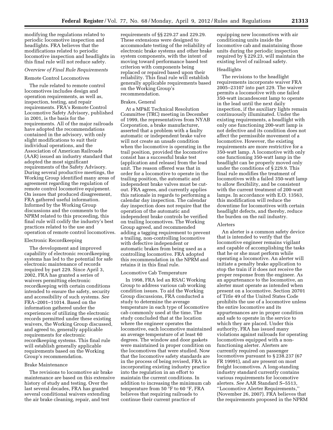modifying the regulations related to periodic locomotive inspection and headlights. FRA believes that the modifications related to periodic locomotive inspection and headlights in this final rule will not reduce safety.

# *Overview of Final Rule Requirements*

#### Remote Control Locomotives

The rule related to remote control locomotives includes design and operation requirements, as well as, inspection, testing, and repair requirements. FRA's Remote Control Locomotive Safety Advisory, published in 2001, is the basis for the requirements. All of the major railroads have adopted the recommendations contained in the advisory, with only slight modifications to suit their individual operations, and the Association of American Railroads (AAR) issued an industry standard that adopted the most significant requirements of the Safety Advisory. During several productive meetings, the Working Group identified many areas of agreement regarding the regulation of remote control locomotive equipment. On issues that produced disagreement, FRA gathered useful information. Informed by the Working Group discussions and the comments to the NPRM related to this proceeding, this final rule will codify the industry's best practices related to the use and operation of remote control locomotives.

# Electronic Recordkeeping

The development and improved capability of electronic recordkeeping systems has led to the potential for safe electronic maintenance of records required by part 229. Since April 3, 2002, FRA has granted a series of waivers permitting electronic recordkeeping with certain conditions intended to ensure the safety, security and accessibility of such systems. *See*  FRA–2001–11014. Based on the information gathered under the experiences of utilizing the electronic records permitted under these existing waivers, the Working Group discussed, and agreed to, generally applicable requirements for electronic recordkeeping systems. This final rule will establish generally applicable requirements based on the Working Group's recommendation.

#### Brake Maintenance

The revisions to locomotive air brake maintenance are based on this extensive history of study and testing. Over the last several decades, FRA has granted several conditional waivers extending the air brake cleaning, repair, and test

requirements of §§ 229.27 and 229.29. These extensions were designed to accommodate testing of the reliability of electronic brake systems and other brake system components, with the intent of moving toward performance based test criterion with components being replaced or repaired based upon their reliability. This final rule will establish generally applicable requirements based on the Working Group's recommendation.

# Brakes, General

At a MP&E Technical Resolution Committee (TRC) meeting in December of 1999, the representatives from NYAB Corporation, a brake manufacturer, asserted that a problem with a faulty automatic or independent brake valve will not create an unsafe condition when the locomotive is operating in the trail position, provided the locomotive consist has a successful brake test (application and release) from the lead unit. The reason offered was that in order for a locomotive to operate in the trailing position, the automatic and independent brake valves must be cutout. FRA agrees, and currently applies this rationale in regards to performing a calendar day inspection. The calendar day inspection does not require that the operation of the automatic and independent brake controls be verified on trailing locomotives. The Working Group agreed, and recommended adding a tagging requirement to prevent a trailing, non-controlling locomotive with defective independent or automatic brakes from being used as a controlling locomotive. FRA adopted this recommendation in the NPRM and retains it in this final rule.

#### Locomotive Cab Temperature

In 1998, FRA led an RSAC Working Group to address various cab working condition issues. To aid the Working Group discussions, FRA conducted a study to determine the average temperature in each type of locomotive cab commonly used at the time. The study concluded that at the location where the engineer operates the locomotive, each locomotive maintained an average temperature of at least 60 degrees. The window and door gaskets were maintained in proper condition on the locomotives that were studied. Now that the locomotive safety standards are in the process of being revised, FRA is incorporating existing industry practice into the regulation in an effort to maintain the current conditions. In addition to increasing the minimum cab temperature from 50 °F to 60 °F, FRA believes that requiring railroads to continue their current practice of

equipping new locomotives with air conditioning units inside the locomotive cab and maintaining those units during the periodic inspection required by § 229.23, will maintain the existing level of railroad safety.

#### Headlights

The revisions to the headlight requirements incorporate waiver FRA 2005–23107 into part 229. The waiver permits a locomotive with one failed 350-watt incandescent lamp to operate in the lead until the next daily inspection, if the auxiliary lights remain continuously illuminated. Under the existing requirements, a headlight with only one functioning 200-watt lamp is not defective and its condition does not affect the permissible movement of a locomotive. However, the existing requirements are more restrictive for a 350-watt lamp. A locomotive with only one functioning 350-watt lamp in the headlight can be properly moved only under the conditions of § 229.9. This final rule modifies the treatment of locomotives with a failed 350-watt lamp to allow flexibility, and be consistent with the current treatment of 200-watt lamps. In accordance with E.O. 13563, this modification will reduce the downtime for locomotives with certain headlight defects, and thereby, reduce the burden on the rail industry.

#### Alerters

An alerter is a common safety device that is intended to verify that the locomotive engineer remains vigilant and capable of accomplishing the tasks that he or she must perform while operating a locomotive. An alerter will initiate a penalty brake application to stop the train if it does not receive the proper response from the engineer. As an appurtenance to the locomotive, an alerter must operate as intended when present on a locomotive. Section 20701 of Title 49 of the United States Code prohibits the use of a locomotive unless the entire locomotive and its appurtenances are in proper condition and safe to operate in the service to which they are placed. Under this authority, FRA has issued many violations against railroads for operating locomotives equipped with a nonfunctioning alerter. Alerters are currently required on passenger locomotives pursuant to § 238.237 (67 FR 19991), and are present on most freight locomotives. A long-standing industry standard currently contains various requirements for locomotive alerters. *See* AAR Standard S–5513, ''Locomotive Alerter Requirements,'' (November 26, 2007). FRA believes that the requirements proposed in the NPRM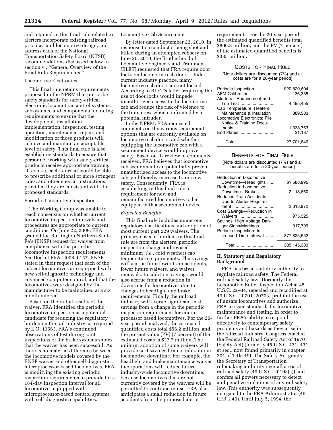and retained in this final rule related to alerters incorporate existing railroad practices and locomotive design, and address each of the National Transportation Safety Board (NTSB) recommendations discussed below in section v., ''General Overview of the Final Rule Requirements.''

# Locomotive Electronics

This final rule retains requirements proposed in the NPRM that prescribe safety standards for safety-critical electronic locomotive control systems, subsystems, and components including requirements to ensure that the development, installation, implementation, inspection, testing, operation, maintenance, repair, and modification of those products will achieve and maintain an acceptable level of safety. This final rule is also establishing standards to ensure that personnel working with safety-critical products receive appropriate training. Of course, each railroad would be able to prescribe additional or more stringent rules, and other special instructions, provided they are consistent with the proposed standards.

# Periodic Locomotive Inspection

The Working Group was unable to reach consensus on whether current locomotive inspection intervals and procedures are appropriate to current conditions. On June 22, 2009, FRA granted the Burlington Northern Santa Fe's (BNSF) request for waiver from compliance with the periodic locomotive inspection requirements. *See* Docket FRA–2008–0157. BNSF stated in their request that each of the subject locomotives are equipped with new self-diagnostic technology and advanced computer control, and that the locomotives were designed by the manufacturer to be maintained at a six month interval.

Based on the initial results of the waiver, FRA identified the periodic locomotive inspection as a potential candidate for reducing the regulatory burden on the rail industry, as required by E.O. 13563. FRA's continued observations of test during joint inspections of the brake systems shows that the waiver has been successful. As there is no material difference between the locomotive models covered by the BNSF waiver and other self diagnostic microprocessor-based locomotives, FRA is modifying the existing periodic inspection requirements to provide for a 184-day inspection interval for all locomotives equipped with microprocessor-based control systems with self-diagnostic capabilities.

# Locomotive Cab Securement

By letter dated September 22, 2010, in response to a conductor being shot and killed during an attempted robbery on June 20, 2010, the Brotherhood of Locomotive Engineers and Trainmen (BLET) requested that FRA require door locks on locomotive cab doors. Under current industry practice, many locomotive cab doors are not locked. According to BLET's letter, requiring the use of door locks would impede unauthorized access to the locomotive cab and reduce the risk of violence to the train crew when confronted by a potential intruder.

In the NPRM, FRA requested comments on the various securement options that are currently available on locomotive cab doors, and whether equipping the locomotive cab with a securement device would improve safety. Based on its review of comments received, FRA believes that locomotive cab securement can potentially prevent unauthorized access to the locomotive cab, and thereby increase train crew safety. Consequently, FRA is establishing in this final rule a requirement for new and remanufactured locomotives to be equipped with a securement device.

#### *Expected Benefits*

This final rule includes numerous regulatory clarifications and adoption of most current part 229 waivers. The primary costs or burdens in this final rule are from the alerters, periodic inspection change and revised minimum (*i.e.,* cold weather) cab temperature requirements. The savings will accrue from fewer train accidents, fewer future waivers, and waiver renewals. In addition, savings would also accrue from a reduction in downtime for locomotives due to changes to headlight and brake requirements. Finally the railroad industry will accrue significant cost savings from a change in the periodic inspection requirement for microprocessor based locomotives. For the 20 year period analyzed, the estimated quantified costs total \$56.2 million, and the present value (PV) (7 percent) of the estimated costs is \$27.7 million. The uniform adoption of some waivers will provide cost savings from a reduction in locomotive downtime. For example, the headlight and brake maintenance waiver incorporations will reduce future industry-wide locomotive downtime, because locomotives that are not currently covered by the waivers will be permitted to continue in use. FRA also anticipates a small reduction in future accidents from the proposed alerter

requirements. For the 20-year period, the estimated quantified benefits total \$806.8 million, and the PV (7 percent) of the estimated quantified benefits is \$385 million.

# COSTS FOR FINAL RULE

[Note dollars are discounted (7%) and all costs are for a 20-year period]

| Periodic Inspection          | \$20,820,604 |
|------------------------------|--------------|
| AFM Calibration              | 136,335      |
| Alerters-Requirement and     |              |
| Trip Test                    | 4,495,455    |
| Cab Temperature: Heaters,    |              |
| Maintenance & Insulation     | 889.503      |
| Locomotive Electronics: File |              |
| Notice & Training Docu-      |              |
| ments                        | 1.338.763    |
| End Plates                   | 21,187       |
|                              |              |
| Total                        | 27,701,846   |
|                              |              |

#### BENEFITS FOR FINAL RULE

[Note dollars are discounted (7%) and all benefits are for a 20-year period]

| Reduction in Locomotive<br>Downtime-Headlights | \$1.588.995 |
|------------------------------------------------|-------------|
| Reduction in Locomotive<br>Downtime-Brakes     | 2,118,660   |
| Reduced Train Accidents-                       |             |
| Due to Alerter Require-                        | 2.318.972   |
| Cost Savings-Reduction in<br>Waivers           | 975,325     |
| Savings: High Voltage Dan-                     |             |
| ger Signs/Markings<br>Periodic Inspection: In- | 317.799     |
| creased Time Interval                          | 377,825,552 |
| Total<br>.                                     | 385.145.303 |

# **II. Statutory and Regulatory Background**

FRA has broad statutory authority to regulate railroad safety. The Federal railroad safety laws (formerly the Locomotive Boiler Inspection Act at 45 U.S.C. 22–34, repealed and recodified at 49 U.S.C. 20701–20703) prohibit the use of unsafe locomotives and authorize FRA to issue standards for locomotive maintenance and testing. In order to further FRA's ability to respond effectively to contemporary safety problems and hazards as they arise in the railroad industry, Congress enacted the Federal Railroad Safety Act of 1970 (Safety Act) (formerly 45 U.S.C. 421, 431 et seq., now found primarily in chapter 201 of Title 49). The Safety Act grants the Secretary of Transportation rulemaking authority over all areas of railroad safety (49 U.S.C. 20103(a)) and confers all powers necessary to detect and penalize violations of any rail safety law. This authority was subsequently delegated to the FRA Administrator (49 CFR 1.49). Until July 5, 1994, the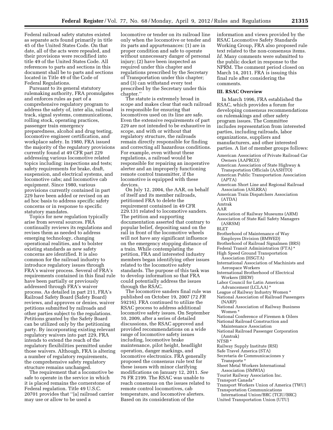Federal railroad safety statutes existed as separate acts found primarily in title 45 of the United States Code. On that date, all of the acts were repealed, and their provisions were recodified into title 49 of the United States Code. All references to parts and sections in this document shall be to parts and sections located in Title 49 of the Code of Federal Regulations.

Pursuant to its general statutory rulemaking authority, FRA promulgates and enforces rules as part of a comprehensive regulatory program to address the safety of, inter alia, railroad track, signal systems, communications, rolling stock, operating practices, passenger train emergency preparedness, alcohol and drug testing, locomotive engineer certification, and workplace safety. In 1980, FRA issued the majority of the regulatory provisions currently found at 49 CFR part 229 addressing various locomotive related topics including: inspections and tests; safety requirements for brake, draft, suspension, and electrical systems, and locomotive cabs; and locomotive cab equipment. Since 1980, various provisions currently contained in part 229 have been added or revised on an ad hoc basis to address specific safety concerns or in response to specific statutory mandates.

Topics for new regulation typically arise from several sources. FRA continually reviews its regulations and revises them as needed to address emerging technology, changing operational realities, and to bolster existing standards as new safety concerns are identified. It is also common for the railroad industry to introduce regulatory issues through FRA's waiver process. Several of FRA's requirements contained in this final rule have been partially or previously addressed through FRA's waiver process. As detailed in part 211, FRA's Railroad Safety Board (Safety Board) reviews, and approves or denies, waiver petitions submitted by railroads and other parties subject to the regulations. Petitions granted by the Safety Board can be utilized only by the petitioning party. By incorporating existing relevant regulatory waivers into part 229, FRA intends to extend the reach of the regulatory flexibilities permitted under those waivers. Although, FRA is altering a number of regulatory requirements, the comprehensive safety regulatory structure remains unchanged.

The requirement that a locomotive be safe to operate in the service in which it is placed remains the cornerstone of Federal regulation. Title 49 U.S.C. 20701 provides that ''[a] railroad carrier may use or allow to be used a

locomotive or tender on its railroad line only when the locomotive or tender and its parts and appurtenances: (1) are in proper condition and safe to operate without unnecessary danger of personal injury; (2) have been inspected as required under this chapter and regulations prescribed by the Secretary of Transportation under this chapter; and (3) can withstand every test prescribed by the Secretary under this chapter.''

The statute is extremely broad in scope and makes clear that each railroad is responsible for ensuring that locomotives used on its line are safe. Even the extensive requirements of part 229 are not intended to be exhaustive in scope, and with or without that regulatory structure, the railroads remain directly responsible for finding and correcting all hazardous conditions. For example, even without these regulations, a railroad would be responsible for repairing an inoperative alerter and an improperly functioning remote control transmitter, if the locomotive is equipped with these devices.

On July 12, 2004, the AAR, on behalf of itself and its member railroads, petitioned FRA to delete the requirement contained in 49 CFR 229.131 related to locomotive sanders. The petition and supporting documentation asserted that contrary to popular belief, depositing sand on the rail in front of the locomotive wheels will not have any significant influence on the emergency stopping distance of a train. While contemplating the petition, FRA and interested industry members began identifying other issues related to the locomotive safety standards. The purpose of this task was to develop information so that FRA could potentially address the issues through the RSAC.

The locomotive sanders final rule was published on October 19, 2007 (72 *FR*  59216). FRA continued to utilize the RSAC process to address additional locomotive safety issues. On September 10, 2009, after a series of detailed discussions, the RSAC approved and provided recommendations on a wide range of locomotive safety issues including, locomotive brake maintenance, pilot height, headlight operation, danger markings, and locomotive electronics. FRA generally proposed the consensus rule text for these issues with minor clarifying modifications on January 12, 2011. *See*  76 FR 2199. The RSAC was unable to reach consensus on the issues related to remote control locomotives, cab temperature, and locomotive alerters. Based on its consideration of the

information and views provided by the RSAC Locomotive Safety Standards Working Group, FRA also proposed rule text related to the non-consensus items. *Id.* Many comments were submitted to the public docket in response to the NPRM. The comment period closed on March 14, 2011. FRA is issuing this final rule after considering the comments.

# **III. RSAC Overview**

In March 1996, FRA established the RSAC, which provides a forum for developing consensus recommendations on rulemakings and other safety program issues. The Committee includes representation from interested parties, including railroads, labor organizations, suppliers and manufacturers, and other interested parties. A list of member groups follows:

- American Association of Private Railroad Car Owners (AAPRCO)
- American Association of State Highway & Transportation Officials (AASHTO)
- American Public Transportation Association (APTA)
- American Short Line and Regional Railroad Association (ASLRRA)
- American Train Dispatchers Association (ATDA)
- Amtrak
- AAR
- Association of Railway Museums (ARM)
- Association of State Rail Safety Managers (ASRSM)
- BLET
- Brotherhood of Maintenance of Way Employes Division (BMWED)
- Brotherhood of Railroad Signalmen (BRS)
- Federal Transit Administration (FTA) \*
- High Speed Ground Transportation
- Association (HSGTA) International Association of Machinists and
- Aerospace Workers
- International Brotherhood of Electrical Workers (IBEW)
- Labor Council for Latin American Advancement (LCLAA) \*
- League of Railway Industry Women \*
- National Association of Railroad Passengers (NARP)
- National Association of Railway Business Women \*
- National Conference of Firemen & Oilers
- National Railroad Construction and Maintenance Association
- National Railroad Passenger Corporation (Amtrak)
- NTSB \*
- Railway Supply Institute (RSI)
- Safe Travel America (STA)
- Secretaria de Communicaciones y Transporte \*
- Sheet Metal Workers International Association (SMWIA)
- Tourist Railway Association Inc.
- Transport Canada\*
- Transport Workers Union of America (TWU)
- Transportation Communications
- International Union/BRC (TCIU/BRC)
- United Transportation Union (UTU)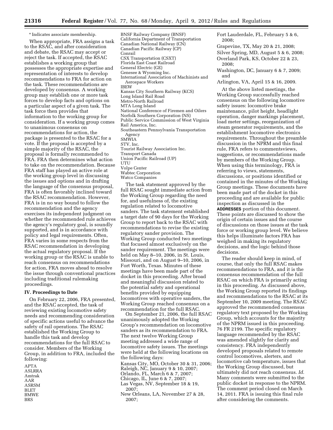\* Indicates associate membership.

When appropriate, FRA assigns a task to the RSAC, and after consideration and debate, the RSAC may accept or reject the task. If accepted, the RSAC establishes a working group that possesses the appropriate expertise and representation of interests to develop recommendations to FRA for action on the task. These recommendations are developed by consensus. A working group may establish one or more task forces to develop facts and options on a particular aspect of a given task. The task force then provides that information to the working group for consideration. If a working group comes to unanimous consensus on recommendations for action, the package is presented to the RSAC for a vote. If the proposal is accepted by a simple majority of the RSAC, the proposal is formally recommended to FRA. FRA then determines what action to take on the recommendation. Because FRA staff has played an active role at the working group level in discussing the issues and options and in drafting the language of the consensus proposal, FRA is often favorably inclined toward the RSAC recommendation. However, FRA is in no way bound to follow the recommendation and the agency exercises its independent judgment on whether the recommended rule achieves the agency's regulatory goal, is soundly supported, and is in accordance with policy and legal requirements. Often, FRA varies in some respects from the RSAC recommendation in developing the actual regulatory proposal. If the working group or the RSAC is unable to reach consensus on recommendations for action, FRA moves ahead to resolve the issue through conventional practices including traditional rulemaking proceedings.

# **IV. Proceedings to Date**

On February 22, 2006, FRA presented, and the RSAC accepted, the task of reviewing existing locomotive safety needs and recommending consideration of specific actions useful to advance the safety of rail operations. The RSAC established the Working Group to handle this task and develop recommendations for the full RSAC to consider. Members of the Working Group, in addition to FRA, included the following:

APTA ASLRRA Amtrak AAR ASRSM BLET BMWE BRS

BNSF Railway Company (BNSF) California Department of Transportation Canadian National Railway (CN) Canadian Pacific Railway (CP) Conrail CSX Transportation (CSXT) Florida East Coast Railroad General Electric (GE) Genesee & Wyoming Inc. International Association of Machinists and Aerospace Workers IBEW Kansas City Southern Railway (KCS) Long Island Rail Road Metro-North Railroad MTA Long Island National Conference of Firemen and Oilers Norfolk Southern Corporation (NS) Public Service Commission of West Virginia Rail America, Inc. Southeastern Pennsylvania Transportation Agency SMWIA STV, Inc. Tourist Railway Association Inc. Transport Canada Union Pacific Railroad (UP) **UTU** Volpe Center Wabtec Corporation

The task statement approved by the full RSAC sought immediate action from the Working Group regarding the need for, and usefulness of, the existing regulation related to locomotive sanders. The task statement established a target date of 90 days for the Working Group to report back to the RSAC with recommendations to revise the existing regulatory sander provision. The Working Group conducted two meetings that focused almost exclusively on the sander requirement. The meetings were held on May 8–10, 2006, in St. Louis, Missouri, and on August 9–10, 2006, in Fort Worth, Texas. Minutes of these meetings have been made part of the docket in this proceeding. After broad and meaningful discussion related to the potential safety and operational benefits provided by equipping locomotives with operative sanders, the Working Group reached consensus on a recommendation for the full RSAC.

Watco Companies

On September 21, 2006, the full RSAC unanimously adopted the Working Group's recommendation on locomotive sanders as its recommendation to FRA. The next twelve Working Group meeting addressed a wide range of locomotive safety issues. The meetings were held at the following locations on the following days:

Kansas City, MO, October 30 & 31, 2006; Raleigh, NC, January 9 & 10, 2007; Orlando, FL, March 6 & 7, 2007; Chicago, IL, June 6 & 7, 2007; Las Vegas, NV, September 18 & 19, 2007;

New Orleans, LA, November 27 & 28, 2007;

Fort Lauderdale, FL, February 5 & 6, 2008;

Grapevine, TX, May 20 & 21, 2008; Silver Spring, MD, August 5 & 6, 2008; Overland Park, KS, October 22 & 23, 2008;

Washington, DC, January 6 & 7, 2009; and

Arlington, VA, April 15 & 16, 2009.

At the above listed meetings, the Working Group successfully reached consensus on the following locomotive safety issues: locomotive brake maintenance, pilot height, headlight operation, danger markings placement, load meter settings, reorganization of steam generator requirements, and the establishment locomotive electronics requirements. Throughout the preamble discussion in the NPRM and this final rule, FRA refers to commentsviews, suggestions, or recommendations made by members of the Working Group. When using this terminology, FRA is referring to views, statements, discussions, or positions identified or contained in the minutes of the Working Group meetings. These documents have been made part of the docket in this proceeding and are available for public inspection as discussed in the

**ADDRESSES** portion of this document. These points are discussed to show the origin of certain issues and the course of discussions on those issues at the task force or working group level. We believe this helps illuminate factors FRA has weighed in making its regulatory decisions, and the logic behind those decisions.

The reader should keep in mind, of course, that only the full RSAC makes recommendations to FRA, and it is the consensus recommendation of the full RSAC on which FRA is primarily acting in this proceeding. As discussed above, the Working Group reported its findings and recommendations to the RSAC at its September 10, 2009 meeting. The RSAC approved the recommended consensus regulatory text proposed by the Working Group, which accounts for the majority of the NPRM issued in this proceeding. 76 FR 2199. The specific regulatory language recommended by the RSAC was amended slightly for clarity and consistency. FRA independently developed proposals related to remote control locomotives, alerters, and locomotive cab temperature, issues that the Working Group discussed, but ultimately did not reach consensus. *Id.*  Many comments were submitted to the public docket in response to the NPRM. The comment period closed on March 14, 2011. FRA is issuing this final rule after considering the comments.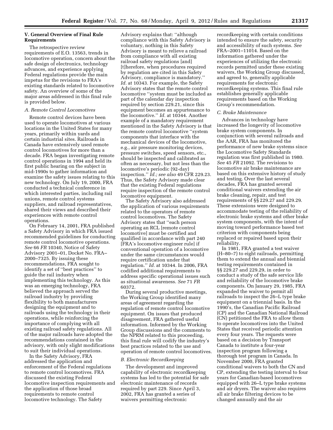# **V. General Overview of Final Rule Requirements**

The retrospective review requirements of E.O. 13563, trends in locomotive operation, concern about the safe design of electronics, technology advances, and experience applying Federal regulations provide the main impetus for the revisions to FRA's existing standards related to locomotive safety. An overview of some of the major areas addressed in this final rule is provided below.

# *A. Remote Control Locomotives*

Remote control devices have been used to operate locomotives at various locations in the United States for many years, primarily within yards and certain industrial sites. Railroads in Canada have extensively used remote control locomotives for more than a decade. FRA began investigating remote control operations in 1994 and held its first public hearing on the subject in mid-1990s to gather information and examine the safety issues relating to this new technology. On July 19, 2000, FRA conducted a technical conference in which interested parties, including rail unions, remote control systems suppliers, and railroad representatives, shared their views and described their experiences with remote control operations.

On February 14, 2001, FRA published a Safety Advisory in which FRA issued recommended guidelines for conducting remote control locomotive operations. *See* 66 *FR* 10340, Notice of Safety Advisory 2001–01, Docket No. FRA– 2000–7325. By issuing these recommendations, FRA sought to identify a set of ''best practices'' to guide the rail industry when implementing this technology. As this was an emerging technology, FRA believed the approach served the railroad industry by providing flexibility to both manufacturers designing the equipment and to railroads using the technology in their operations, while reinforcing the importance of complying with all existing railroad safety regulations. All of the major railroads have adopted the recommendations contained in the advisory, with only slight modifications to suit their individual operations.

In the Safety Advisory, FRA addressed the application and enforcement of the Federal regulations to remote control locomotives. FRA discussed the existing Federal locomotive inspection requirements and the application of those broad requirements to remote control locomotive technology. The Safety

Advisory explains that: ''although compliance with this Safety Advisory is voluntary, nothing in this Safety Advisory is meant to relieve a railroad from compliance with all existing railroad safety regulations [and] [t]herefore, when procedures required by regulation are cited in this Safety Advisory, compliance is mandatory.'' *Id.* at 10343. For example, the Safety Advisory states that the remote control locomotive ''system must be included as part of the calendar day inspection required by section 229.21, since this equipment becomes an appurtenance to the locomotive.'' *Id.* at 10344. Another example of a mandatory requirement mentioned in the Safety Advisory is that the remote control locomotive ''system components that interface with the mechanical devices of the locomotive, e.g., air pressure monitoring devices, pressure switches, speed sensors, etc., should be inspected and calibrated as often as necessary, but not less than the locomotive's periodic (92-day) inspection.'' *Id.; see also* 49 CFR 229.23. Thus, the Safety Advisory made clear that the existing Federal regulations require inspection of the remote control locomotive equipment.

The Safety Advisory also addressed the application of various requirements related to the operators of remote control locomotives. The Safety Advisory states that ''each person operating an RCL [remote control locomotive] must be certified and qualified in accordance with part 240 [FRA's locomotive engineer rule] if conventional operation of a locomotive under the same circumstances would require certification under that regulation.'' *Id.* at 10344. In 2006, FRA codified additional requirements to address specific operational issues such as situational awareness. *See* 71 *FR*  60372.

During several productive meetings, the Working Group identified many areas of agreement regarding the regulation of remote control locomotive equipment. On issues that produced disagreement, FRA gathered useful information. Informed by the Working Group discussions and the comments to the NPRM related to this proceeding, this final rule will codify the industry's best practices related to the use and operation of remote control locomotives.

# *B. Electronic Recordkeeping*

The development and improved capability of electronic recordkeeping systems has led to the potential for safe electronic maintenance of records required by part 229. Since April 3, 2002, FRA has granted a series of waivers permitting electronic

recordkeeping with certain conditions intended to ensure the safety, security and accessibility of such systems. *See*  FRA–2001–11014. Based on the information gathered under the experiences of utilizing the electronic records permitted under these existing waivers, the Working Group discussed, and agreed to, generally applicable requirements for electronic recordkeeping systems. This final rule establishes generally applicable requirements based on the Working Group's recommendation.

# *C. Brake Maintenance*

Advances in technology have increased the longevity of locomotive brake system components. In conjunction with several railroads and the AAR, FRA has monitored the performance of new brake systems since the Locomotive Safety Standards regulation was first published in 1980. *See* 45 *FR* 21092. The revisions to locomotive air brake maintenance are based on this extensive history of study and testing. Over the last several decades, FRA has granted several conditional waivers extending the air brake cleaning, repair, and test requirements of §§ 229.27 and 229.29. These extensions were designed to accommodate testing of the reliability of electronic brake systems and other brake system components, with the intent of moving toward performance based test criterion with components being replaced or repaired based upon their reliability.

In 1981, FRA granted a test waiver (H–80–7) to eight railroads, permitting them to extend the annual and biennial testing requirements contained in §§ 229.27 and 229.29, in order to conduct a study of the safe service life and reliability of the locomotive brake components. On January 29, 1985, FRA expanded the waiver to permit all railroads to inspect the 26–L type brake equipment on a triennial basis. In the 1990's, the Canadian Pacific Railroad (CP) and the Canadian National Railroad (CN) petitioned the FRA to allow them to operate locomotives into the United States that received periodic attention every four years. The requests were based on a decision by Transport Canada to institute a four-year inspection program following a thorough test program in Canada. In November 2000, FRA granted conditional waivers to both the CN and CP, extending the testing interval to four years for Canadian-based locomotives equipped with 26–L type brake systems and air dryers. The waiver also requires all air brake filtering devices to be changed annually and the air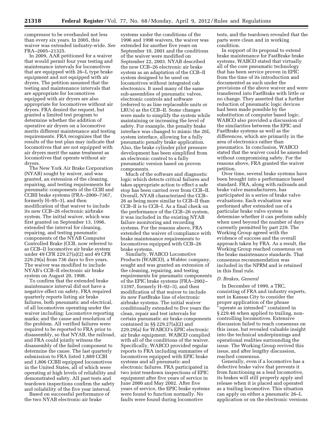compressor to be overhauled not less than every six years. In 2005, this waiver was extended industry-wide. *See*  FRA–2005–21325.

In 2009, AAR petitioned for a waiver that would permit four year testing and maintenance intervals for locomotives that are equipped with 26–L type brake equipment and not equipped with air dryers. The petition assumed that the testing and maintenance intervals that are appropriate for locomotives equipped with air dryers are also appropriate for locomotives without air dryers. FRA denied the request, but granted a limited test program to determine whether the addition of operative air dryers on a locomotive merits different maintenance and testing requirements. FRA recognizes that the results of the test plan may indicate that locomotives that are not equipped with air dryers merit the same treatment as locomotives that operate without air dryers.

The New York Air Brake Corporation (NYAB) sought by waiver, and was granted, an extension of the cleaning, repairing, and testing requirements for pneumatic components of the CCBI and CCBII brake systems (FRA–2000–7367, formerly H–95–3), and then modification of that waiver to include its new CCB–26 electronic airbrake system. The initial waiver, which was first granted on September 13, 1996, extended the interval for cleaning, repairing, and testing pneumatic components of the NYAB Computer Controlled Brake (CCB, now referred to as CCB–I) locomotive air brake system under 49 CFR 229.27(a)(2) and 49 CFR 229.29(a) from 736 days to five years. The waiver was modified to include NYAB's CCB–II electronic air brake system on August 20, 1998.

To confirm that the extended brake maintenance interval did not have a negative effect on safety, FRA required quarterly reports listing air brake failures, both pneumatic and electrical, of all locomotives operating under the waiver including: Locomotive reporting marks; and the cause and resolution of the problem. All verified failures were required to be reported to FRA prior to disassembly, so that NYAB, the railroad, and FRA could jointly witness the disassembly of the failed component to determine the cause. The last quarterly submission to FRA listed 1,889 CCBI and 1,806 CCBII equipped locomotives in the United States, all of which were operating at high levels of reliability and demonstrated safety. All past tests and teardown inspections confirm the safety and reliability of the five year interval.

Based on successful performance of the two NYAB electronic air brake

systems under the conditions of the 1996 and 1998 waivers, the waiver was extended for another five years on September 10, 2001 and the conditions of the waiver were modified on September 22, 2003. NYAB described the new CCB–26 electronic air brake system as an adaptation of the CCB–II system designed to be used on locomotives without integrated cab electronics. It used many of the same sub-assemblies of pneumatic valves, electronic controls and software (referred to as line replaceable units or LRUs) as the CCB–II. Some changes were made to simplify the system while maintaining or increasing the level of safety. For example, the penalty brake interface was changed to mimic the 26L system interface, allowing for a fully pneumatic penalty brake application. Also, the brake cylinder pilot pressure development has been simplified from an electronic control to a fully pneumatic version based on proven components.

Much of the software and diagnostic logic which detects critical failures and takes appropriate action to effect a safe stop has been carried over from CCB–II. Overall, NYAB characterized the CCB– 26 as being more similar to CCB–II than CCB–II is to CCB–I. As a final check on the performance of the CCB–26 system, it was included in the existing NYAB failure monitoring and recording systems. For the reasons above, FRA extended the waiver of compliance with brake maintenance requirements to locomotives equipped with CCB–26 brake systems.

Similarly, WABCO Locomotive Products (WABCO), a Wabtec company, sought and was granted an extension of the cleaning, repairing, and testing requirements for pneumatic components of the EPIC brake systems (FRA–2002– 13397, formerly H–92–3), and then modification of that waiver to include its new FastBrake line of electronic airbrake systems. The initial waiver conditionally extended to five years the clean, repair and test intervals for certain pneumatic air brake components contained in §§ 229.27(a)(2) and 229.29(a) for WABCO's EPIC electronic air brake equipment. WABCO complied with all of the conditions of the waiver. Specifically, WABCO provided regular reports to FRA including summaries of locomotives equipped with EPIC brake systems and all pneumatic and electronic failures. FRA participated in two joint teardown inspections of EPIC equipment after five years of service in June 2000 and May 2002. After five years of service, the EPIC brake systems were found to function normally. No faults were found during locomotive

tests, and the teardown revealed that the parts were clean and in working condition.

In support of its proposal to extend brake maintenance for FastBrake brake systems, WABCO stated that virtually all of the core pneumatic technology that has been service proven in EPIC from the time of its introduction and documented as such under the provisions of the above waiver and were transferred into FastBrake with little or no change. They asserted that a further reduction of pneumatic logic devices had been made possible by the substitution of computer based logic. WABCO also provided a discussion of the similarities between the EPIC and FastBrake systems as well as the differences, which are primarily in the area of electronics rather than pneumatics. In conclusion, WABCO stated that the waiver could be amended without compromising safety. For the reasons above, FRA granted the waiver petition.

Over time, several brake systems have been brought into a performance based standard. FRA, along with railroads and brake valve manufacturers, has participated in a series of brake valve evaluations. Each evaluation was performed after extended use of a particular brake valve system to determine whether it can perform safely when used beyond the number of days currently permitted by part 229. The Working Group agreed with the evidence of success and the overall approach taken by FRA. As a result, the Working Group reached consensus on the brake maintenance standards. That consensus recommendation was included in the NPRM and is retained in this final rule.

# *D. Brakes, General*

In December of 1999, a TRC, consisting of FRA and industry experts, met in Kansas City to consider the proper application of the phrase ''operate as intended'' contained in § 229.46 when applied to trailing, noncontrolling locomotives. Extensive discussion failed to reach consensus on this issue, but revealed valuable insight into the technical underpinnings and operational realities surrounding the issue. The Working Group revived this issue, and after lengthy discussion, reached consensus.

Generally, even if a locomotive has a defective brake valve that prevents it from functioning as a lead locomotive, its brakes will still properly apply and release when it is placed and operated as a trailing locomotive. This situation can apply on either a pneumatic 26–L application or on the electronic versions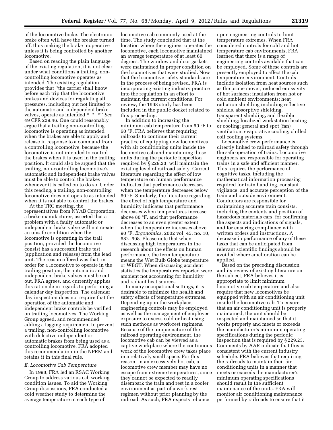of the locomotive brake. The electronic brake often will have the breaker turned off, thus making the brake inoperative unless it is being controlled by another locomotive.

Based on reading the plain language of the existing regulation, it is not clear under what conditions a trailing, noncontrolling locomotive operates as intended. The existing regulation provides that ''the carrier shall know before each trip that the locomotive brakes and devices for regulating all pressures, including but not limited to the automatic and independent brake valves, operate as intended \* \* \*'' *See*  49 CFR 229.46. One could reasonably argue that a trailing non-controlling locomotive is operating as intended when the brakes are able to apply and release in response to a command from a controlling locomotive, because the locomotive is not intended to control the brakes when it is used in the trailing position. It could also be argued that the trailing, non-controlling locomotive's automatic and independent brake valves must be able to control the brakes whenever it is called on to do so. Under this reading, a trailing, non-controlling locomotive does not operate as intended when it is not able to control the brakes.

At the TRC meeting, the representatives from NYAB Corporation, a brake manufacturer, asserted that a problem with a faulty automatic or independent brake valve will not create an unsafe condition when the locomotive is operating in the trail position, provided the locomotive consist has a successful brake test (application and release) from the lead unit. The reason offered was that, in order for a locomotive to operate in the trailing position, the automatic and independent brake valves must be cutout. FRA agrees, and currently applies this rationale in regards to performing a calendar day inspection. The calendar day inspection does not require that the operation of the automatic and independent brake controls be verified on trailing locomotives. The Working Group agreed, and recommended adding a tagging requirement to prevent a trailing, non-controlling locomotive with defective independent or automatic brakes from being used as a controlling locomotive. FRA adopted this recommendation in the NPRM and retains it in this final rule.

# *E. Locomotive Cab Temperature*

In 1998, FRA led an RSAC Working Group to address various cab working condition issues. To aid the Working Group discussions, FRA conducted a cold weather study to determine the average temperature in each type of

locomotive cab commonly used at the time. The study concluded that at the location where the engineer operates the locomotive, each locomotive maintained an average temperature of at least 60 degrees. The window and door gaskets were maintained in proper condition on the locomotives that were studied. Now that the locomotive safety standards are in the process of being revised, FRA is incorporating existing industry practice into the regulation in an effort to maintain the current conditions. For review, the 1998 study has been included in the public docket related to this proceeding.

In addition to increasing the minimum cab temperature from 50 °F to 60 °F, FRA believes that requiring railroads to continue their current practice of equipping new locomotives with air conditioning units inside the locomotive cab and maintaining those units during the periodic inspection required by § 229.23, will maintain the existing level of railroad safety. Current literature regarding the effect of low temperature on human performance indicates that performance decreases when the temperature decreases below 60 °F. Similarly, the literature regarding the effect of high temperature and humidity indicates that performance decreases when temperatures increase above 80 °F, and that performance decreases to an even greater extent when the temperature increases above 90 °F. *Ergonomics,* 2002 vol. 45, no. 10, 682–698. Please note that when discussing high temperatures in the research about the effects on human performance, the term temperature means the Wet Bulb Globe temperature or WBGT. When discussing accident statistics the temperatures reported were ambient not accounting for humidity and radiant heat sources.

In many occupational settings, it is desirable to minimize the health and safety effects of temperature extremes. Depending upon the workplace, engineering controls may be employed as well as the management of employee exposure to excess cold or heat using such methods as work-rest regimens. Because of the unique nature of the railroad operating environment, the locomotive cab can be viewed as a captive workplace where the continuous work of the locomotive crew takes place in a relatively small space. For this reason, in an excessively hot cab, a locomotive crew member may have no escape from extreme temperatures, since they cannot be expected to readily disembark the train and rest in a cooler environment as part of a work-rest regimen without prior planning by the railroad. As such, FRA expects reliance

upon engineering controls to limit temperature extremes. When FRA considered controls for cold and hot temperature cab environments, FRA learned that there is a range of engineering controls available that can be employed. Some of these controls are presently employed to affect the cab temperature environment. Controls include isolation from heat sources such as the prime mover; reduced emissivity of hot surfaces; insulation from hot or cold ambient environments; heat radiation shielding including reflective shields, absorptive shielding, transparent shielding, and flexible shielding; localized workstation heating or cooling; general and spot (fan) ventilation; evaporative cooling; chilled coil cooling systems.

Locomotive crew performance is directly linked to railroad safety through the safe operation of trains. Locomotive engineers are responsible for operating trains in a safe and efficient manner. This requires the performance of cognitive tasks, including the mathematical information processing required for train handling, constant vigilance, and accurate perception of the train and outside environment. Conductors are responsible for maintaining accurate train consists, including the contents and position of hazardous materials cars, for confirming the aspects and indications of signals, and for ensuring compliance with written orders and instructions. A decrease in performance of any of these tasks that can be anticipated from relevant scientific findings should be avoided where amelioration can be applied.

Based on the preceding discussion and its review of existing literature on the subject, FRA believes it is appropriate to limit minimum locomotive cab temperature and also require that new locomotives be equipped with an air conditioning unit inside the locomotive cab. To ensure that an air conditioning unit is properly maintained, the unit should be inspected and maintained so that it works properly and meets or exceeds the manufacturer's minimum operating specifications during the periodic inspection that is required by § 229.23. Comments by AAR indicate that this is consistent with the current industry schedule. FRA believes that requiring the railroads to maintain their air conditioning units in a manner that meets or exceeds the manufacturer's minimum operating specifications should result in the sufficient maintenance of the units. FRA will monitor air conditioning maintenance performed by railroads to ensure that it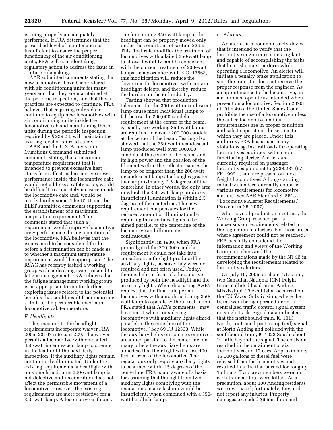is being properly an adequately performed. If FRA determines that the prescribed level of maintenance is insufficient to ensure the proper functioning of the air conditioning units, FRA will consider taking regulatory action to address the issue in a future rulemaking.

AAR submitted comments stating that new locomotives have been ordered with air conditioning units for many years and that they are maintained at the periodic inspection, and that these practices are expected to continue. FRA believes that requiring railroads to continue to equip new locomotives with air conditioning units inside the locomotive cab and maintaining those units during the periodic inspection required by § 229.23, will maintain the existing level of railroad safety.

AAR and the U.S. Army's Joint Munitions Command submitted comments stating that a maximum temperature requirement that is intended to prevent excessive heat stress from affecting locomotive crew performance inside the locomotive cab: would not address a safety issue; would be difficult to accurately measure inside the locomotive cab; and, would be overly burdensome. The UTU and the BLET submitted comments supporting the establishment of a maximum temperature requirement. The comments stated that such a requirement would improve locomotive crew performance during operation of the locomotive. FRA believes that the issues need to be considered further before a determination can be made as to whether a maximum temperature requirement would be appropriate. The RSAC has recently tasked a working group with addressing issues related to fatigue management. FRA believes that the fatigue management working group is an appropriate forum for further exploring issues related to the potential benefits that could result from requiring a limit to the permissible maximum locomotive cab temperature.

# *F. Headlights*

The revisions to the headlight requirements incorporate waiver FRA 2005–23107 into part 229. The waiver permits a locomotive with one failed 350-watt incandescent lamp to operate in the lead until the next daily inspection, if the auxiliary lights remain continuously illuminated. Under the existing requirements, a headlight with only one functioning 200-watt lamp is not defective and its condition does not affect the permissible movement of a locomotive. However, the existing requirements are more restrictive for a 350-watt lamp. A locomotive with only

one functioning 350-watt lamp in the headlight can be properly moved only under the conditions of section 229.9. This final rule modifies the treatment of locomotives with a failed 350-watt lamp to allow flexibility, and be consistent with the current treatment of 200-watt lamps. In accordance with E.O. 13563, this modification will reduce the downtime for locomotives with certain headlight defects, and thereby, reduce the burden on the rail industry.

Testing showed that production tolerances for the 350-watt incandescent lamp cause most individual lamps to fall below the 200,000 candela requirement at the center of the beam. As such, two working 350-watt lamps are required to ensure 200,000 candela at the center of the beam. Testing also showed that the 350-watt incandescent lamp produced well over 100,000 candela at the center of the beam, and its high power and the position of the filament within the reflector causes the lamp to be brighter than the 200-watt incandescent lamp at all angles greater than approximately 2.5 degrees off the centerline. In other words, the only area in which the 350-watt lamp produces insufficient illumination is within 2.5 degrees of the centerline. The new requirement compensates for the reduced amount of illumination by requiring the auxiliary lights to be aimed parallel to the centerline of the locomotive and illuminate continuously.

Significantly, in 1980, when FRA promulgated the 200,000 candela requirement it could not take into consideration the light produced by auxiliary lights, because they were not required and not often used. Today, there is light in front of a locomotive produced by both the headlight and the auxiliary lights. When discussing AAR's request that the final rule permit locomotives with a nonfunctioning 350 watt lamp to operate without restriction, FRA stated that AAR's comments ''may have merit when considering locomotives with auxiliary lights aimed parallel to the centerline of the locomotive.'' *See* 69 FR 12533. While the auxiliary lights on some locomotives are aimed parallel to the centerline, on many others the auxiliary lights are aimed so that their light will cross 400 feet in front of the locomotive. The regulations only require auxiliary lights to be aimed within 15 degrees of the centerline. FRA is not aware of a basis for assuming that the light from two auxiliary lights complying with the regulations in any fashion would be insufficient, when combined with a 350 watt headlight lamp.

# *G. Alerters*

An alerter is a common safety device that is intended to verify that the locomotive engineer remains vigilant and capable of accomplishing the tasks that he or she must perform while operating a locomotive. An alerter will initiate a penalty brake application to stop the train if it does not receive the proper response from the engineer. As an appurtenance to the locomotive, an alerter must operate as intended when present on a locomotive. Section 20701 of Title 49 of the United States Code prohibits the use of a locomotive unless the entire locomotive and its appurtenances are in proper condition and safe to operate in the service to which they are placed. Under this authority, FRA has issued many violations against railroads for operating locomotives equipped with a nonfunctioning alerter. Alerters are currently required on passenger locomotives pursuant to § 238.237 (67 FR 19991), and are present on most freight locomotives. A long-standing industry standard currently contains various requirements for locomotive alerters. *See* AAR Standard S–5513, ''Locomotive Alerter Requirements,'' (November 26, 2007).

After several productive meetings, the Working Group reached partial consensus on requirements related to the regulation of alerters. For those areas where agreement could not be reached, FRA has fully considered the information and views of the Working Group members and the recommendations made by the NTSB in developing the requirements related to locomotive alerters.

On July 10, 2005, at about 4:15 a.m., two Canadian National (CN) freight trains collided head-on in Anding, Mississippi. The collision occurred on the CN Yazoo Subdivision, where the trains were being operated under a centralized traffic control signal system on single track. Signal data indicated that the northbound train, IC 1013 North, continued past a stop (red) signal at North Anding and collided with the southbound train, IC 1023 South, about 1⁄4 mile beyond the signal. The collision resulted in the derailment of six locomotives and 17 cars. Approximately 15,000 gallons of diesel fuel were released from the locomotives and resulted in a fire that burned for roughly 15 hours. Two crewmembers were on each train; all four were killed. As a precaution, about 100 Anding residents were evacuated; fortunately, they did not report any injuries. Property damages exceeded \$9.5 million and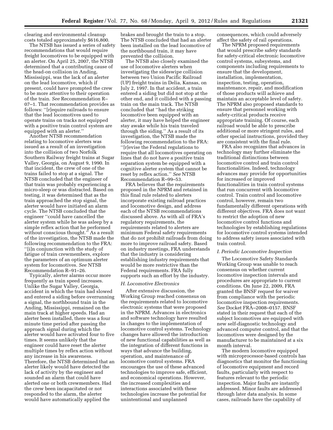clearing and environmental cleanup costs totaled approximately \$616,800.

The NTSB has issued a series of safety recommendations that would require freight locomotives to be equipped with an alerter. On April 25, 2007, the NTSB determined that a contributing cause of the head-on collision in Anding, Mississippi, was the lack of an alerter on the lead locomotive, which if present, could have prompted the crew to be more attentive to their operation of the train. *See* Recommendation R– 07–1. That recommendation provides as follows: ''[r]equire railroads to ensure that the lead locomotives used to operate trains on tracks not equipped with a positive train control system are equipped with an alerter.''

Another NTSB recommendation relating to locomotive alerters was issued as a result of an investigation into the collision of two Norfolk Southern Railway freight trains at Sugar Valley, Georgia, on August 9, 1990. In that incident, the crew of one of the trains failed to stop at a signal. The NTSB concluded that the engineer of that train was probably experiencing a micro-sleep or was distracted. Based on testing, it was determined that as the train approached the stop signal, the alerter would have initiated an alarm cycle. The NTSB concluded that the engineer ''could have cancelled the alerter system while he was asleep by a simple reflex action that he performed without conscious thought.'' As a result of the investigation, the NTSB made the following recommendation to the FRA: ''[i]n conjunction with the study of fatigue of train crewmembers, explore the parameters of an optimum alerter system for locomotives. *See* NTSB Recommendation R–91–26.

Typically, alerter alarms occur more frequently as train speed increases. Unlike the Sugar Valley, Georgia, accident in which the train had slowed and entered a siding before overrunning a signal, the northbound train in the Anding, Mississippi, remained on the main track at higher speeds. Had an alerter been installed, there was a four minute time period after passing the approach signal during which the alerter would have activated four to five times. It seems unlikely that the engineer could have reset the alerter multiple times by reflex action without any increase in his awareness. Therefore, the NTSB determined that an alerter likely would have detected the lack of activity by the engineer and sounded an alarm that could have alerted one or both crewmembers. Had the crew been incapacitated or not responded to the alarm, the alerter would have automatically applied the

brakes and brought the train to a stop. The NTSB concluded that had an alerter been installed on the lead locomotive of the northbound train, it may have prevented the collision.

The NTSB also closely examined the use of locomotive alerters when investigating the sideswipe collision between two Union Pacific Railroad (UP) freight trains in Delia, Kansas, on July 2, 1997. In that accident, a train entered a siding but did not stop at the other end, and it collided with a passing train on the main track. The NTSB concluded that ''had the striking locomotive been equipped with an alerter, it may have helped the engineer stay awake while his train traveled through the siding.'' As a result of its investigation, the NTSB made the following recommendation to the FRA: ''[r]evise the Federal regulations to require that all locomotives operating on lines that do not have a positive train separation system be equipped with a cognitive alerter system that cannot be reset by reflex action.'' *See* NTSB Recommendation R–99–53.

FRA believes that the requirements proposed in the NPRM and retained in this final rule related to alerters incorporate existing railroad practices and locomotive design, and address each of the NTSB recommendations discussed above. As with all of FRA's regulatory requirements, the requirements related to alerters are minimum Federal safety requirements that do not prohibit railroads from doing more to improve railroad safety. Based on industry meetings, FRA understands that the industry is considering establishing industry requirements that would be more restrictive than the Federal requirements. FRA fully supports such an effort by the industry.

# *H. Locomotive Electronics*

After extensive discussion, the Working Group reached consensus on the requirements related to locomotive electronic systems that were proposed in the NPRM. Advances in electronics and software technology have resulted in changes to the implementation of locomotive control systems. Technology changes have allowed the introduction of new functional capabilities as well as the integration of different functions in ways that advance the building, operation, and maintenance of locomotive control systems. FRA encourages the use of these advanced technologies to improve safe, efficient, and economical operations. However, the increased complexities and interactions associated with these technologies increase the potential for unintentional and unplanned

consequences, which could adversely affect the safety of rail operations.

The NPRM proposed requirements that would prescribe safety standards for safety-critical electronic locomotive control systems, subsystems, and components including requirements to ensure that the development, installation, implementation, inspection, testing, operation, maintenance, repair, and modification of those products will achieve and maintain an acceptable level of safety. The NPRM also proposed standards to ensure that personnel working with safety-critical products receive appropriate training. Of course, each railroad would be able to prescribe additional or more stringent rules, and other special instructions, provided they are consistent with the final rule.

FRA also recognizes that advances in technology may further eliminate the traditional distinctions between locomotive control and train control functionalities. Indeed, technology advances may provide for opportunities for increased or improved functionalities in train control systems that run concurrent with locomotive control. Train control and locomotive control, however, remain two fundamentally different operations with different objectives. FRA does not want to restrict the adoption of new locomotive control functions and technologies by establishing regulations for locomotive control systems intended to address safety issues associated with train control.

#### *I. Periodic Locomotive Inspection*

The Locomotive Safety Standards Working Group was unable to reach consensus on whether current locomotive inspection intervals and procedures are appropriate to current conditions. On June 22, 2009, FRA granted the BNSF request for waiver from compliance with the periodic locomotive inspection requirements. *See* Docket FRA–2008–0157. BNSF stated in their request that each of the subject locomotives are equipped with new self-diagnostic technology and advanced computer control, and that the locomotives were designed by the manufacturer to be maintained at a six month interval.

The modern locomotive equipped with microprocessor-based controls has diagnostics that monitor the functioning of locomotive equipment and record faults, particularly with respect to features relevant to the periodic inspection. Major faults are instantly addressed. Minor faults are addressed through later data analysis. In some cases, railroads have the capability of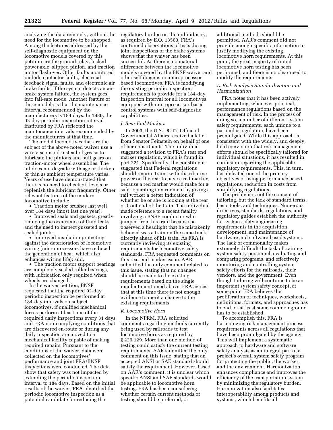analyzing the data remotely, without the need for the locomotive to be shopped. Among the features addressed by the self-diagnostic equipment on the locomotive models covered by this petition are the ground relay, locked power axle, slipped pinion, and traction motor flashover. Other faults monitored include contactor faults, electrical feedback signal faults, and electronic air brake faults. If the system detects an air brake system failure, the system goes into fail-safe mode. Another feature of these models is that the maintenance interval recommended by the manufacturers is 184 days. In 1980, the 92-day periodic-inspection interval instituted by FRA reflected the maintenance intervals recommended by the manufacturers at that time.

The model locomotives that are the subject of the above noted waiver use a very viscous oil instead of grease to lubricate the pinions and bull gears on traction-motor wheel assemblies. The oil does not degrade with age or thicken or thin as ambient temperature varies. Years of use have demonstrated that there is no need to check oil levels or replenish the lubricant frequently. Other relevant features of the modern locomotive include:

• Traction motor brushes last well over 184 days (most last one year);

• Improved seals and gaskets, greatly reducing the occurrence of fluid leaks and the need to inspect gusseted and sealed joints;

• Improved insulation protecting against the deterioration of locomotive wiring (microprocessors have reduced the generation of heat, which also enhances wiring life); and,

• The traction motor support bearings are completely sealed roller bearings, with lubrication only required when wheels are changed.

In the waiver petition, BNSF requested that the required 92-day periodic inspection be performed at 184-day intervals on subject locomotives, if qualified mechanical forces perform at least one of the required daily inspections every 31 days and FRA non-complying conditions that are discovered en-route or during any daily inspection are moved to a mechanical facility capable of making required repairs. Pursuant to the conditions of the waiver, data were collected on the locomotives' performance and joint FRA/BNSF inspections were conducted. The data show that safety was not impacted by extending the periodic inspection interval to 184 days. Based on the initial results of the waiver, FRA identified the periodic locomotive inspection as a potential candidate for reducing the

regulatory burden on the rail industry, as required by E.O. 13563. FRA's continued observations of tests during joint inspections of the brake systems shows that the waiver has been successful. As there is no material difference between the locomotive models covered by the BNSF waiver and other self diagnostic microprocessorbased locomotives, FRA is modifying the existing periodic inspection requirements to provide for a 184-day inspection interval for all locomotives equipped with microprocessor-based control systems with self-diagnostic capabilities.

#### *J. Rear End Markers*

In 2003, the U.S. DOT's Office of Governmental Affairs received a letter from Senator Feinstein on behalf of one of her constituents. The individual suggested a revision to FRA's rear end marker regulation, which is found in part 221. Specifically, the constituent suggested that Federal regulations should require trains with distributive power on the rear to have a red marker, because a red marker would make for a safer operating environment by giving a rail worker a better indication of whether he or she is looking at the rear or front end of the train. The individual made reference to a recent fatality involving a BNSF conductor who jumped from his train because he observed a headlight that he mistakenly believed was a train on the same track, directly ahead of his train. As FRA is currently reviewing its existing requirements for locomotive safety standards, FRA requested comments on this rear end marker issue. AAR submitted the only comment related to this issue, stating that no changes should be made to the existing requirements based on the single incident mentioned above. FRA agrees that at this time there is not enough evidence to merit a change to the existing requirements.

# *K. Locomotive Horn*

In the NPRM, FRA solicited comments regarding methods currently being used by railroads to test locomotive horns as required by § 229.129. More than one method of testing could satisfy the current testing requirements. AAR submitted the only comment on this issue, stating that an accepted ANSI or SAE standard should satisfy the requirement. However, based on AAR's comment, it is unclear which specific ANSI and SAE standards would be applicable to locomotive horn testing. FRA has been considering whether certain current methods of testing should be preferred, or

additional methods should be permitted. AAR's comment did not provide enough specific information to justify modifying the existing locomotive horn requirements. At this point, the great majority of initial locomotive horn testing has been performed, and there is no clear need to modify the requirements.

# *L. Risk Analysis Standardization and Harmonization*

FRA notes that it has been actively implementing, whenever practical, performance regulations based on the management of risk. In the process of doing so, a number of different system safety requirements, each unique to a particular regulation, have been promulgated. While this approach is consistent with the widely, and deeply, held conviction that risk management efforts should be specifically tailored for individual situations, it has resulted in confusion regarding the applicable regulatory requirements. This, in turn, has defeated one of the primary objectives of using performance based regulations, reduction in costs from simplifying regulations.

The problem is not the concept of tailoring, but the lack of standard terms, basic tools, and techniques. Numerous directives, standards, regulations, and regulatory guides establish the authority for system safety engineering requirements in the acquisition, development, and maintenance of hardware and software-based systems. The lack of commonality makes extremely difficult the task of training system safety personnel, evaluating and comparing programs, and effectively monitoring and controlling system safety efforts for the railroads, their vendors, and the government. Even though tailoring will continue to be an important system safety concept, at some point FRA believes the proliferation of techniques, worksheets, definitions, formats, and approaches has to end, or at least some common ground has to be established.

To accomplish this, FRA is harmonizing risk management process requirements across all regulations that have been promulgated by the agency. This will implement a systematic approach to hardware and software safety analysis as an integral part of a project's overall system safety program for protecting the public, the worker, and the environment. Harmonization enhances compliance and improves the efficiency of the transportation system by minimizing the regulatory burden. Harmonization also facilitates interoperability among products and systems, which benefits all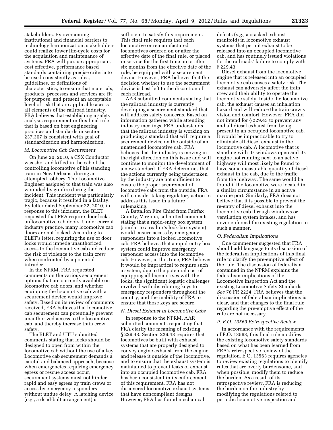stakeholders. By overcoming institutional and financial barriers to technology harmonization, stakeholders could realize lower life-cycle costs for the acquisition and maintenance of systems. FRA will pursue appropriate, cost effective, performance based standards containing precise criteria to be used consistently as rules, guidelines, or definitions of characteristics, to ensure that materials, products, processes and services are fit for purpose, and present an acceptable level of risk that are applicable across all elements of the railroad industry. FRA believes that establishing a safety analysis requirement in this final rule that is based on best engineering practices and standards in section 237.307 is consistent with goal of standardization and harmonization.

# *M. Locomotive Cab Securement*

On June 20, 2010, a CSX Conductor was shot and killed in the cab of the controlling locomotive of his standing train in New Orleans, during an attempted robbery. The Locomotive Engineer assigned to that train was also wounded by gunfire during the incident. This incident was particularly tragic, because it resulted in a fatality. By letter dated September 22, 2010, in response to this incident, the BLET requested that FRA require door locks on locomotive cab doors. Under current industry practice, many locomotive cab doors are not locked. According to BLET's letter, requiring the use of door locks would impede unauthorized access to the locomotive cab and reduce the risk of violence to the train crew when confronted by a potential intruder.

In the NPRM, FRA requested comments on the various securement options that are currently available on locomotive cab doors, and whether equipping the locomotive cab with a securement device would improve safety. Based on its review of comments received, FRA believes that locomotive cab securement can potentially prevent unauthorized access to the locomotive cab, and thereby increase train crew safety.

The BLET and UTU submitted comments stating that locks should be designed to open from within the locomotive cab without the use of a key. Locomotive cab securement demands a careful and balanced approach, because when emergencies requiring emergency egress or rescue access occur, securement systems must not hinder rapid and easy egress by train crews or access by emergency responders without undue delay. A latching device (e.g., a dead-bolt arrangement) is

sufficient to satisfy this requirement. This final rule requires that each locomotive or remanufactured locomotives ordered on or after the effective date of the final rule, or placed in service for the first time on or after six months from the effective date of the rule, be equipped with a securement device. However, FRA believes that the decision whether to use the securement device is best left to the discretion of each railroad.

AAR submitted comments stating that the railroad industry is currently developing a securement standard that will address safety concerns. Based on information gathered while attending industry meetings, FRA understands that the railroad industry is working on producing a standard that will require a securement device on the outside of an unattended locomotive cab. FRA believes that the industry is moving in the right direction on this issue and will continue to monitor the development of a new standard. If FRA determines that the actions currently being undertaken by the industry are not sufficient to ensure the proper securement of locomotive cabs from the outside, FRA will consider taking regulatory action to address this issue in a future rulemaking.

A Battalion Fire Chief from Fairfax County, Virginia, submitted comments stating that a rapid-entry box system (similar to a realtor's lock-box system) would ensure access by emergency responders into a locked locomotive cab. FRA believes that a rapid-entry box system could improve emergency responder access into the locomotive cab. However, at this time, FRA believes it would be impractical to require such a system, due to the potential cost of equipping all locomotives with the locks, the significant logistic challenges involved with distributing keys to emergency responders throughout the country, and the inability of FRA to ensure that those keys are secure.

#### *N. Diesel Exhaust in Locomotive Cabs*

In response to the NPRM, AAR submitted comments requesting that FRA clarify the meaning of existing § 229.43. Section 229.43 requires that locomotives be built with exhaust systems that are properly designed to convey engine exhaust from the engine and release it outside of the locomotive, and to ensure that the exhaust system is maintained to prevent leaks of exhaust into an occupied locomotive cab. FRA has been consistent in its enforcement of this requirement. FRA has not discovered locomotive exhaust systems that have noncompliant designs. However, FRA has found mechanical

defects (*e.g.,* a cracked exhaust manifold) in locomotive exhaust systems that permit exhaust to be released into an occupied locomotive cab, and has routinely issued violations for the railroads' failure to comply with § 229.43.

Diesel exhaust from the locomotive engine that is released into an occupied locomotive cab causes a safety risk. The exhaust can adversely affect the train crew and their ability to operate the locomotive safely. Inside the locomotive cab, the exhaust causes an inhalation hazard and will reduce the train crew's vision and comfort. However, FRA did not intend for § 229.43 to prevent any and all diesel exhaust from being present in an occupied locomotive cab. It would be impracticable to try to eliminate all diesel exhaust in the locomotive cab. A locomotive that is standing with its windows open and its engine not running next to an active highway will most likely be found to have some measurable quantity of diesel exhaust in the cab, due to the traffic from the highway. The same would be found if the locomotive were located in a similar circumstance in an active marine port. Similarly, FRA does not believe that it is possible to prevent the re-entry of diesel exhaust into the locomotive cab through windows or ventilation system intakes, and has never enforced the existing regulation in such a manner.

# *O. Federalism Implications*

One commenter suggested that FRA should add language to its discussion of the federalism implications of this final rule to clarify the pre-emptive effect of the rule. The discussion of federalism contained in the NPRM explains the federalism implications of the Locomotive Inspection Act and the existing Locomotive Safety Standards. *See* 76 FR 2224. FRA believes that the discussion of federalism implications is clear, and that changes to the final rule regarding the pre-emptive effect of the rule are not necessary.

# *P. E.O. 13563 Retrospective Review*

In accordance with the requirements of E.O. 13563, this final rule modifies the existing locomotive safety standards based on what has been learned from FRA's retrospective review of the regulation. E.O. 13563 requires agencies to review existing regulations to identify rules that are overly burdensome, and when possible, modify them to reduce the burden. As a result of its retrospective review, FRA is reducing the burden on the industry by modifying the regulations related to periodic locomotive inspection and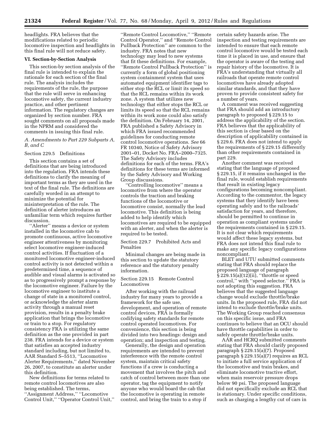headlights. FRA believes that the modifications related to periodic locomotive inspection and headlights in this final rule will not reduce safety.

# **VI. Section-by-Section Analysis**

This section-by section analysis of the final rule is intended to explain the rationale for each section of the final rule. The analysis includes the requirements of the rule, the purpose that the rule will serve in enhancing locomotive safety, the current industry practice, and other pertinent information. The regulatory changes are organized by section number. FRA sought comments on all proposals made in the NPRM and considered the comments in issuing this final rule.

*A. Amendments to Part 229 Subparts A, B, and C* 

#### Section 229.5 Definitions

This section contains a set of definitions that are being introduced into the regulation. FRA intends these definitions to clarify the meaning of important terms as they are used in the text of the final rule. The definitions are carefully worded in an attempt to minimize the potential for misinterpretation of the rule. The definition of alerter introduces an unfamiliar term which requires further discussion.

''Alerter'' means a device or system installed in the locomotive cab to promote continuous, active locomotive engineer attentiveness by monitoring select locomotive engineer-induced control activities. If fluctuation of a monitored locomotive engineer-induced control activity is not detected within a predetermined time, a sequence of audible and visual alarms is activated so as to progressively prompt a response by the locomotive engineer. Failure by the locomotive engineer to institute a change of state in a monitored control, or acknowledge the alerter alarm activity through a manual reset provision, results in a penalty brake application that brings the locomotive or train to a stop. For regulatory consistency FRA is utilizing the same definition as the one provided in part 238. FRA intends for a device or system that satisfies an accepted industry standard including, but not limited to, AAR Standard S–5513, ''Locomotive Alerter Requirements,'' dated November 26, 2007, to constitute an alerter under this definition.

New definitions for terms related to remote control locomotives are also being established. The terms, ''Assignment Address,'' ''Locomotive Control Unit,'' ''Operator Control Unit,''

''Remote Control Locomotive,'' ''Remote Control Operator,'' and ''Remote Control Pullback Protection'' are common to the industry. FRA notes that new technology may lead to new systems that fit these definitions. For example, ''Remote Control Pullback Protection'' is currently a form of global positioning system containment system that uses automated equipment identifier tags to either stop the RCL or limit its speed so that the RCL remains within its work zone. A system that utilizes new technology that either stops the RCL or limits its speed so that the RCL remains within its work zone could also satisfy the definition. On February 14, 2001, FRA published a Safety Advisory in which FRA issued recommended guidelines for conducting remote control locomotive operations. *See* 66 FR 10340, Notice of Safety Advisory 2001–01, Docket No. FRA–2000–7325. The Safety Advisory includes definitions for each of the terms. FRA's definitions for these terms are informed by the Safety Advisory and Working Group discussions.

'Controlling locomotive'' means a locomotive from where the operator controls the traction and braking functions of the locomotive or locomotive consist, normally the lead locomotive. This definition is being added to help identify which locomotives are required to be equipped with an alerter, and when the alerter is required to be tested.

Section 229.7 Prohibited Acts and Penalties

Minimal changes are being made in this section to update the statutory reference and the statutory penalty information.

Section 229.15 Remote Control Locomotives

After working with the railroad industry for many years to provide a framework for the safe use, development, and operation of remote control devices, FRA is formally codifying safety standards for remote control operated locomotives. For convenience, this section is being divided into two headings: design and operation; and inspection and testing.

Generally, the design and operation requirements are intended to prevent interference with the remote control system, maintain critical safety functions if a crew is conducting a movement that involves the pitch and catch of control between more than one operator, tag the equipment to notify anyone who would board the cab that the locomotive is operating in remote control, and bring the train to a stop if

certain safety hazards arise. The inspection and testing requirements are intended to ensure that each remote control locomotive would be tested each time it is placed in use, and ensure that the operator is aware of the testing and repair history of the locomotive. It is FRA's understanding that virtually all railroads that operate remote control locomotives have already adopted similar standards, and that they have proven to provide consistent safety for a number of years.

A comment was received suggesting that FRA should add an introductory paragraph to proposed § 229.15 to address the applicability of the section. FRA believes that the applicability of this section is clear based on the description of applicability contained in § 229.6. FRA does not intend to apply the requirements of § 229.15 differently than other requirements contained in part 229.

Another comment was received stating that the language of proposed § 229.15, if it remains unchanged in the final rule, would establish requirements that result in existing legacy configurations becoming noncompliant. According to the commentor, the legacy systems that they identify have been operating safely and to the railroads' satisfaction for years, and therefore, should be permitted to continue in operation as compliant systems under the requirements contained in § 229.15. It is not clear which requirements would affect these legacy systems, but FRA does not intend this final rule to make any specific legacy configurations noncompliant.

BLET and UTU submitted comments stating that FRA should replace the proposed language of paragraph § 229.15(a)(12)(ii), "throttle or speed control,'' with ''speed selector.'' FRA is not adopting this suggestion. FRA believes that the suggested language change would exclude throttle/brake units. In the proposed rule, FRA did not intend to exclude throttle/brake units. The Working Group reached consensus on this specific issue, and FRA continues to believe that an OCU should have throttle capabilities in order to safely operate throttle/brake units.

AAR and HCRQ submitted comments stating that FRA should clarify proposed paragraph § 229.15(a)(7). Proposed paragraph § 229.15(a)(7) requires an RCL to initiate a full service application of the locomotive and train brakes, and eliminate locomotive tractive effort, when main reservoir pressure drops below 90 psi. The proposed language did not specifically exclude an RCL that is stationary. Under specific conditions, such as charging a lengthy cut of cars in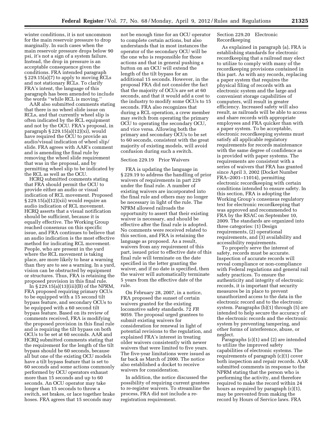winter conditions, it is not uncommon for the main reservoir pressure to drop marginally. In such cases when the main reservoir pressure drops below 90 psi, it's not a sign of a system failure. Instead, the drop in pressure is an acceptable consequence given the conditions. FRA intended paragraph § 229.15(a)(7) to apply to moving RCLs and not stationary RCLs. To clarify FRA's intent, the language of this paragraph has been amended to include the words ''while RCL is moving.''

AAR also submitted comments stating that there is no wheel slide issue on RCLs, and that currently wheel slip is often indicated by the RCL equipment and not by the OCU. FRA's proposal, in paragraph § 229.15(a)(12)(xi), would have required the OCU to provide an audio/visual indication of wheel slip/ slide. FRA agrees with AAR's comment and is amending the final rule by removing the wheel slide requirement that was in the proposal, and by permitting wheel slip to be indicated by the RCL as well as the OCU.

HCRQ submitted comments stating that FRA should permit the OCU to provide either an audio or visual indication of RCL movement. Proposed  $\S 229.15(a)(12)(xii)$  would require an audio indication of RCL movement. HCRQ asserts that a visual notification should be sufficient, because it is equally effective. The Working Group reached consensus on this specific issue, and FRA continues to believe that an audio indication is the most effective method for indicating RCL movement. People, who are present in the yard where the RCL movement is taking place, are more likely to hear a warning than they are to see a warning. In a yard, vision can be obstructed by equipment or structures. Thus, FRA is retaining the proposed provision in this final rule.

In  $\S 229.15(a)(13)(iii)(B)$  of the NPRM, FRA proposed requiring primary OCUs to be equipped with a 15 second tilt bypass feature, and secondary OCUs to be equipped with a 60 second tilt bypass feature. Based on its review of comments received, FRA is modifying the proposed provision in this final rule and is requiring the tilt bypass on both OCUs to be set at 60 seconds. AAR and HCRQ submitted comments stating that the requirement for the length of the tilt bypass should be 60 seconds, because all but one of the existing OCU models have a tilt bypass feature that is set to 60 seconds and some actions commonly performed by OCU operators exhaust more than 15 seconds and up to 60 seconds. An OCU operator may take longer than 15 seconds to throw a switch, set brakes, or lace together brake hoses. FRA agrees that 15 seconds may

not be enough time for an OCU operator to complete certain actions, but also understands that in most instances the operator of the secondary OCU will be the one who is responsible for those actions and that in general pushing a button on an OCU will extend the length of the tilt bypass for an additional 15 seconds. However, in the proposal FRA did not consider the fact that the majority of OCUs are set at 60 seconds, and that it would add a cost to the industry to modify some OCUs to 15 seconds. FRA also recognizes that during a RCL operation, a crew member may switch from operating the primary OCU to operating the secondary OCU, and vice versa. Allowing both the primary and secondary OCUs to be set to 60 seconds, consistent with the great majority of existing models, will avoid confusion during such a switch.

# Section 229.19 Prior Waivers

FRA is updating the language in § 229.19 to address the handling of prior waivers of requirements in part 229 under the final rule. A number of existing waivers are incorporated into the final rule and others may no longer be necessary in light of the rule. The NPRM allowed railroads the opportunity to assert that their existing waiver is necessary, and should be effective after the final rule is adopted. No comments were received related to this section, and FRA is retaining the language as proposed. As a result, waivers from any requirement of this part, issued prior to effective date of this final rule will terminate on the date specified in the letter granting the waiver, and if no date is specified, then the waiver will automatically terminate 5 years from the effective date of the rule.

On February 28, 2007, in a notice, FRA proposed the sunset of certain waivers granted for the existing locomotive safety standards. 72 *FR*  9059. The proposal urged grantees to submit existing waivers for consideration for renewal in light of potential revisions to the regulation, and explained FRA's interest in treating older waivers consistently with newer waivers that were limited to five years. The five-year limitations were issued as far back as March of 2000. The notice also established a docket to receive waivers for consideration.

In addition, the notice discussed the possibility of requiring current grantees to re-register waivers. To streamline the process, FRA did not include a reregistration requirement.

Section 229.20 Electronic Recordkeeping

As explained in paragraph (a), FRA is establishing standards for electronic recordkeeping that a railroad may elect to utilize to comply with many of the recordkeeping provisions contained in this part. As with any records, replacing a paper system that requires the physical filing of records with an electronic system and the large and convenient storage capabilities of computers, will result in greater efficiency. Increased safety will also result, as railroads will be able to access and share records with appropriate employees and FRA quicker than with a paper system. To be acceptable, electronic recordkeeping systems must satisfy all applicable regulatory requirements for records maintenance with the same degree of confidence as is provided with paper systems. The requirements are consistent with a series of waivers that FRA has granted since April 3, 2002 (Docket Number FRA–2001–11014), permitting electronic recordkeeping with certain conditions intended to ensure safety. In this section, FRA is adopting the Working Group's consensus regulatory text for electronic recordkeeping that was approved and recommended to FRA by the RSAC on September 10, 2009. The standards are organized into three categories: (1) Design requirements, (2) operational requirements, and (3) availability and accessibility requirements.

To properly serve the interest of safety, records must be accurate. Inspection of accurate records will reveal compliance or non-compliance with Federal regulations and general rail safety practices. To ensure the authenticity and integrity of electronic records, it is important that security measures be in place to prevent unauthorized access to the data in the electronic record and to the electronic system. Paragraphs (b)(1) through (5) are intended to help secure the accuracy of the electronic records and the electronic system by preventing tampering, and other forms of interference, abuse, or neglect.

Paragraphs (c)(1) and (2) are intended to utilize the improved safety capabilities of electronic systems. The requirements of paragraph (c)(1) cover both inspection and repair records. AAR submitted comments in response to the NPRM stating that the person who is performing the activity, and therefore required to make the record within 24 hours as required by paragraph (c)(1), may be prevented from making the record by Hours of Service laws. FRA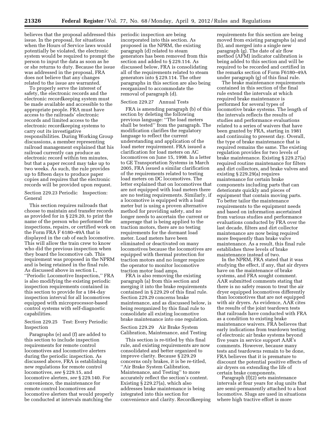believes that the proposal addressed this issue. In the proposal, for situations when the Hours of Service laws would potentially be violated, the electronic system would be required to prompt the person to input the data as soon as he or she returns to duty. Because the issue was addressed in the proposal, FRA does not believe that any changes related to the issue are warranted.

To properly serve the interest of safety, the electronic records and the electronic recordkeeping system must be made available and accessible to the appropriate people. FRA must have access to the railroads' electronic records and limited access to the electronic recordkeeping systems to carry out its investigative responsibilities. During Working Group discussions, a member representing railroad management explained that his railroad currently can produce an electronic record within ten minutes, but that a paper record may take up to two weeks. As such, the rule provides up to fifteen days to produce paper copies and requires that the electronic records will be provided upon request.

Section 229.23 Periodic Inspection: General

This section requires railroads that choose to maintain and transfer records as provided for in § 229.20, to print the name of the person who performed the inspections, repairs, or certified work on the Form FRA F 6180–49A that is displayed in the cab of each locomotive. This will allow the train crew to know who did the previous inspection when they board the locomotive cab. This requirement was proposed in the NPRM and is being retained in the final rule. As discussed above in section I., ''Periodic Locomotive Inspection,'' FRA is also modifying the existing periodic inspection requirements contained in this section to provide for a 184-day inspection interval for all locomotives equipped with microprocessor-based control systems with self-diagnostic capabilities.

Section 229.25 Test: Every Periodic Inspection

Paragraphs (e) and (f) are added to this section to include inspection requirements for remote control locomotives and locomotive alerters during the periodic inspection. As discussed above, FRA is establishing new regulations for remote control locomotives, *see* § 229.15, and locomotive alerters, *see* § 229.140. For convenience, the maintenance for remote control locomotives and locomotive alerters that would properly be conducted at intervals matching the

periodic inspection are being incorporated into this section. As proposed in the NPRM, the existing paragraph (d) related to steam generators has been removed from this section and added to § 229.114. As discussed below, FRA is consolidating all of the requirements related to steam generators into § 229.114. The other paragraphs in this section are also being reorganized to accommodate the removal of paragraph (d).

# Section 229.27 Annual Tests

FRA is amending paragraph (b) of this section by deleting the following previous language: ''The load meters shall be tested'' from the paragraph. The modification clarifies the regulatory language to reflect the current understanding and application of the load meter requirement. FRA issued a clarification for load meters on AC locomotives on June 15, 1998. In a letter to GE Transportation Systems in March 2005, FRA issued a similar clarification of the requirements related to testing load meters on DC locomotives. The letter explained that on locomotives that are not equipped with load meters there are no testing requirements. Similarly, if a locomotive is equipped with a load meter but is using a proven alternative method for providing safety, and no longer needs to ascertain the current or amperage that is being applied to the traction motors, there are no testing requirements for the dormant load meter. Load meters have been eliminated or deactivated on many locomotives because the locomotives are equipped with thermal protection for traction motors and no longer require the operator to monitor locomotive traction motor load amps.

FRA is also removing the existing paragraph (a) from this section and merging it into the brake requirements contained in § 229.29 of this final rule. Section 229.29 concerns brake maintenance, and as discussed below, is being reorganized by this final rule to consolidate all existing locomotive brake maintenance into one regulation.

Section 229.29 Air Brake System Calibration, Maintenance, and Testing

This section is re-titled by this final rule, and existing requirements are now consolidated and better organized to improve clarity. Because § 229.29 concerns only brakes, it is be re-titled, ''Air Brake System Calibration, Maintenance, and Testing'' to more accurately reflect the section's content. Existing § 229.27(a), which also addresses brake maintenance is being integrated into this section for convenience and clarity. Recordkeeping requirements for this section are being moved from existing paragraphs (a) and (b), and merged into a single new paragraph (g). The date of air flow method (AFM) indicator calibration is being added to this section and will be required to be recorded and certified in the remarks section of Form F6180–49A under paragraph (g) of this final rule.

The brake maintenance requirements contained in this section of the final rule extend the intervals at which required brake maintenance is performed for several types of locomotive brake systems. The length of the intervals reflects the results of studies and performance evaluations related to a series of waivers that have been granted by FRA, starting in 1981 and continuing to present day. Overall, the type of brake maintenance that is required remains the same. The existing regulation provides for two levels of brake maintenance. Existing § 229.27(a) required routine maintenance for filters and dirt collectors, and brake valves and existing § 229.29(a) requires maintenance for certain brake components including parts that can deteriorate quickly and pieces of equipment that contain moving parts. To better tailor the maintenance requirements to the equipment needs and based on information ascertained from various studies and performance evaluations conducted by FRA over the last decade, filters and dirt collector maintenance are now being required more frequently than brake valve maintenance. As a result, this final rule establishes three levels of brake maintenance instead of two.

In the NPRM, FRA stated that it was studying the effect, if any, that air dryers have on the maintenance of brake systems, and FRA sought comment. AAR submitted comments stating that there is no safety reason to treat the air dryer equipped locomotives differently than locomotives that are not equipped with air dryers. As evidence, AAR cites the results of the joint teardown tests that railroads have conducted with FRA as a condition to existing brake maintenance waivers. FRA believes that early indications from teardown testing of electronic air brake systems beyond five years in service support AAR's comments. However, because many tests and teardowns remain to be done, FRA believes that it is premature to discount the potential positive effects of air dryers on extending the life of certain brake components.

Paragraph (f)(2) sets maintenance intervals at four years for slug units that are semi-permanently attached to a host locomotive. Slugs are used in situations where high tractive effort is more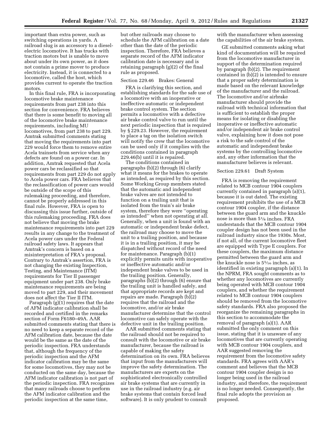important than extra power, such as switching operations in yards. A railroad slug is an accessory to a dieselelectric locomotive. It has trucks with traction motors but is unable to move about under its own power, as it does not contain a prime mover to produce electricity. Instead, it is connected to a locomotive, called the host, which provides current to operate the traction motors.

In this final rule, FRA is incorporating locomotive brake maintenance requirements from part 238 into this section for convenience. FRA believes that there is some benefit to moving all of the locomotive brake maintenance requirements, including MU locomotives, from part 238 to part 229. Amtrak submitted comments stating that moving the requirements into part 229 would force them to remove entire Acela trainsets from service when any defects are found on a power car. In addition, Amtrak requested that Acela power cars be reclassified so that requirements from part 229 do not apply to Acela power cars. FRA believes that the reclassification of power cars would be outside of the scope of this rulemaking proceeding, and therefore, cannot be properly addressed in this final rule. However, FRA is open to discussing this issue further, outside of this rulemaking proceeding. FRA does not believe that moving the brake maintenance requirements into part 229 results in any change to the treatment of Acela power cars under the Federal railroad safety laws. It appears that Amtrak's concern is based on a misinterpretation of FRA's proposal. Contrary to Amtrak's assertion, FRA is not changing the existing Inspection, Testing, and Maintenance (ITM) requirements for Tier II passenger equipment under part 238. Only brake maintenance requirements are being moved to part 229, and their movement does not affect the Tier II ITM.

Paragraph (g)(1) requires that the date of AFM indicator calibration shall be recorded and certified in the remarks section of Form F6180–49A. AAR submitted comments stating that there is no need to keep a separate record of the AFM calibration date, because the date would be the same as the date of the periodic inspection. FRA understands that, although the frequency of the periodic inspection and the AFM indicator calibration may be the same for some locomotives, they may not be conducted on the same day, because the AFM indicator calibration is not part of the periodic inspection. FRA recognizes that many railroads choose to perform the AFM indicator calibration and the periodic inspection at the same time,

but other railroads may choose to schedule the AFM calibration on a date other than the date of the periodic inspection. Therefore, FRA believes a separate record of the AFM indicator calibration date is necessary and is retaining paragraph (g)(2) of the final rule as proposed.

# Section 229.46 Brakes: General

FRA is clarifying this section, and establishing standards for the safe use of a locomotive with an inoperative or ineffective automatic or independent brake control system. The section permits a locomotive with a defective air brake control valve to run until the next periodic inspection that is required by § 229.23. However, the requirement to place a tag on the isolation switch will notify the crew that the locomotive can be used only if it complies with the conditions contained in paragraph 229.46(b) until it is repaired.

The conditions contained in paragraphs (b)(2) through (6) clarify what it means for the brakes to operate as intended, as required by this section. Some Working Group members stated that the automatic and independent brake valves are not intended to function on a trailing unit that is isolated from the train's air brake system, therefore they were ''operating as intended'' when not operating at all. Generally, when a unit is found with an automatic or independent brake defect, the railroad may choose to move the unit to a trailing position, and because it is in a trailing position, it may be dispatched without record of the need for maintenance. Paragraph (b)(1) explicitly permits units with inoperative or ineffective automatic and/or independent brake valves to be used in the trailing position. Generally, paragraphs (b)(2) through (6) ensure that the trailing unit is handled safely, and that appropriate records are kept and repairs are made. Paragraph (b)(2) requires that the railroad and the locomotive, and/or air brake manufacturer determine that the control locomotive can safely operate with the defective unit in the trailing position.

AAR submitted comments stating that the railroad should not be required to consult with the locomotive or air brake manufacturer, because the railroad is capable of making the safety determination on its own. FRA believes that input from the manufacturers will improve the safety determination. The manufacturers are experts on the sophisticated electronically controlled air brake systems that are currently in use in the railroad industry (e.g. air brake systems that contain forced lead software). It is only prudent to consult

with the manufacturer when assessing the capabilities of the air brake system.

GE submitted comments asking what kind of documentation will be required from the locomotive manufacturer in support of the determination required by paragraph (b)(2). The requirement contained in (b)(2) is intended to ensure that a proper safety determination is made based on the relevant knowledge of the manufacturer and the railroad. The locomotive and/or airbrake manufacturer should provide the railroad with technical information that is sufficient to establish the proper means for isolating or disabling the inoperative or ineffective automatic and/or independent air brake control valve, explaining how it does not pose a risk to the safe control of the automatic and independent brake systems by the controlling locomotive and, any other information that the manufacturer believes is relevant.

#### Section 229.61 Draft System

FRA is removing the requirement related to MCB contour 1904 couplers currently contained in paragraph (a)(1), because it is out dated. The existing requirement prohibits the use of a MCB contour 1904 coupler, if the distance between the guard arm and the knuckle nose is more than 51⁄8 inches. FRA understands that the MCB contour 1904 coupler design has not been used in the railroad industry since the 1930s. Most, if not all, of the current locomotive fleet are equipped with Type E couplers. For these couplers, the maximum distance permitted between the guard arm and the knuckle nose is 55⁄16 inches, as identified in existing paragraph (a)(1). In the NPRM, FRA sought comments as to whether any locomotives are currently being operated with MCB contour 1904 couplers, and whether the requirement related to MCB contour 1904 couplers should be removed from the locomotive safety standards. FRA also proposed the reorganize the remaining paragraphs in this section to accommodate the removal of paragraph (a)(1). AAR submitted the only comment on this issue, stating that it is unaware of any locomotives that are currently operating with MCB contour 1904 couplers, and AAR suggested removing the requirement from the locomotive safety standards. FRA agrees with AAR's comment and believes that the MCB contour 1904 coupler design is no longer being used in the railroad industry, and therefore, the requirement is no longer needed. Consequently, the final rule adopts the provision as proposed.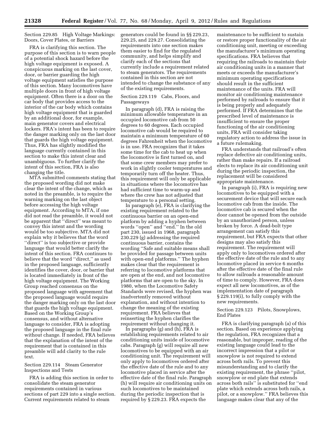Section 229.85 High Voltage Markings: Doors, Cover Plates, or Barriers

FRA is clarifying this section. The purpose of this section is to warn people of a potential shock hazard before the high voltage equipment is exposed. A conspicuous marking on the last cover, door, or barrier guarding the high voltage equipment satisfies the purpose of this section. Many locomotives have multiple doors in front of high voltage equipment. Often there is a door on the car body that provides access to the interior of the car body which contains high voltage equipment that is guarded by an additional door, for example, main generator covers and electrical lockers. FRA's intent has been to require the danger marking only on the last door that guards the high voltage equipment. Thus, FRA has slightly modified the language currently contained in this section to make this intent clear and unambiguous. To further clarify the intent of this section, FRA is also changing the title.

MTA submitted comments stating that the proposed wording did not make clear the intent of the change, which as noted in the preamble, is to require the warning marking on the last object before accessing the high voltage equipment. According to MTA, if one did not read the preamble, it would not be apparent that "direct" was meant to convey this intent and the wording would be too subjective. MTA did not explain why it believes that the word "direct" is too subjective or provide language that would better clarify the intent of this section. FRA continues to believe that the word ''direct,'' as used in the proposed language, sufficiently identifies the cover, door, or barrier that is located immediately in front of the high voltage equipment. The Working Group reached consensus on the proposed language with agreement that the proposed language would require the danger marking only on the last door that guards the high voltage equipment. Based on the Working Group's consensus, and without alternative language to consider, FRA is adopting the proposed language in the final rule without change. If needed, FRA believes that the explanation of the intent of the requirement that is contained in this preamble will add clarity to the rule text.

# Section 229.114 Steam Generator Inspections and Tests

FRA is adding this section in order to consolidate the steam generator requirements contained in various sections of part 229 into a single section. Current requirements related to steam

generators could be found in §§ 229.23, 229.25, and 229.27. Consolidating the requirements into one section makes them easier to find for the regulated community, and helps simplify and clarify each of the sections that currently include a requirement related to steam generators. The requirements contained in this section are not intended to change the substance of any of the existing requirements.

# Section 229.119 Cabs, Floors, and Passageways

In paragraph (d), FRA is raising the minimum allowable temperature in an occupied locomotive cab from 50 degrees to 60 degrees. Each occupied locomotive cab would be required to maintain a minimum temperature of 60 degrees Fahrenheit when the locomotive is in use. FRA recognizes that it takes some time for the cab to heat up when the locomotive is first turned on, and that some crew members may prefer to work in slightly cooler temperatures and temporarily turn off the heater. Thus, this requirement will only be applicable in situations where the locomotive has had sufficient time to warm-up and where the crew has not adjusted that temperature to a personal setting.

In paragraph (e), FRA is clarifying the existing requirement related to the continuous barrier on an open-end platform by adding a hyphen between words ''open'' and ''end.'' In the old part 230, issued in 1968, paragraph 230.229 (g) addressing the required continuous barrier, contains the wording ''Safe and suitable means shall be provided for passage between units with open-end platforms.'' The hyphen makes clear that the requirement is referring to locomotive platforms that are open at the end, and not locomotive platforms that are open to the sky. In 1980, when the Locomotive Safety Standards were revised, the hyphen was inadvertently removed without explanation, and without intention to change the meaning of the existing requirement. FRA believes that reinserting the hyphen clarifies the requirement without changing it.

In paragraphs (g) and (h), FRA is establishing requirements related to air conditioning units inside of locomotive cabs. Paragraph (g) will require all new locomotives to be equipped with an air conditioning unit. The requirement will only apply to locomotives ordered after the effective date of the rule and to any locomotive placed in service after the effective date of the final rule. Paragraph (h) will require air conditioning units on such locomotives to be maintained during the periodic inspection that is required by § 229.23. FRA expects the

maintenance to be sufficient to sustain or restore proper functionality of the air conditioning unit, meeting or exceeding the manufacturer's minimum operating specifications. FRA believes that requiring the railroads to maintain their air conditioning units in a manner that meets or exceeds the manufacturer's minimum operating specifications should result in the sufficient maintenance of the units. FRA will monitor air conditioning maintenance performed by railroads to ensure that it is being properly and adequately performed. If FRA determines that the prescribed level of maintenance is insufficient to ensure the proper functioning of the air conditioning units, FRA will consider taking regulatory action to address the issue in a future rulemaking.

FRA understands that railroad's often replace defective air conditioning units, rather than make repairs. If a railroad elects to replace its air conditioning unit during the periodic inspection, the replacement will be considered appropriate maintenance.

In paragraph (i), FRA is requiring new locomotives to be equipped with a securement device that will secure each locomotive cab from the inside. The locomotive cab is secured when the door cannot be opened from the outside by an unauthorized person, unless broken by force. A dead-bolt type arrangement can satisfy this requirement, but FRA expects that other designs may also satisfy this requirement. The requirement will apply only to locomotives ordered after the effective date of the rule and to any locomotive placed in service 6 months after the effective date of the final rule to allow railroads a reasonable amount of time to comply. However, FRA does expect all new locomotives, as of the implementation date of paragraph § 229.119(i), to fully comply with the new requirements.

# Section 229.123 Pilots, Snowplows, End Plates

FRA is clarifying paragraph (a) of this section. Based on experience applying the regulation, FRA recognizes that a reasonable, but improper, reading of the existing language could lead to the incorrect impression that a pilot or snowplow is not required to extend across both rails. To prevent this misunderstanding and to clarify the existing requirement, the phrase ''pilot, snowplow or end plate that extends across both rails'' is substituted for ''end plate which extends across both rails, a pilot, or a snowplow.'' FRA believes this language makes clear that any of the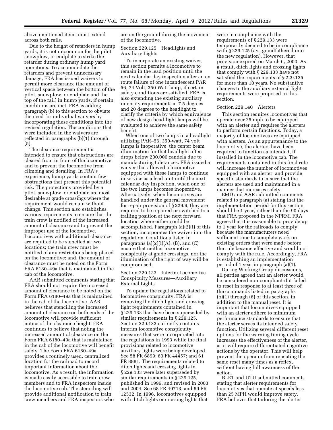above mentioned items must extend across both rails.

Due to the height of retarders in hump yards, it is not uncommon for the pilot, snowplow, or endplate to strike the retarder during ordinary hump yard operations. To accommodate the retarders and prevent unnecessary damage, FRA has issued waivers to permit more clearance (the amount of vertical space between the bottom of the pilot, snowplow, or endplate and the top of the rail) in hump yards, if certain conditions are met. FRA is adding paragraph (b) to this section to obviate the need for individual waivers by incorporating these conditions into the revised regulation. The conditions that were included in the waivers are reflected in paragraphs (b)(1) through (5).

The clearance requirement is intended to ensure that obstructions are cleared from in front of the locomotive and to prevent the locomotive from climbing and derailing. In FRA's experience, hump yards contain few obstructions that present this potential risk. The protections provided by a pilot, snowplow, or endplate are most desirable at grade crossings where the requirement would remain without change. This section also establishes various requirements to ensure that the train crew is notified of the increased amount of clearance and to prevent the improper use of the locomotive. Locomotives with additional clearance are required to be stenciled at two locations; the train crew must be notified of any restrictions being placed on the locomotive; and, the amount of clearance must be noted on the Form FRA 6180–49a that is maintained in the cab of the locomotive.

AAR submitted comments stating that FRA should not require the increased amount of clearance to be noted on the Form FRA 6180–49a that is maintained in the cab of the locomotive. AAR believes that stenciling the increased amount of clearance on both ends of the locomotive will provide sufficient notice of the clearance height. FRA continues to believe that noting the increased amount of clearance on the Form FRA 6180–49a that is maintained in the cab of the locomotive will benefit safety. The Form FRA 6180–49a provides a routinely used, centralized location for the railroad to record important information about the locomotive. As a result, the information is made easily accessible to train crew members and to FRA inspectors inside the locomotive cab. The stenciling will provide additional notification to train crew members and FRA inspectors who

are on the ground during the movement of the locomotive.

# Section 229.125 Headlights and Auxiliary Lights

To incorporate an existing waiver, this section permits a locomotive to remain in the lead position until the next calendar day inspection after an en route failure of one incandescent PAR 56, 74 Volt, 350 Watt lamp, if certain safety conditions are satisfied. FRA is also extending the existing auxiliary intensity requirements at 7.5 degrees and 20 degrees to the headlight to clarify the criteria by which equivalence of new design head-light lamps will be evaluated to achieve the same safety benefit.

When one of two lamps in a headlight utilizing PAR–56, 350-watt, 74 volt lamps is inoperative, the center beam illumination for that headlight often drops below 200,000 candela due to manufacturing tolerances. FRA issued a waiver that allowed a locomotive equipped with these lamps to continue in service as a lead unit until the next calendar day inspection, when one of the two lamps becomes inoperative. Alternatively, when locomotives are handled under the general movement for repair provision of § 229.9, they are required to be repaired or switched to a trailing position at the next forward location where either could be accomplished. Paragraph (a)(2)(i) of this section, incorporates the waiver into the regulation. Conditions listed in paragraphs  $(a)(2)(i)(A)$ ,  $(B)$ , and  $(C)$ ensure that neither locomotive conspicuity at grade crossings, nor the illumination of the right of way will be compromised.

Section 229.133 Interim Locomotive Conspicuity Measures—Auxiliary External Lights

To update the regulations related to locomotive conspicuity, FRA is removing the ditch light and crossing light requirements contained in § 229.133 that have been superseded by similar requirements in § 229.125. Section 229.133 currently contains interim locomotive conspicuity measures that were incorporated into the regulations in 1993 while the final provisions related to locomotive auxiliary lights were being developed. See 58 FR 6899; 60 FR 44457; and 61 FR 8881. The requirements related to ditch lights and crossing lights in § 229.133 were later superseded by similar requirements in § 229.125, published in 1996, and revised in 2003 and 2004. See 68 FR 49713; and 69 FR 12532. In 1996, locomotives equipped with ditch lights or crossing lights that

were in compliance with the requirements of § 229.133 were temporarily deemed to be in compliance with § 229.125 (*i.e.,* grandfathered into the new regulation). However, that provision expired on March 6, 2000. As a result, ditch lights and crossing lights that comply with § 229.133 have not satisfied the requirements of § 229.125 for more than 10 years. No substantive changes to the auxiliary external light requirements were proposed in this section.

#### Section 229.140 Alerters

This section requires locomotives that operate over 25 mph to be equipped with an alerter and requires the alerters to perform certain functions. Today, a majority of locomotives are equipped with alerters. As an appurtenance to the locomotive, the alerters have been required to function as intended, if installed in the locomotive cab. The requirements contained in this final rule will increase the number of locomotives equipped with an alerter, and provide specific standards to ensure that the alerters are used and maintained in a manner that increases safety.

EMD and AAR submitted comments related to paragraph (a) stating that the implementation period for this section should be 1 year, rather than the 90 days that FRA proposed in the NPRM. FRA agrees that it is reasonable to provide up to 1 year for the railroads to comply, because the manufacturers need sufficient time to complete work on existing orders that were made before the rule became effective and would not comply with the rule. Accordingly, FRA is establishing an implementation period of 1 year in paragraph (a)(1).

During Working Group discussions, all parties agreed that an alerter would be considered non-compliant if it failed to reset in response to at least three of the commands listed in paragraphs (b)(1) through (6) of this section, in addition to the manual reset. It is important that locomotives equipped with an alerter adhere to minimum performance standards to ensure that the alerter serves its intended safety function. Utilizing several different reset options for the warning timing cycle increases the effectiveness of the alerter, as it will require differentiated cognitive actions by the operator. This will help prevent the operator from repeating the same reset many times as a reflex, without having full awareness of the action.

BLET and UTU submitted comments stating that alerter requirements for locomotives that operate at speeds less than 25 MPH would improve safety. FRA believes that tailoring the alerter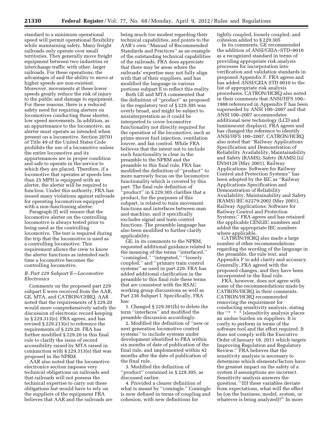standard to a minimum operational speed will permit operational flexibility while maintaining safety. Many freight railroads only operate over small territories. They generally move freight equipment between two industries or interchange traffic with other, larger railroads. For these operations, the advantages of and the ability to move at higher speeds are non-existent. Moreover, movements at these lower speeds greatly reduce the risk of injury to the public and damage to equipment. For these reasons, there is a reduced safety need for requiring alerters on locomotives conducting these shorter, low speed movements. In addition, as an appurtenance to the locomotive, an alerter must operate as intended when present on a locomotive. Section 20701 of Title 49 of the United States Code prohibits the use of a locomotive unless the entire locomotive and its appurtenances are in proper condition and safe to operate in the service to which they are placed. Therefore, if a locomotive that operates at speeds less than 25 MPH is equipped with an alerter, the alerter will be required to function. Under this authority, FRA has issued many violations against railroads for operating locomotives equipped with a non-functioning alerter.

Paragraph (f) will ensure that the locomotive alerter on the controlling locomotive is always tested prior to being used as the controlling locomotive. The test is required during the trip that the locomotive is used as a controlling locomotive. This requirement allows the crew to know the alerter functions as intended each time a locomotive becomes the controlling locomotive.

# *B. Part 229 Subpart E—Locomotive Electronics*

Comments on the proposed part 229 subpart E were received from the AAR, GE, MTA, and CATRON/CHRQ. AAR noted that the requirements of § 229.20 would more comprehensively satisfy the discussion of electronic record keeping in § 229.313(e). FRA agrees, and has revised § 229.213(e) to reference the requirements of § 229.20. FRA has further modified § 229.20 in this final rule to clarify the issue of record accessibility raised by MTA raised in conjunction with § 229.313(e) that was proposed in the NPRM.

AAR also noted that the locomotive electronics section imposes very technical obligations on railroads and that railroads will not possess the technical expertise to carry out these obligations but would have to rely on the suppliers of the equipment FRA believes that AAR and the railroads are being much too modest regarding their technical capabilities, and points to the AAR's own ''Manual of Recommended Standards and Practices'' as an example of the outstanding technical capabilities of the railroads. FRA does appreciate that there may be areas where the railroads' expertise may not fully align with that of their suppliers, and has modified the language in various portions subpart E to reflect this reality.

Both GE and MTA commented that the definition of ''product'' as proposed in the regulatory text of § 229.305 was overly broad, and might be subject to misinterpretation as it could be interpreted to cover locomotive functionality not directly required for the operation of the locomotive, such as prime mover fuel injection, ventilation louver, and fan control. While FRA believes that the intent not to include such functionality is clear in the preamble to the NPRM and the preamble to this final rule, FRA has modified the definition of ''product'' to more narrowly focus on the locomotive functionality which is covered by this part. The final rule definition of 'product'' in § 229.305 clarifies that a product, for the purposes of this subpart, is related to train movement functions and interfaces between man and machine, and it specifically excludes signal and train control functions. The preamble language has also been modified to further clarify applicability.

GE, in its comments to the NPRM, requested additional guidance related to the meaning of the terms ''interfaced,'' ''comingled,'' ''integrated,'' ''loosely coupled,'' and ''primary train control systems'' as used in part 229. FRA has added additional clarification in the preamble to this final rule these terms that are consistent with the RSAC working group discussions as well as Part 236 Subpart I. Specifically, FRA has:

1. Changed § 229.301(b) to delete the term ''interfaces'' and modified the preamble discussion accordingly.

2. Modified the definition of ''new or next generation locomotive control systems'' to include systems under development identified to FRA within six months of date of publication of the final rule, and implemented within 42 months after the date of publication of the final rule.

3. Modified the definition of ''product'' contained in § 229.305, as discussed earlier.

4. Provided a clearer definition of what is meant by ''comingle.'' Comingle is now defined in terms of coupling and cohesion, with new definitions for

tightly coupled, loosely coupled, and cohesion added to § 229.305

In its comments, GE recommended the addition of ANSI/GEIA–STD–0010 as a recognized standard in terms of providing appropriate risk analysis processes for incorporation into verification and validation standards in proposed Appendix F. FRA agrees and has added ANSI/GEIA STD 0010 to the list of appropriate risk analysis procedures. CATRON/HCRQ also noted in their comments that ANSI/HFS 100– 1988 referenced in Appendix F has been superseded by ANSI 100–2007 and that ANSI 100–2007 accommodates additional new technology (LCD and luminescent displays). FRA agrees and has changed the reference to identify ANSI/HFS 100–2007. CATRON/HCRQ also noted that ''Railway Applications Specification and Demonstration of Reliability Availability, Maintainability and Safety (RAMS); Safety (RAMS) (ii) EN50128 (May 2001), Railway Applications: Software for Railway Control and Protection Systems'' has been adopted by the IEC as ''Railway Applications Specification and Demonstration of Reliability Availability, Maintainability and Safety (RAMS) IEC 62279:2002 (May 2001), Railway Applications: Software for Railway Control and Protection Systems;'' FRA agrees and has retained the applicable CENLEC numbers and added the appropriate IEC numbers where applicable.

CATRON/HCRQ also made a large number of other recommendations regarding the wording of the language in the preamble, the rule text, and Appendix F to add clarity and accuracy. Generally, FRA agreed with the proposed changes, and they have been incorporated in the final rule.

FRA, however, does not agree with some of the recommendations made by CATRON/HCRQ in their comments. CATRON/HCRQ recommended removing the requirement for conducting sensitivity analysis, stating the "\*  $\overline{\cdot}$  " [s]ensitivity analysis places an undue burden on suppliers. It is costly to perform in terms of the software tool and the effort required. It does not comply with the Executive Order of January 18, 2011 which targets Improving Regulation and Regulatory Review.'' FRA believes that the sensitivity analysis is necessary to determine which elements/factors have the greatest impact on the safety of a system if assumptions are incorrect. Sensitivity analysis answers the question. ''[I]f these variables deviate from expectations, what will the effect be (on the business, model, system, or whatever is being analyzed)?'' In more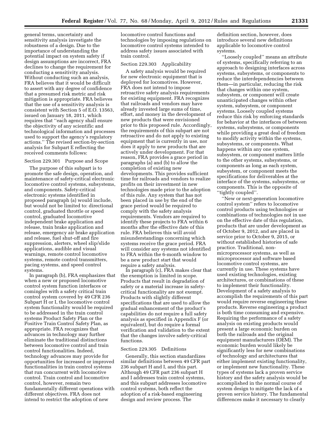general terms, uncertainty and sensitivity analysis investigate the robustness of a design. Due to the importance of understanding the potential impact on system safety if design assumptions are incorrect, FRA declines to change the requirement for conducting a sensitivity analysis. Without conducting such an analysis, FRA believes that it would be difficult to assert with any degree of confidence that a presumed risk metric and risk mitigation is appropriate. FRA believes that the use of a sensitivity analysis is consistent with Section 5 of E.O. 13563, issued on January 18, 2011, which requires that ''each agency shall ensure the objectivity of any scientific and technological information and processes used to support the agency's regulatory actions.'' The revised section-by-section analysis for Subpart E reflecting the received comments follows:

# Section 229.301 Purpose and Scope

The purpose of this subpart is to promote the safe design, operation, and maintenance of safety-critical electronic locomotive control systems, subsystems, and components. Safety-critical electronic systems identified in proposed paragraph (a) would include, but would not be limited to: directional control, graduated throttle or speed control, graduated locomotive independent brake application and release, train brake application and release, emergency air brake application and release, fuel shut-off and fire suppression, alerters, wheel slip/slide applications, audible and visual warnings, remote control locomotive systems, remote control transmitters, pacing systems, and speed control systems.

In paragraph (b), FRA emphasizes that when a new or proposed locomotive control system function interfaces or comingles with a safety critical train control system covered by 49 CFR 236 Subpart H or I, the locomotive control system functionality would be required to be addressed in the train control systems Product Safety Plan or the Positive Train Control Safety Plan, as appropriate. FRA recognizes that advances in technology may further eliminate the traditional distinctions between locomotive control and train control functionalities. Indeed, technology advances may provide for opportunities for increased or improved functionalities in train control systems that run concurrent with locomotive control. Train control and locomotive control, however, remain two fundamentally different operations with different objectives. FRA does not intend to restrict the adoption of new

locomotive control functions and technologies by imposing regulations on locomotive control systems intended to address safety issues associated with train control.

# Section 229.303 Applicability

A safety analysis would be required for new electronic equipment that is deployed for locomotives. However, FRA does not intend to impose retroactive safety analysis requirements for existing equipment. FRA recognizes that railroads and vendors may have already invested large sums of time, effort, and money in the development of new products that were envisioned prior to this proposed rule. Accordingly, the requirements of this subpart are not retroactive and do not apply to existing equipment that is currently in use, nor does it apply to new products that are actively under development. For that reason, FRA provides a grace period in paragraphs (a) and (b) to allow the completion of existing new developments. This provides sufficient time for railroads and vendors to realize profits on their investment in new technologies made prior to the adoption of this rule. Any system that has not been placed in use by the end of the grace period would be required to comply with the safety analysis requirements. Vendors are required to identify these projects to FRA within 6 months after the effective date of this rule. FRA believes this will avoid misunderstandings concerning which systems receive the grace period. FRA will consider any systems not identified to FRA within the 6-month window to be a new product start that would require a safety analysis.

In paragraph (c), FRA makes clear that the exemption is limited in scope. Products that result in degradation of safety or a material increase in safetycritical functionality are not exempt. Products with slightly different specifications that are used to allow the gradual enhancement of the product's capabilities do not require a full safety analysis as specified in Appendix F (or equivalent), but do require a formal verification and validation to the extent that the changes involve safety-critical functions.

# Section 229.305 Definitions

Generally, this section standardizes similar definitions between 49 CFR part 236 subpart H and I, and this part. Although 49 CFR part 236 subpart H and I addresses train control systems, and this subpart addresses locomotive control systems, both reflect the adoption of a risk-based engineering design and review process. The

definition section, however, does introduce several new definitions applicable to locomotive control systems.

''Loosely coupled'' means an attribute of systems, specifically referring to an approach to designing interfaces across systems, subsystems, or components to reduce the interdependencies between them—in particular, reducing the risk that changes within one system, subsystem, or component will create unanticipated changes within other system, subsystem, or component systems. Loosely coupled systems reduce this risk by enforcing standards for behavior at the interfaces of between systems, subsystems, or components while providing a great deal of freedom to modify activity within the systems, subsystems, or components. What happens within any one system, subsystem, or component matters little to the other systems, subsystems, or components as long as each system, subsystem, or component meets the specifications for deliverables at the interface of the systems, subsystems, or components. This is the opposite of ''tightly coupled''.

''New or next-generation locomotive control system'' refers to locomotive control products using technologies or combinations of technologies not in use on the effective date of this regulation, products that are under development as of October 9, 2012, and are placed in service prior to October 9, 2015, or without established histories of safe practice. Traditional, nonmicroprocessor systems, as well as microprocessor and software based locomotive control systems, are currently in use. These systems have used existing technologies, existing architectures, or combinations of these to implement their functionality. Development of a safety analysis to accomplish the requirements of this part would require reverse engineering these products. Reverse engineering a product is both time consuming and expensive. Requiring the performance of a safety analysis on existing products would present a large economic burden on both the railroads and the original equipment manufacturers (OEM). The economic burden would likely be significantly less for new combinations of technology and architectures that either implement existing functionality, or implement new functionality. These types of systems lack a proven service history and the safety analysis would be accomplished in the normal course of system design to mitigate the lack of a proven service history. The fundamental differences make it necessary to clearly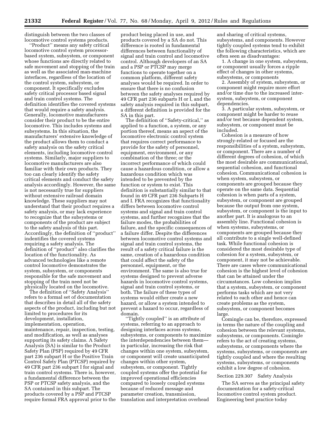distinguish between the two classes of locomotive control systems products.

''Product'' means any safety critical locomotive control system processorbased system, subsystem, or component whose functions are directly related to safe movement and stopping of the train as well as the associated man-machine interfaces, regardless of the location of the control system, subsystem, or component. It specifically excludes safety critical processor based signal and train control systems. The definition identifies the covered systems that would require a safety analysis. Generally, locomotive manufacturers consider their product to be the entire locomotive. This includes systems and subsystems. In this situation, the manufacturers' extensive knowledge of the product allows them to conduct a safety analysis on the safety critical elements, including locomotive control systems. Similarly, major suppliers to locomotive manufacturers are also familiar with their own products. They too can clearly identify the safety critical elements and conduct the safety analysis accordingly. However, the same is not necessarily true for suppliers without extensive railroad domain knowledge. These suppliers may not understand that their product requires a safety analysis, or may lack experience to recognize that the subsystems or components of the product are subject to the safety analysis of this part. Accordingly, the definition of ''product'' indentifies the covered systems requiring a safety analysis. The definition of ''product'' also clarifies the location of the functionality. As advanced technologies like a remote control locomotive demonstrates the system, subsystem, or components responsible for the safe movement and stopping of the train need not be physically located on the locomotive.

The definition of ''Safety Analysis'' refers to a formal set of documentation that describes in detail all of the safety aspects of the product, including but not limited to procedures for its development, installation, implementation, operation, maintenance, repair, inspection, testing, and modification, as well as analyses supporting its safety claims. A Safety Analysis (SA) is similar to the Product Safety Plan (PSP) required by 49 CFR part 236 subpart H or the Positive Train Control Safety Plan (PTCSP) required by 49 CFR part 236 subpart I for signal and train control systems. There is, however, a fundamental difference between the PSP or PTCSP safety analysis, and the SA contained in this subpart. The products covered by a PSP and PTCSP require formal FRA approval prior to the

product being placed in use, and products covered by a SA do not. This difference is rooted in fundamental differences between functionality of signal and train control and locomotive control. Although developers of an SA and a PSP or PTCSP may merge functions to operate together on a common platform, different safety analyses would be required. In order to ensure that there is no confusion between the safety analyses required by 49 CFR part 236 subparts H or I, and the safety analysis required in this subpart, a different definition is provided for the SA in this part.

The definition of ''Safety-critical,'' as applied to a function, a system, or any portion thereof, means an aspect of the locomotive electronic control system that requires correct performance to provide for the safety of personnel, equipment, environment, or any combination of the three; or the incorrect performance of which could cause a hazardous condition, or allow a hazardous condition which was intended to be prevented by the function or system to exist. This definition is substantially similar to that found in 49 CFR part 236 Subparts H and I. FRA recognizes that functionality differs between locomotive control systems and signal and train control systems, and further recognizes that the failure modes, the probabilities of failure, and the specific consequences of a failure differ. Despite the differences between locomotive control systems and signal and train control systems, the result of a safety critical failure is the same, creation of a hazardous condition that could affect the safety of the personnel, equipment, or the environment. The same is also true for systems designed to prevent adverse hazards in locomotive control systems, signal and train control systems, or both. The failure of these types of systems would either create a new hazard, or allow a system intended to prevent a hazard to occur, regardless of domain.

'Tightly coupled'' is an attribute of systems, referring to an approach to designing interfaces across systems, subsystems, or components to maximize the interdependencies between them in particular, increasing the risk that changes within one system, subsystem, or component will create unanticipated changes within other system, subsystem, or component. Tightly coupled systems offer the potential for improved operational efficiencies compared to loosely coupled systems because of reduced message and parameter creation, transmission, translation and interpretation overhead

and sharing of critical systems, subsystems, and components. However tightly coupled systems tend to exhibit the following characteristics, which are often seen as disadvantages:

1. A change in one system, subsystem, or component usually forces a ripple effect of changes in other systems, subsystems, or components

2. Assembly of system, subsystem, or component might require more effort and/or time due to the increased intersystem, subsystem, or component dependencies.

3. A particular system, subsystem, or component might be harder to reuse and/or test because dependent system, subsystem, or component must be included.

Cohesion is a measure of how strongly-related or focused are the responsibilities of a system, subsystem, or component. There are a number of different degrees of cohesion, of which the most desirable are communicational, sequential cohesion, and functional cohesion. Communicational cohesion is when system, subsystem, or components are grouped because they operate on the same data. Sequential cohesion is when parts of a system, subsystem, or component are grouped because the output from one system, subsystem, or component is the input to another part. It is analogous to an assembly line. Functional cohesion is when systems, subsystems, or components are grouped because they all contribute to a single well-defined task. While functional cohesion is considered the most desirable type of cohesion for a system, subsystem, or component, it may not be achievable. There are cases where communicational cohesion is the highest level of cohesion that can be attained under the circumstances. Low cohesion implies that a system, subsystem, or component performs tasks which are not very related to each other and hence can create problems as the system, subsystem, or component becomes large.

Comingle can be, therefore, expressed in terms the nature of the coupling and cohesion between the relevant systems, subsystems, or components. Comingle refers to the act of creating systems, subsystems, or components where the systems, subsystems, or components are tightly coupled and where the resulting systems, subsystems, or components exhibit a low degree of cohesion.

#### Section 229.307 Safety Analysis

The SA serves as the principal safety documentation for a safety-critical locomotive control system product. Engineering best practice today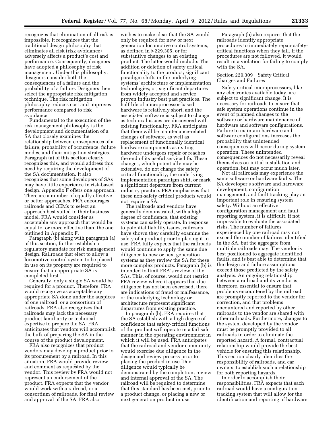recognizes that elimination of all risk is impossible. It recognizes that the traditional design philosophy that eliminates all risk (risk avoidance) adversely affects a product's cost and performance. Consequently, designers have adopted a philosophy of risk management. Under this philosophy, designers consider both the consequences of a failure and the probability of a failure. Designers then select the appropriate risk mitigation technique. The risk mitigation philosophy reduces cost and improves performance compared to risk avoidance.

Fundamental to the execution of the risk management philosophy is the development and documentation of a SA that closely examines the relationship between consequences of a failure, probability of occurrence, failure modes, and their mitigation strategies. Paragraph (a) of this section clearly recognizes this, and would address this need by requiring the development of the SA documentation. It also recognizes that some developers of SAs may have little experience in risk-based design. Appendix F offers one approach. There are a number of equally effective or better approaches. FRA encourages railroads and OEMs to select an approach best suited to their business model. FRA would consider as acceptable any approach that would be equal to, or more effective than, the one outlined in Appendix F.

Paragraph (b) along with paragraph (a) of this section, further establish a regulatory mandate for risk management design. Railroads that elect to allow a locomotive control system to be placed in use on its property are required to ensure that an appropriate SA is completed first.

Generally, only a single SA would be required for a product. Therefore, FRA would recognize as acceptable any appropriate SA done under the auspices of one railroad, or a consortium of railroads. FRA also recognizes that railroads may lack the necessary product familiarity or technical expertise to prepare the SA. FRA anticipates that vendors will accomplish the bulk of preparing the SA in the course of the product development.

FRA also recognizes that product vendors may develop a product prior to its procurement by a railroad. In this situation, FRA would provide review and comment as requested by the vendor. This review by FRA would not represent an endorsement of the product. FRA expects that the vendor would work with a railroad, or a consortium of railroads, for final review and approval of the SA. FRA also

wishes to make clear that the SA would only be required for new or next generation locomotive control systems, as defined in § 229.305, or for substantive changes to an existing product. The latter would include: The addition or deletion of safety critical functionality to the product; significant paradigm shifts in the underlying systems' architecture or implementation technologies; or, significant departures from widely accepted and service proven industry best past practices. The half-life of microprocessor-based hardware is relatively short, and the associated software is subject to change as technical issues are discovered with existing functionality. FRA anticipates that there will be maintenance-related changes of software, as well as replacement of functionally identical hardware components as exiting hardware undergoes repair or reaches the end of its useful service life. These changes, which potentially may be extensive, do not change the safety critical functionality, the underlying implementation paradigm shift, or mark a significant departure from current industry practice. FRA emphasizes that these non-safety critical products would not require a SA.

The railroads and vendors have generally demonstrated, with a high degree of confidence, that existing systems can safely operate. In response to potential liability issues, railroads have shown they carefully examine the safety of a product prior to placing it in use. FRA fully expects that the railroads would continue to apply the same due diligence to new or next generation systems as they review the SA for these more complex products. Paragraph (b) is intended to limit FRA's review of the SAs. This, of course, would not restrict FRA review where it appears that due diligence has not been exercised, there are indications of fraud or malfeasance, or the underlying technology or architecture represent significant departures from existing practice.

In paragraph (b), FRA requires that the SA establish with a high degree of confidence that safety-critical functions of the product will operate in a fail-safe manner in the operating environment in which it will be used. FRA anticipates that the railroad and vendor community would exercise due diligence in the design and review process prior to placing the product in use. Due diligence would typically be demonstrated by the completion, review and internal approval of the SA. The railroad will be required to determine that this standard has been met, prior to a product change, or placing a new or next generation product in use.

Paragraph (b) also requires that the railroads identify appropriate procedures to immediately repair safetycritical functions when they fail. If the procedures are not followed, it would result in a violation for failing to comply with the SA.

# Section 229.309 Safety Critical Changes and Failures

Safety critical microprocessors, like any electronics available today, are subject to significant change. It is necessary for railroads to ensure that safe system operations continue in the event of planned changes to the software or hardware maintenance of hardware and software configurations. Failure to maintain hardware and software configurations increases the probability that unintended consequences will occur during system operation. These unintended consequences do not necessarily reveal themselves on initial installation and operation, but may occur much later.

Not all railroads may experience the same software or hardware faults. The SA developer's software and hardware development, configuration management, and fault tracking play an important role in ensuring system safety. Without an effective configuration management and fault reporting system, it is difficult, if not impossible to evaluate the associated risks. The number of failures experienced by one railroad may not exceed the number of failures identified in the SA, but the aggregate from multiple railroads may. The vendor is best positioned to aggregate identified faults, and is best able to determine that the design and failure assumptions exceed those predicted by the safety analysis. An ongoing relationship between a railroad and its vendor is, therefore, essential to ensure that problems encountered by the railroad are promptly reported to the vendor for correction, and that problems encountered and reported by other railroads to the vendor are shared with other railroads. Furthermore, changes to the system developed by the vendor must be promptly provided to all railroads in order to eliminate the reported hazard. A formal, contractual relationship would provide the best vehicle for ensuring this relationship. This section clearly identifies the responsibility of railroads, and car owners, to establish such a relationship for both reporting hazards.

In order to accomplish their responsibilities, FRA expects that each railroad would have a configuration tracking system that will allow for the identification and reporting of hardware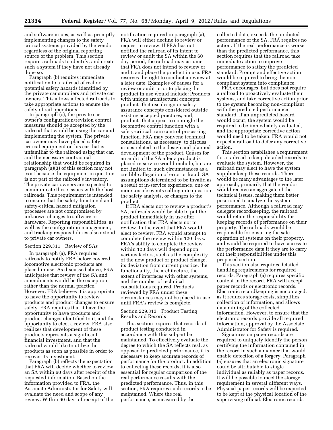and software issues, as well as promptly implementing changes to the safety critical systems provided by the vendor, regardless of the original reporting source of the problem. This section requires railroads to identify, and create such a system if they have not already done so.

Paragraph (b) requires immediate notification to a railroad of real or potential safety hazards identified by the private car suppliers and private car owners. This allows affected railroads to take appropriate actions to ensure the safety of rail operations.

In paragraph (c), the private car owner's configuration/revision control measures should be accepted by the railroad that would be using the car and implementing the system. The private car owner may have placed safety critical equipment on his car that is unfamiliar to the railroad using that car, and the necessary contractual relationship that would be required in paragraph (a)(3) of this section may not exist because the equipment in question is not part of the railroad's inventory. The private car owners are expected to communicate these issues with the host railroads. This requirement is intended to ensure that the safety-functional and safety-critical hazard mitigation processes are not compromised by unknown changes to software or hardware. Reporting responsibilities, as well as the configuration management, and tracking responsibilities also extend to private car owners.

#### Section 229.311 Review of SAs

In paragraph (a), FRA requires railroads to notify FRA before covered locomotive electronic products are placed in use. As discussed above, FRA anticipates that review of the SA and amendments would be the exception, rather than the normal practice. However, FRA believes it is appropriate to have the opportunity to review products and product changes to ensure safety. FRA requires that it have the opportunity to have products and product changes identified to it, and the opportunity to elect a review. FRA also realizes that development of these products represents a significant financial investment, and that the railroad would like to utilize the products as soon as possible in order to recover its investment.

Paragraph (b) reflects the expectation that FRA will decide whether to review an SA within 60 days after receipt of the requested information. Based on the information provided to FRA, the Associate Administrator for Safety will evaluate the need and scope of any review. Within 60 days of receipt of the

notification required in paragraph (a), FRA will either decline to review or request to review. If FRA has not notified the railroad of its intent to review or audit the SA within the 60 day period, the railroad may assume that FRA does not intend to review or audit, and place the product in use. FRA reserves the right to conduct a review at a later date. Examples of causes for a review or audit prior to placing the product in use would include: Products with unique architectural concepts; products that use design or safety assurance concepts considered outside existing accepted practices; and, products that appear to comingle the locomotive control function with a safety-critical train control processing function. FRA may convene technical consultations, as necessary, to discuss issues related to the design and planned development of the product. Causes for an audit of the SA after a product is placed in service would include, but are not limited to, such circumstances as a credible allegation of error or fraud, SA assumptions determined to be invalid as a result of in-service experience, one or more unsafe events calling into question the safety analysis, or changes to the product.

If FRA elects not to review a product's SA, railroads would be able to put the product immediately in use after notification that FRA elects not to review. In the event that FRA would elect to review, FRA would attempt to complete the review within 120 days. FRA's ability to complete the review within 120 days will depend upon various factors, such as the complexity of the new product or product change, its deviation from current practice, the functionality, the architecture, the extent of interfaces with other systems, and the number of technical consultations required. Products reviewed by FRA under these circumstances may not be placed in use until FRA's review is complete.

# Section 229.313 Product Testing Results and Records

This section requires that records of product testing conducted in accordance with this subpart be maintained. To effectively evaluate the degree to which the SA reflects real, as opposed to predicted performance, it is necessary to keep accurate records of performance for the product. In addition to collecting these records, it is also essential for regular comparison of the real performance results with the predicted performance. Thus, in this section, FRA requires such records to be maintained. Where the real performance, as measured by the

collected data, exceeds the predicted performance of the SA, FRA requires no action. If the real performance is worse than the predicted performance, this section requires that the railroad take immediate action to improve performance to satisfy the predicted standard. Prompt and effective action would be required to bring the noncompliant system into compliance.

FRA encourages, but does not require a railroad to proactively evaluate their systems, and take corrective action prior to the system becoming non-compliant with the predicted performance standard. If an unpredicted hazard would occur, the system would be required to be immediately evaluated, and the appropriate corrective action would need to be taken. FRA would not expect a railroad to defer any corrective action.

This section establishes a requirement for a railroad to keep detailed records to evaluate the system. However, the railroad may elect to have the system supplier keep these records. There would be many advantages to the later approach, primarily that the vendor would receive an aggregate of the technical issues, making them better positioned to analyze the system performance. Although a railroad may delegate recordkeeping, the railroad would retain the responsibility for keeping records of performance on their property. The railroads would be responsible for ensuring the safe operation of systems on their property, and would be required to have access to the performance data if they are to carry out their responsibilities under this proposed section.

This section also requires detailed handling requirements for required records. Paragraph (a) requires specific content in the record. FRA will accept paper records or electronic records. Electronic recordkeeping is encouraged, as it reduces storage costs, simplifies collection of information, and allows data mining of the collected information. However, to ensure that the electronic records provide all required information, approval by the Associate Administrator for Safety is required.

Signatures on paper records are required to uniquely identify the person certifying the information contained in the record in such a manner that would enable detection of a forgery. Paragraph (a) ensures that an electronic signature could be attributable to single individual as reliably as paper records. It will be possible to meet the storage requirement in several different ways. Physical paper records will be expected to be kept at the physical location of the supervising official. Electronic records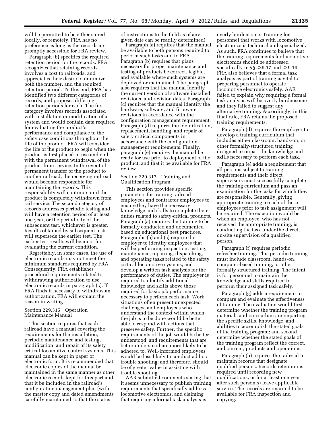will be permitted to be either stored locally, or remotely. FRA has no preference as long as the records are promptly accessible for FRA review.

Paragraph (b) specifies the required retention period for the records. FRA recognizes that retaining records involves a cost to railroads, and appreciates their desire to minimize both the number, and the required retention period. To this end, FRA has identified two different categories of records, and proposes differing retention periods for each. The first category involves records associated with installation or modification of a system and would contain data required for evaluating the product's performance and compliance to the safety case conditions throughout the life of the product. FRA will consider the life of the product to begin when the product is first placed in use and end with the permanent withdrawal of the product from service. In the event of permanent transfer of the product to another railroad, the receiving railroad would become responsible for maintaining the records. This responsibility will continue until the product is completely withdrawn from rail service. The second category of records addresses periodic testing and will have a retention period of at least one year, or the periodicity of the subsequent test, whichever is greater. Results obtained by subsequent tests will supersede the earlier test. The earlier test results will be moot for evaluating the current condition.

Regrettably, in some cases, the use of electronic records may not meet the minimum standards required by FRA. Consequently, FRA establishes procedural requirements related to withdrawing authorization to use electronic records in paragraph (c). If FRA finds it necessary to withdraw an authorization, FRA will explain the reason in writing.

# Section 229.315 Operation Maintenance Manual

This section requires that each railroad have a manual covering the requirements for the installation, periodic maintenance and testing, modification, and repair of its safety critical locomotive control systems. This manual can be kept in paper or electronic form. It is recommended that electronic copies of the manual be maintained in the same manner as other electronic records kept for this part and that it be included in the railroad's configuration management plan (with the master copy and dated amendments carefully maintained so that the status

of instructions to the field as of any given date can be readily determined).

Paragraph (a) requires that the manual be available to both persons required to perform such tasks and to FRA. Paragraph (b) requires that plans necessary for proper maintenance and testing of products be correct, legible, and available where such systems are deployed or maintained. The paragraph also requires that the manual identify the current version of software installed, revisions, and revision dates. Paragraph (c) requires that the manual identify the hardware, software, and firmware revisions in accordance with the configuration management requirement. Paragraph (d) requires the identification, replacement, handling, and repair of safety critical components in accordance with the configuration management requirements. Finally, paragraph (e) requires the manual be ready for use prior to deployment of the product, and that it be available for FRA review.

# Section 229.317 Training and Qualification Program

This section provides specific parameters for training railroad employees and contractor employees to ensure they have the necessary knowledge and skills to complete their duties related to safety-critical products. Paragraph (a) requires the training to be formally conducted and documented based on educational best practices. Paragraphs (b) and (c) require the employer to identify employees that will be performing inspection, testing, maintenance, repairing, dispatching, and operating tasks related to the safety critical locomotive systems, and develop a written task analysis for the performance of duties. The employer is required to identify additional knowledge and skills above those required for basic job performance necessary to perform each task. Work situations often present unexpected challenges, and employees who understand the context within which the job is to be done would be better able to respond with actions that preserve safety. Further, the specific requirements of the job would be better understood, and requirements that are better understood are more likely to be adhered to. Well-informed employees would be less likely to conduct ad hoc trouble shooting; and therefore, should be of greater value in assisting with trouble shooting.

AAR submitted comments stating that it seems unnecessary to publish training requirements that specifically address locomotive electronics, and claiming that requiring a formal task analysis is

overly burdensome. Training for personnel that works with locomotive electronics is technical and specialized. As such, FRA continues to believe that the training requirements for locomotive electronics should be addressed specifically in §§ 229.17 and 229.19. FRA also believes that a formal task analysis as part of training is vital to preparing personnel to operate locomotive electronics safely. AAR failed to explain why requiring a formal task analysis will be overly burdensome and they failed to suggest any alternative training. Accordingly, in this final rule, FRA retains the proposed training requirements.

Paragraph (d) requires the employer to develop a training curriculum that includes either classroom, hands-on, or other formally-structured training designed to impart the knowledge and skills necessary to perform each task.

Paragraph (e) adds a requirement that all persons subject to training requirements and their direct supervisors must successfully complete the training curriculum and pass an examination for the tasks for which they are responsible. Generally, giving appropriate training to each of these employees prior to task assignment will be required. The exception would be when an employee, who has not received the appropriate training, is conducting the task under the direct, on-site supervision of a qualified person.

Paragraph (f) requires periodic refresher training. This periodic training must include classroom, hands-on, computer-based training, or other formally structured training. The intent is for personnel to maintain the knowledge and skills required to perform their assigned task safely.

Paragraph (g) adds a requirement to compare and evaluate the effectiveness of training. The evaluation would first determine whether the training program materials and curriculum are imparting the specific skills, knowledge, and abilities to accomplish the stated goals of the training program; and second, determine whether the stated goals of the training program reflect the correct, and current, products and operations.

Paragraph (h) requires the railroad to maintain records that designate qualified persons. Records retention is required until recording new qualifications, or for at least one year after such person(s) leave applicable service. The records are required to be available for FRA inspection and copying.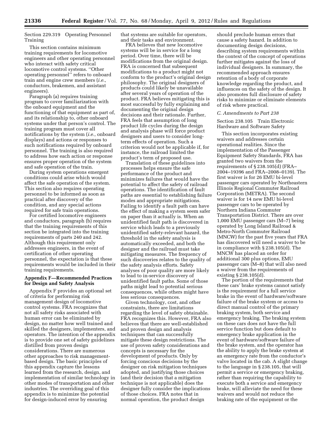Section 229.319 Operating Personnel Training

This section contains minimum training requirements for locomotive engineers and other operating personnel who interact with safety critical locomotive control systems. ''Other operating personnel'' refers to onboard train and engine crew members (*i.e.,*  conductors, brakemen, and assistant engineers).

Paragraph (a) requires training program to cover familiarization with the onboard equipment and the functioning of that equipment as part of, and its relationship to, other onboard systems under that person's control. The training program must cover all notifications by the system (*i.e.,* onboard displays) and actions or responses to such notifications required by onboard personnel. The training is also required to address how each action or response ensures proper operation of the system and safe operation of the train.

During system operations emergent conditions could arise which would affect the safe operation of the system. This section also requires operating personnel to be informed as soon as practical after discovery of the condition, and any special actions required for safe train operations.

For certified locomotive engineers and conductors, paragraph (b) requires that the training requirements of this section be integrated into the training requirements of parts 240 and 242. Although this requirement only addresses engineers, in the event of certification of other operating personnel, the expectation is that these requirements would be included in their training requirements.

# **Appendix F—Recommended Practices for Design and Safety Analysis**

Appendix F provides an optional set of criteria for performing risk management design of locomotive control systems. FRA recognizes that not all safety risks associated with human error can be eliminated by design, no matter how well trained and skilled the designers, implementers, and operators. The intention of the appendix is to provide one set of safety guidelines distilled from proven design considerations. There are numerous other approaches to risk managementbased design. The basic principles of this appendix capture the lessons learned from the research, design, and implementation of similar technology in other modes of transportation and other industries. The overriding goal of this appendix is to minimize the potential for design-induced error by ensuring

that systems are suitable for operators, and their tasks and environment.

FRA believes that new locomotive systems will be in service for a long period. Over time, there will be modifications from the original design. FRA is concerned that subsequent modifications to a product might not conform to the product's original design philosophy. The original designers of products could likely be unavailable after several years of operation of the product. FRA believes mitigating this is most successful by fully explaining and documenting the original design decisions and their rationale. Further, FRA feels that assumption of long product life cycles during the design and analysis phase will force product designers and users to consider longterm effects of operation. Such a criterion would not be applicable if, for instance, the railroad limited the product's term of proposed use.

Translation of these guidelines into processes helps ensure the safe performance of the product and minimizes failures that would have the potential to affect the safety of railroad operations. The identification of fault paths are essential to establishing failure modes and appropriate mitigations. Failing to identify a fault path can have the effect of making a system seem safer on paper than it actually is. When an unidentified fault path is discovered in service which leads to a previously unidentified safety-relevant hazard, the threshold in the safety analysis is automatically exceeded, and both the designer and the railroad must take mitigating measures. The frequency of such discoveries relates to the quality of the safety analysis efforts. Safety analyses of poor quality are more likely to lead to in-service discovery of unidentified fault paths. Some of those paths might lead to potential serious consequences, while others might have less serious consequences.

Given technology, cost, and other constraints, there are limitations regarding the level of safety obtainable. FRA recognizes this. However, FRA also believes that there are well-established and proven design and analysis techniques that can successfully mitigate these design restrictions. The use of proven safety considerations and concepts is necessary for the development of products. Only by forcing conscious decisions by the designer on risk mitigation techniques adopted, and justifying those choices (and their decision that a mitigation technique is not applicable) does the designer fully consider the implications of those choices. FRA notes that in normal operation, the product design

should preclude human errors that cause a safety hazard. In addition to documenting design decisions, describing system requirements within the context of the concept of operations further mitigates against the loss of individual designers. In summary, the recommended approach ensures retention of a body of corporate knowledge regarding the product, and influences on the safety of the design. It also promotes full disclosure of safety risks to minimize or eliminate elements of risk where practical.

# *C. Amendments to Part 238*

Section 238.105 Train Electronic Hardware and Software Safety

This section incorporates existing waivers and addresses certain operational realities. Since the implementation of the Passenger Equipment Safety Standards, FRA has granted two waivers from the requirements of § 238.105(d) (FRA– 2004–19396 and FRA–2008–0139). The first waiver is for 26 EMU bi-level passenger cars operated by Northeastern Illinois Regional Commuter Railroad Corporation (METRA). The second waiver is for 14 new EMU bi-level passenger cars to be operated by Northern Indiana Commuter Transportation District. There are over 1,000 EMU passenger cars (M–7) being operated by Long Island Railroad & Metro-North Commuter Railroad (MNCW) for the past five years that FRA has discovered will need a waiver to be in compliance with § 238.105(d). The MNCW has placed an order for additional 300 plus options, EMU passenger cars (M–8) that will also need a waiver from the requirements of existing § 238.105(d).

The portion of the requirements that these cars' brake systems cannot satisfy is the requirement for a full service brake in the event of hardware/software failure of the brake system or access to direct manual control of the primary braking system, both service and emergency braking. The braking system on these cars does not have the full service function but does default to emergency brake application in the event of hardware/software failure of the brake system, and the operator has the ability to apply the brake system at an emergency rate from the conductor's valve located in the cab. A slight change to the language in § 238.105, that will permit a service or emergency braking, rather than requiring the capability to execute both a service and emergency brake, will alleviate the need for these waivers and would not reduce the braking rate of the equipment or the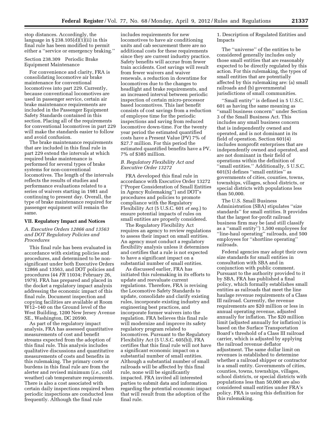stop distances. Accordingly, the language in  $\S 238.105(d)(1)(ii)$  in this final rule has been modified to permit either a ''service or emergency braking.''

Section 238.309 Periodic Brake Equipment Maintenance

For convenience and clarity, FRA is consolidating locomotive air brake maintenance for conventional locomotives into part 229. Currently, because conventional locomotives are used in passenger service, certain air brake maintenance requirements are included in the Passenger Equipment Safety Standards contained in this section. Placing all of the requirements for conventional locomotives in part 229 will make the standards easier to follow and avoid confusion.

The brake maintenance requirements that are included in this final rule in part 229 extend the intervals at which required brake maintenance is performed for several types of brake systems for non-conventional locomotives. The length of the intervals reflects the results of studies and performance evaluations related to a series of waivers starting in 1981 and continuing to present day. Overall, the type of brake maintenance required for passenger equipment will remain the same.

#### **VII. Regulatory Impact and Notices**

# *A. Executive Orders 12866 and 13563 and DOT Regulatory Policies and Procedures*

This final rule has been evaluated in accordance with existing policies and procedures, and determined to be nonsignificant under both Executive Orders 12866 and 13563, and DOT policies and procedures (44 *FR* 11034; February 26, 1979). FRA has prepared and placed in the docket a regulatory impact analysis addressing the economic impact of this final rule. Document inspection and copying facilities are available at Room W12–140 on the Ground level of the West Building, 1200 New Jersey Avenue SE., Washington, DC 20590.

As part of the regulatory impact analysis, FRA has assessed quantitative measurements of cost and benefit streams expected from the adoption of this final rule. This analysis includes qualitative discussions and quantitative measurements of costs and benefits in this rulemaking. The primary costs or burdens in this final rule are from the alerter and revised minimum (*i.e.,* cold weather) cab temperature requirements. There is also a cost associated with certain daily inspections required when periodic inspections are conducted less frequently. Although the final rule

includes requirements for new locomotives to have air conditioning units and cab securement there are no additional costs for these requirements since they are current industry practice. Safety benefits will accrue from fewer train accidents. Cost savings will result from fewer waivers and waiver renewals, a reduction in downtime for locomotives due to the changes to headlight and brake requirements, and an increased interval between periodic inspection of certain micro-processor based locomotives. This last benefit consists of cost savings from a reduction of employee time for the periodic inspections and saving from reduced locomotive down-time. For the twenty year period the estimated quantified costs have a Present Value (PV) 7% of \$27.7 million. For this period the estimated quantified benefits have a PV, 7% of \$385 million.

# *B. Regulatory Flexibility Act and Executive Order 13272*

FRA developed this final rule in accordance with Executive Order 13272 (''Proper Consideration of Small Entities in Agency Rulemaking'') and DOT's procedures and policies to promote compliance with the Regulatory Flexibility Act (5 U.S.C. 601 *et seq.*) to ensure potential impacts of rules on small entities are properly considered.

The Regulatory Flexibility Act requires an agency to review regulations to assess their impact on small entities. An agency must conduct a regulatory flexibility analysis unless it determines and certifies that a rule is not expected to have a significant impact on a substantial number of small entities.

As discussed earlier, FRA has initiated this rulemaking in its efforts to update and reevaluate current regulations. Therefore, FRA is revising the Locomotive Safety Standards to update, consolidate and clarify existing rules, incorporate existing industry and engineering best practices, and incorporate former waivers into the regulation. FRA believes this final rule will modernize and improve its safety regulatory program related to locomotives. Pursuant to the Regulatory Flexibility Act (5 U.S.C. 605(b)), FRA certifies that this final rule will not have a significant economic impact on a substantial number of small entities. Although a substantial number of small railroads will be affected by this final rule, none will be significantly impacted. FRA invited all interested parties to submit data and information regarding the potential economic impact that will result from the adoption of the final rule.

1. Description of Regulated Entities and Impacts

The ''universe'' of the entities to be considered generally includes only those small entities that are reasonably expected to be directly regulated by this action. For this rulemaking, the types of small entities that are potentially affected by this rulemaking are: (a) small railroads and (b) governmental jurisdictions of small communities.

'Small entity'' is defined in 5 U.S.C. 601 as having the same meaning as ''small business concern'' under Section 3 of the Small Business Act. This includes any small business concern that is independently owned and operated, and is not dominant in its field of operation. Section 601(4) includes nonprofit enterprises that are independently owned and operated, and are not dominant in their field of operations within the definition of ''small entities.'' Additionally, 5 U.S.C. 601(5) defines ''small entities'' as governments of cities, counties, towns, townships, villages, school districts, or special districts with populations less than 50,000.

The U.S. Small Business Administration (SBA) stipulates ''size standards'' for small entities. It provides that the largest for-profit railroad business firm may be (and still classify as a ''small entity'') 1,500 employees for ''line-haul operating'' railroads, and 500 employees for ''shortline operating'' railroads.

Federal agencies may adopt their own size standards for small entities in consultation with SBA and in conjunction with public comment. Pursuant to the authority provided to it by SBA, FRA has published a final policy, which formally establishes small entities as railroads that meet the line haulage revenue requirements of a Class III railroad. Currently, the revenue requirements are \$20 million or less in annual operating revenue, adjusted annually for inflation. The \$20 million limit (adjusted annually for inflation) is based on the Surface Transportation Board's threshold of a Class III railroad carrier, which is adjusted by applying the railroad revenue deflator adjustment. The same dollar limit on revenues is established to determine whether a railroad shipper or contractor is a small entity. Governments of cities, counties, towns, townships, villages, school districts, or special districts with populations less than 50,000 are also considered small entities under FRA's policy. FRA is using this definition for this rulemaking.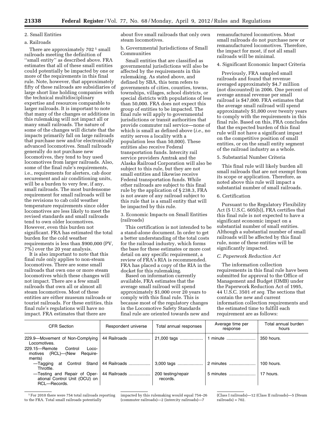# 2. Small Entities

# a. Railroads

There are approximately 702<sup>1</sup> small railroads meeting the definition of ''small entity'' as described above. FRA estimates that all of these small entities could potentially be impacted by one or more of the requirements in this final rule. Note, however, that approximately fifty of these railroads are subsidiaries of large short line holding companies with the technical multidisciplinary expertise and resources comparable to larger railroads. It is important to note that many of the changes or additions in this rulemaking will not impact all or many small railroads. The nature of some of the changes will dictate that the impacts primarily fall on large railroads that purchase new and/or electronically advanced locomotives. Small railroads generally do not purchase new locomotives, they tend to buy used locomotives from larger railroads. Also, some of the final rule's requirements, i.e., requirements for alerters, cab door securement and air conditioning units, will be a burden to very few, if any, small railroads. The most burdensome requirement for small railroads will be the revisions to cab cold weather temperature requirements since older locomotives are less likely to meet the revised standards and small railroads tend to own older locomotives. However, even this burden not significant. FRA has estimated the total burden for the cold weather requirements is less than \$900,000 (PV, 7%) over the 20 year analysis.

It is also important to note that this final rule only applies to non-steam locomotives. There are some small railroads that own one or more steam locomotives which these changes will not impact. There are a few small railroads that own all or almost all steam locomotives. Most of these entities are either museum railroads or tourist railroads. For these entities, this final rule's regulations will have no impact. FRA estimates that there are

about five small railroads that only own steam locomotives.

b. Governmental Jurisdictions of Small Communities

Small entities that are classified as governmental jurisdictions will also be affected by the requirements in this rulemaking. As stated above, and defined by SBA, this term refers to governments of cities, counties, towns, townships, villages, school districts, or special districts with populations of less than 50,000. FRA does not expect this group of entities to be impacted. The final rule will apply to governmental jurisdictions or transit authorities that provide commuter rail service—none of which is small as defined above (*i.e.,* no entity serves a locality with a population less than 50,000). These entities also receive Federal transportation funds. Intercity rail service providers Amtrak and the Alaska Railroad Corporation will also be subject to this rule, but they are not small entities and likewise receive Federal transportation funds. While other railroads are subject to this final rule by the application of § 238.3, FRA is not aware of any railroad subject to this rule that is a small entity that will be impacted by this rule.

3. Economic Impacts on Small Entities (railroads)

This certification is not intended to be a stand-alone document. In order to get a better understanding of the total costs for the railroad industry, which forms the base for these estimates or more cost detail on any specific requirement, a review of FRA's RIA is recommended. FRA has placed a copy of the RIA in the docket for this rulemaking.

Based on information currently available, FRA estimates that the average small railroad will spend approximately \$1,000 over 20 years to comply with this final rule. This is because most of the regulatory changes in the Locomotive Safety Standards final rule are oriented towards new and remanufactured locomotives. Most small railroads do not purchase new or remanufactured locomotives. Therefore, the impact for most, if not all small railroads will be minimal.

# 4. Significant Economic Impact Criteria

Previously, FRA sampled small railroads and found that revenue averaged approximately \$4.7 million (not discounted) in 2006. One percent of average annual revenue per small railroad is \$47,000. FRA estimates that the average small railroad will spend approximately \$1,000 over twenty years to comply with the requirements in this final rule. Based on this, FRA concludes that the expected burden of this final rule will not have a significant impact on the competitive position of small entities, or on the small entity segment of the railroad industry as a whole.

5. Substantial Number Criteria

This final rule will likely burden all small railroads that are not exempt from its scope or application. Therefore, as noted above this rule will impact a substantial number of small railroads.

# 6. Certification

Pursuant to the Regulatory Flexibility Act (5 U.S.C. 605(b)), FRA certifies that this final rule is not expected to have a significant economic impact on a substantial number of small entities. Although a substantial number of small railroads will be affected by this final rule, none of these entities will be significantly impacted.

# *C. Paperwork Reduction Act*

The information collection requirements in this final rule have been submitted for approval to the Office of Management and Budget (OMB) under the Paperwork Reduction Act of 1995, 44 U.S.C. 3501 *et seq.* The sections that contain the new and current information collection requirements and the estimated time to fulfill each requirement are as follows:

| <b>CFR Section</b>                                                                   | Respondent universe | Total annual responses         | Average time per<br>response | Total annual burden<br>hours |
|--------------------------------------------------------------------------------------|---------------------|--------------------------------|------------------------------|------------------------------|
| 229.9-Movement of Non-Complying<br>Locomotives.<br>229.15-Remote<br>Control<br>Loco- | 44 Railroads        | 21,000 tags                    | 1 minute                     | 350 hours.                   |
| (RCL)—(New<br>motives<br>Require-<br>ments)                                          |                     |                                |                              |                              |
| at Control Stand<br>—Tagging<br>Throttle.                                            | 44 Railroads        | 3,000 tags                     | 2 minutes                    | 100 hours.                   |
| -Testing and Repair of Oper-<br>ational Control Unit (OCU) on<br>RCL-Records.        | 44 Railroads        | 200 testing/repair<br>records. | 5 minutes                    | 17 hours.                    |

1For 2010 there were 754 total railroads reporting to the FRA. Total small railroads potentially

impacted by this rulemaking would equal 754–26 (commuter railroads)—2 (intercity railroads)—7

(Class I railroads)—12 (Class II railroads)—5 (Steam railroads) = 702.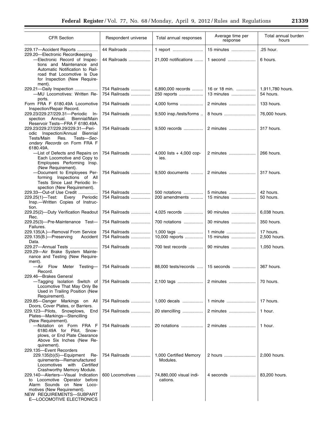۰

|    | $10111$ , realise and researched |          |                          |  |
|----|----------------------------------|----------|--------------------------|--|
|    |                                  |          |                          |  |
| es | Average time per                 | response | Total annual bu<br>hours |  |

| <b>CFR Section</b>                                                                                                                                                                                                          | Respondent universe            | Total annual responses              | Average time per<br>response | Total annual burden<br>hours  |
|-----------------------------------------------------------------------------------------------------------------------------------------------------------------------------------------------------------------------------|--------------------------------|-------------------------------------|------------------------------|-------------------------------|
| 229.17-Accident Reports                                                                                                                                                                                                     | 44 Railroads                   | 1 report                            | 15 minutes                   | .25 hour.                     |
| 229.20-Electronic Recordkeeping<br>-Electronic Record of Inspec-<br>tions and Maintenance and<br>Automatic Notification to Rail-<br>road that Locomotive is Due<br>for Inspection (New Require-<br>ment).                   | 44 Railroads                   | 21,000 notifications                | 1 second                     | 6 hours.                      |
| 229.21-Daily Inspection<br>-MU Locomotives: Written Re-<br>ports.                                                                                                                                                           | 754 Railroads<br>754 Railroads | 6,890,000 records<br>250 reports    | 16 or 18 min.<br>13 minutes  | 1,911,780 hours.<br>54 hours. |
| Form FRA F 6180.49A Locomotive<br>Inspection/Repair Record.                                                                                                                                                                 | 754 Railroads                  | 4,000 forms                         | 2 minutes                    | 133 hours.                    |
| 229.23/229.27/229.31-Periodic In-<br>spection Annual.<br>Biennial/Main<br>Reservoir Tests-FRA F 6180.49A.                                                                                                                   | 754 Railroads                  | 9,500 insp./tests/forms             | 8 hours                      | 76,000 hours.                 |
| 229.23/229.27/229.29/229.31-Peri-<br>Inspection/Annual Biennial<br>odic<br>Tests/Main<br>Res.<br>Tests-Sec-<br>ondary Records on Form FRA F<br>6180.49A.                                                                    | 754 Railroads                  | 9,500 records                       | 2 minutes                    | 317 hours.                    |
| -List of Defects and Repairs on<br>Each Locomotive and Copy to<br>Employees Performing Insp.<br>(New Requirement).                                                                                                          | 754 Railroads                  | 4,000 lists + 4,000 cop-<br>ies.    | 2 minutes                    | 266 hours.                    |
| -Document to Employees Per-<br>forming Inspections of All<br>Tests Since Last Periodic In-<br>spection (New Requirement).                                                                                                   | 754 Railroads                  | 9,500 documents                     | 2 minutes                    | 317 hours.                    |
| 229.33-Out-of Use Credit<br>Every<br>Periodic<br>229.25(1)—Test:<br>Insp.--Written Copies of Instruc-<br>tion.                                                                                                              | 754 Railroads<br>754 Railroads | 500 notations<br>200 amendments     | 5 minutes<br>15 minutes      | 42 hours.<br>50 hours.        |
| 229.25(2)-Duty Verification Readout<br>Rec.                                                                                                                                                                                 | 754 Railroads                  | 4,025 records                       | 90 minutes                   | 6,038 hours.                  |
| 229.25(3)-Pre-Maintenance Test-<br>Failures.                                                                                                                                                                                | 754 Railroads                  | 700 notations                       | 30 minutes                   | 350 hours.                    |
| 229.135(A.)-Removal From Service<br>229.135(B.)-Preserving<br>Accident<br>Data.                                                                                                                                             | 754 Railroads<br>754 Railroads | 1,000 tags<br>10,000 reports        | 1 minute<br>15 minutes       | 17 hours.<br>2,500 hours.     |
| 229.27-Annual Tests<br>229.29-Air Brake System Mainte-<br>nance and Testing (New Require-<br>ment).                                                                                                                         | 754 Railroads                  | 700 test records                    | 90 minutes                   | 1,050 hours.                  |
| -Air Flow Meter Testing-<br>Record.                                                                                                                                                                                         | 754 Railroads                  | 88,000 tests/records                | 15 seconds                   | 367 hours.                    |
| 229.46-Brakes General<br>-Tagging Isolation Switch of<br>Locomotive That May Only Be<br>Used in Trailing Position (New<br>Requirement).                                                                                     |                                | 754 Railroads    2,100 tags         | 2 minutes                    | 70 hours.                     |
| 229.85-Danger Markings on All<br>Doors, Cover Plates, or Barriers.                                                                                                                                                          | 754 Railroads                  | 1,000 decals                        | 1 minute                     | 17 hours.                     |
| 229.123-Pilots, Snowplows,<br>End<br>Plates-Markings-Stencilling<br>(New Requirement).                                                                                                                                      | 754 Railroads                  | 20 stencilling                      | 2 minutes                    | 1 hour.                       |
| -Notation on Form FRA F<br>6180.49A for Pilot, Snow-<br>plows, or End Plate Clearance<br>Above Six Inches (New Re-<br>quirement).                                                                                           | 754 Railroads                  | 20 notations                        | 2 minutes                    | 1 hour.                       |
| 229.135-Event Recorders<br>229.135(b)(5)-Equipment<br>Re-<br>quirements-Remanufactured<br>Locomotives with Certified                                                                                                        | 754 Railroads                  | 1,000 Certified Memory<br>Modules.  | 2 hours                      | 2,000 hours.                  |
| Crashworthy Memory Module.<br>229.140-Alerters-Visual Indication<br>to Locomotive Operator before<br>Alarm Sounds on New Loco-<br>motives (New Requirement).<br>NEW REQUIREMENTS-SUBPART<br><b>E-LOCOMOTIVE ELECTRONICS</b> | 600 Locomotives                | 74,880,000 visual indi-<br>cations. | 4 seconds                    | 83,200 hours.                 |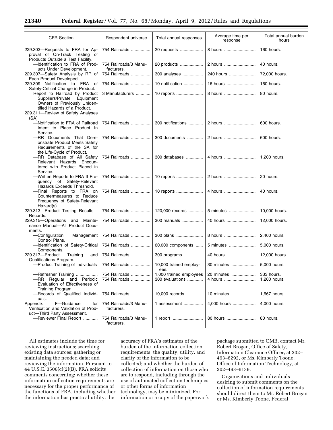| <b>CFR Section</b>                                                                                                                                                        | Respondent universe                 | Total annual responses                     | Average time per<br>response | Total annual burden<br>hours |
|---------------------------------------------------------------------------------------------------------------------------------------------------------------------------|-------------------------------------|--------------------------------------------|------------------------------|------------------------------|
| 229.303-Requests to FRA for Ap-<br>proval of On-Track Testing of<br>Products Outside a Test Facility.                                                                     | 754 Railroads                       | 20 requests                                | 8 hours                      | 160 hours.                   |
| -Identification to FRA of Prod-<br>ucts Under Development.                                                                                                                | 754 Railroads/3 Manu-<br>facturers. | 20 products                                | 2 hours                      | 40 hours.                    |
| 229.307-Safety Analysis by RR of<br>Each Product Developed.                                                                                                               | 754 Railroads                       | 300 analyses                               | 240 hours                    | 72,000 hours.                |
| 229.309-Notification to FRA of<br>Safety-Critical Change in Product.                                                                                                      | 754 Railroads                       | 10 notification                            | 16 hours                     | 160 hours.                   |
| Report to Railroad by Product<br>Suppliers/Private Equipment<br>Owners of Previously Uniden-<br>tified Hazards of a Product.<br>229.311-Review of Safety Analyses<br>(SA) | 3 Manufacturers                     | 10 reports                                 | 8 hours                      | 80 hours.                    |
| -Notification to FRA of Railroad<br>Intent to Place Product In<br>Service.                                                                                                | 754 Railroads                       | 300 notifications                          | 2 hours                      | 600 hours.                   |
| -RR Documents That Dem-<br>onstrate Product Meets Safety<br>Requirements of the SA for<br>the Life-Cycle of Product.                                                      | 754 Railroads                       | 300 documents                              | 2 hours                      | 600 hours.                   |
| -RR Database of All Safety<br>Relevant Hazards Encoun-<br>tered with Product Placed in<br>Service.                                                                        | 754 Railroads                       | 300 databases                              | 4 hours                      | 1,200 hours.                 |
| -Written Reports to FRA If Fre-<br>quency of Safety-Relevant<br>Hazards Exceeds Threshold.                                                                                | 754 Railroads                       | 10 reports                                 | 2 hours                      | 20 hours.                    |
| -Final Reports to FRA on<br>Countermeasures to Reduce<br>Frequency of Safety-Relevant<br>Hazard(s).                                                                       | 754 Railroads                       | 10 reports                                 | 4 hours                      | 40 hours.                    |
| 229.313-Product Testing Results-<br>Records.                                                                                                                              | 754 Railroads                       | 120,000 records                            | 5 minutes                    | 10,000 hours.                |
| 229.315-Operations and Mainte-<br>nance Manual-All Product Docu-<br>ments.                                                                                                | 754 Railroads                       | 300 manuals                                | 40 hours                     | 12,000 hours.                |
| -Configuration<br>Management<br>Control Plans.                                                                                                                            | 754 Railroads                       | 300 plans                                  | 8 hours                      | 2,400 hours.                 |
| -Identification of Safety-Critical<br>Components.                                                                                                                         | 754 Railroads                       | 60,000 components                          | 5 minutes                    | 5,000 hours.                 |
| 229.317-Product<br>Training<br>and<br>Qualifications Program.                                                                                                             | 754 Railroads                       | 300 programs                               | 40 hours                     | 12,000 hours.                |
| -Product Training of Individuals                                                                                                                                          | 754 Railroads                       | 10,000 trained employ-<br>ees.             | 30 minutes                   | 5,000 hours.                 |
| -Refresher Training<br>-RR Regular and Periodic<br>Evaluation of Effectiveness of<br>Training Program.                                                                    | 754 Railroads<br>754 Railroads      | 1,000 trained employees<br>300 evaluations | 20 minutes<br>4 hours        | 333 hours.<br>1,200 hours.   |
| -Records of Qualified Individ-<br>uals.                                                                                                                                   | 754 Railroads                       | 10,000 records                             | 10 minutes                   | 1.667 hours.                 |
| Appendix<br>F-Guidance<br>for<br>Verification and Validation of Prod-<br>uct-Third Party Assessment.                                                                      | 754 Railroads/3 Manu-<br>facturers. | 1 assessment                               | 4,000 hours                  | 4,000 hours.                 |
| -Reviewer Final Report                                                                                                                                                    | 754 Railroads/3 Manu-<br>facturers. | 1 report                                   | 80 hours                     | 80 hours.                    |

All estimates include the time for reviewing instructions; searching existing data sources; gathering or maintaining the needed data; and reviewing the information. Pursuant to 44 U.S.C. 3506(c)(2)(B), FRA solicits comments concerning: whether these information collection requirements are necessary for the proper performance of the functions of FRA, including whether the information has practical utility; the

accuracy of FRA's estimates of the burden of the information collection requirements; the quality, utility, and clarity of the information to be collected; and whether the burden of collection of information on those who are to respond, including through the use of automated collection techniques or other forms of information technology, may be minimized. For information or a copy of the paperwork

package submitted to OMB, contact Mr. Robert Brogan, Office of Safety, Information Clearance Officer, at 202– 493–6292, or Ms. Kimberly Toone, Office of Information Technology, at 202–493–6139.

Organizations and individuals desiring to submit comments on the collection of information requirements should direct them to Mr. Robert Brogan or Ms. Kimberly Toone, Federal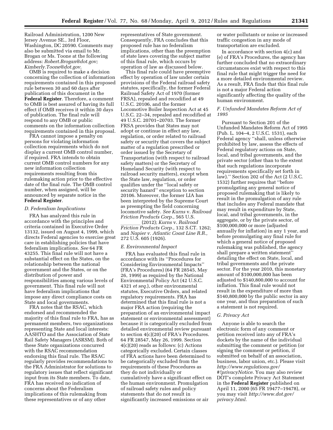Railroad Administration, 1200 New Jersey Avenue SE., 3rd Floor, Washington, DC 20590. Comments may also be submitted via email to Mr. Brogan or Ms. Toone at the following address: *[Robert.Brogan@dot.gov;](mailto:Robert.Brogan@dot.gov)  [Kimberly.Toone@dot.gov](mailto:Kimberly.Toone@dot.gov)*.

OMB is required to make a decision concerning the collection of information requirements contained in this proposed rule between 30 and 60 days after publication of this document in the **Federal Register**. Therefore, a comment to OMB is best assured of having its full effect if OMB receives it within 30 days of publication. The final rule will respond to any OMB or public comments on the information collection requirements contained in this proposal.

FRA cannot impose a penalty on persons for violating information collection requirements which do not display a current OMB control number, if required. FRA intends to obtain current OMB control numbers for any new information collection requirements resulting from this rulemaking action prior to the effective date of the final rule. The OMB control number, when assigned, will be announced by separate notice in the **Federal Register**.

# *D. Federalism Implications*

FRA has analyzed this rule in accordance with the principles and criteria contained in Executive Order 13132, issued on August 4, 1999, which directs Federal agencies to exercise great care in establishing policies that have federalism implications. *See* 64 FR 43255. This final rule will not have a substantial effect on the States, on the relationship between the national government and the States, or on the distribution of power and responsibilities among various levels of government. This final rule will not have federalism implications that impose any direct compliance costs on State and local governments.

FRA notes that the RSAC, which endorsed and recommended the majority of this final rule to FRA, has as permanent members, two organizations representing State and local interests: AASHTO and the Association of State Rail Safety Managers (ASRSM). Both of these State organizations concurred with the RSAC recommendation endorsing this final rule. The RSAC regularly provides recommendations to the FRA Administrator for solutions to regulatory issues that reflect significant input from its State members. To date, FRA has received no indication of concerns about the Federalism implications of this rulemaking from these representatives or of any other

representatives of State government. Consequently, FRA concludes that this proposed rule has no federalism implications, other than the preemption of state laws covering the subject matter of this final rule, which occurs by operation of law as discussed below.

This final rule could have preemptive effect by operation of law under certain provisions of the Federal railroad safety statutes, specifically, the former Federal Railroad Safety Act of 1970 (former FRSA), repealed and recodified at 49 U.S.C. 20106, and the former Locomotive Boiler Inspection Act at 45 U.S.C. 22–34, repealed and recodified at 49 U.S.C. 20701–20703. The former FRSA provides that States may not adopt or continue in effect any law, regulation, or order related to railroad safety or security that covers the subject matter of a regulation prescribed or order issued by the Secretary of Transportation (with respect to railroad safety matters) or the Secretary of Homeland Security (with respect to railroad security matters), except when the State law, regulation, or order qualifies under the ''local safety or security hazard'' exception to section 20106. Moreover, the former LIA has been interpreted by the Supreme Court as preempting the field concerning locomotive safety. *See Kurns* v. *Railroad Friction Products Corp.,* 565 U.S.

llll (2012); *Kurns* v. *Railroad Friction Products Corp.,* 132 S.CT. 1262; and *Napier v. Atlantic Coast Line R.R.,*  272 U.S. 605 (1926).

# *E. Environmental Impact*

FRA has evaluated this final rule in accordance with its ''Procedures for Considering Environmental Impacts'' (FRA's Procedures) (64 FR 28545, May 26, 1999) as required by the National Environmental Policy Act (42 U.S.C. 4321 *et seq.*), other environmental statutes, Executive Orders, and related regulatory requirements. FRA has determined that this final rule is not a major FRA action (requiring the preparation of an environmental impact statement or environmental assessment) because it is categorically excluded from detailed environmental review pursuant to section 4(c)(20) of FRA's Procedures. 64 FR 28547, May 26, 1999. Section 4(c)(20) reads as follows: (c) Actions categorically excluded. Certain classes of FRA actions have been determined to be categorically excluded from the requirements of these Procedures as they do not individually or cumulatively have a significant effect on the human environment. Promulgation of railroad safety rules and policy statements that do not result in significantly increased emissions or air

or water pollutants or noise or increased traffic congestion in any mode of transportation are excluded.

In accordance with section 4(c) and (e) of FRA's Procedures, the agency has further concluded that no extraordinary circumstances exist with respect to this final rule that might trigger the need for a more detailed environmental review. As a result, FRA finds that this final rule is not a major Federal action significantly affecting the quality of the human environment.

# *F. Unfunded Mandates Reform Act of 1995*

Pursuant to Section 201 of the Unfunded Mandates Reform Act of 1995 (Pub. L. 104–4, 2 U.S.C. 1531), each Federal agency ''shall, unless otherwise prohibited by law, assess the effects of Federal regulatory actions on State, local, and tribal governments, and the private sector (other than to the extent that such regulations incorporate requirements specifically set forth in law).'' Section 202 of the Act (2 U.S.C. 1532) further requires that ''before promulgating any general notice of proposed rulemaking that is likely to result in the promulgation of any rule that includes any Federal mandate that may result in expenditure by State, local, and tribal governments, in the aggregate, or by the private sector, of \$100,000,000 or more (adjusted annually for inflation) in any 1 year, and before promulgating any final rule for which a general notice of proposed rulemaking was published, the agency shall prepare a written statement'' detailing the effect on State, local, and tribal governments and the private sector. For the year 2010, this monetary amount of \$100,000,000 has been adjusted to \$140,800,000 to account for inflation. This final rule would not result in the expenditure of more than \$140,800,000 by the public sector in any one year, and thus preparation of such a statement is not required.

#### *G. Privacy Act*

Anyone is able to search the electronic form of any comment or petition received into any of FRA's dockets by the name of the individual submitting the comment or petition (or signing the comment or petition, if submitted on behalf of an association, business, labor union, etc.). Please visit *[http://www.regulations.gov/](http://www.regulations.gov/#!privacyNotice)  [#!privacyNotice.](http://www.regulations.gov/#!privacyNotice)* You may also review DOT's complete Privacy Act Statement in the **Federal Register** published on April 11, 2000 (65 FR 19477–19478), or you may visit *[http://www.dot.gov/](http://www.dot.gov/privacy.html)  [privacy.html.](http://www.dot.gov/privacy.html)*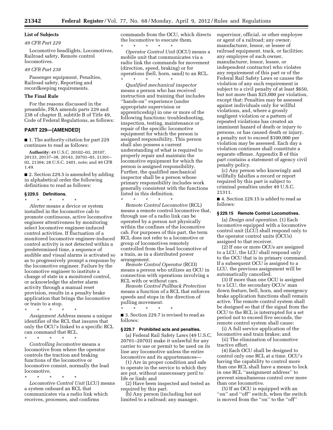# **List of Subjects**  *49 CFR Part 229*

# Locomotive headlights, Locomotives, Railroad safety, Remote control locomotives.

#### *49 CFR Part 238*

Passenger equipment, Penalties, Railroad safety, Reporting and recordkeeping requirements.

### **The Final Rule**

For the reasons discussed in the preamble, FRA amends parts 229 and 238 of chapter II, subtitle B of Title 49, Code of Federal Regulations, as follows:

# **PART 229—[AMENDED]**

■ 1. The authority citation for part 229 continues to read as follows:

**Authority:** 49 U.S.C. 20102–03, 20107, 20133, 20137–38, 20143, 20701–03, 21301– 02, 21304; 28 U.S.C. 2401, note; and 49 CFR 1.49.

■ 2. Section 229.5 is amended by adding in alphabetical order the following definitions to read as follows:

# **§ 229.5 Definitions.**

\* \* \* \* \*

*Alerter* means a device or system installed in the locomotive cab to promote continuous, active locomotive engineer attentiveness by monitoring select locomotive engineer-induced control activities. If fluctuation of a monitored locomotive engineer-induced control activity is not detected within a predetermined time, a sequence of audible and visual alarms is activated so as to progressively prompt a response by the locomotive engineer. Failure by the locomotive engineer to institute a change of state in a monitored control, or acknowledge the alerter alarm activity through a manual reset provision, results in a penalty brake application that brings the locomotive or train to a stop.

\* \* \* \* \*

*Assignment Address* means a unique identifier of the RCL that insures that only the OCU's linked to a specific RCL can command that RCL.

\* \* \* \* \*

*Controlling locomotive* means a locomotive from where the operator controls the traction and braking functions of the locomotive or locomotive consist, normally the lead locomotive.

\* \* \* \* \* *Locomotive Control Unit* (LCU) means a system onboard an RCL that communicates via a radio link which receives, processes, and confirms

commands from the OCU, which directs the locomotive to execute them.

\* \* \* \* \* *Operator Control Unit* (OCU) means a mobile unit that communicates via a radio link the commands for movement (direction, speed, braking) or for operations (bell, horn, sand) to an RCL. \* \* \* \* \*

*Qualified mechanical inspector*  means a person who has received instruction and training that includes ''hands-on'' experience (under appropriate supervision or apprenticeship) in one or more of the following functions: troubleshooting, inspection, testing, maintenance or repair of the specific locomotive equipment for which the person is assigned responsibility. This person shall also possess a current understanding of what is required to properly repair and maintain the locomotive equipment for which the person is assigned responsibility. Further, the qualified mechanical inspector shall be a person whose primary responsibility includes work generally consistent with the functions listed in this definition.

*Remote Control Locomotive* (RCL) means a remote control locomotive that, through use of a radio link can be operated by a person not physically within the confines of the locomotive cab. For purposes of this part, the term RCL does not refer to a locomotive or group of locomotives remotely controlled from the lead locomotive of a train, as in a distributed power arrangement.

\* \* \* \* \*

*Remote Control Operator* (RCO) means a person who utilizes an OCU in connection with operations involving a RCL with or without cars.

*Remote Control Pullback Protection*  means a function of a RCL that enforces speeds and stops in the direction of pulling movement.

■ 3. Section 229.7 is revised to read as follows:

\* \* \* \* \*

#### **§ 229.7 Prohibited acts and penalties.**

(a) Federal Rail Safety Laws (49 U.S.C. 20701–20703) make it unlawful for any carrier to use or permit to be used on its line any locomotive unless the entire locomotive and its appurtenances—

(1) Are in proper condition and safe to operate in the service to which they are put, without unnecessary peril to life or limb; and

(2) Have been inspected and tested as required by this part.

(b) Any person (including but not limited to a railroad; any manager,

supervisor, official, or other employee or agent of a railroad; any owner, manufacturer, lessor, or lessee of railroad equipment, track, or facilities; any employee of such owner, manufacturer, lessor, lessee, or independent contractor) who violates any requirement of this part or of the Federal Rail Safety Laws or causes the violation of any such requirement is subject to a civil penalty of at least \$650, but not more than \$25,000 per violation, except that: Penalties may be assessed against individuals only for willful violations, and, where a grossly negligent violation or a pattern of repeated violations has created an imminent hazard of death or injury to persons, or has caused death or injury, a penalty not to exceed \$100,000 per violation may be assessed. Each day a violation continues shall constitute a separate offense. Appendix B of this part contains a statement of agency civil penalty policy.

(c) Any person who knowingly and willfully falsifies a record or report required by this part is subject to criminal penalties under 49 U.S.C. 21311.

■ 4. Section 229.15 is added to read as follows:

#### **§ 229.15 Remote Control Locomotives.**

(a) *Design and operation.* (1) Each locomotive equipped with a locomotive control unit (LCU) shall respond only to the operator control units (OCUs) assigned to that receiver.

(2) If one or more OCUs are assigned to a LCU, the LCU shall respond only to the OCU that is in primary command. If a subsequent OCU is assigned to a LCU, the previous assignment will be automatically cancelled.

(3) If more than one OCU is assigned to a LCU, the secondary OCUs' man down feature, bell, horn, and emergency brake application functions shall remain active. The remote control system shall be designed so that if the signal from the OCU to the RCL is interrupted for a set period not to exceed five seconds, the remote control system shall cause:

(i) A full service application of the locomotive and train brakes; and

(ii) The elimination of locomotive tractive effort.

(4) Each OCU shall be designed to control only one RCL at a time. OCU's having the capability to control more than one RCL shall have a means to lock in one RCL ''assignment address'' to prevent simultaneous control over more than one locomotive.

(5) If an OCU is equipped with an "on" and "off" switch, when the switch is moved from the ''on'' to the ''off''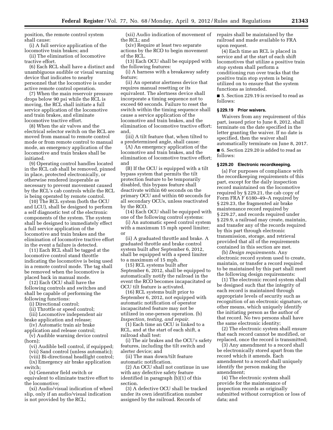position, the remote control system shall cause:

(i) A full service application of the locomotive train brakes; and

(ii) The elimination of locomotive tractive effort.

(6) Each RCL shall have a distinct and unambiguous audible or visual warning device that indicates to nearby personnel that the locomotive is under active remote control operation.

(7) When the main reservoir pressure drops below 90 psi while the RCL is moving, the RCL shall initiate a full service application of the locomotive and train brakes, and eliminate locomotive tractive effort.

(8) When the air valves and the electrical selector switch on the RCL are moved from manual to remote control mode or from remote control to manual mode, an emergency application of the locomotive and train brakes shall be initiated.

(9) Operating control handles located in the RCL cab shall be removed, pinned in place, protected electronically, or otherwise rendered inoperable as necessary to prevent movement caused by the RCL's cab controls while the RCL is being operated by remote control.

(10) The RCL system (both the OCU and LCU), shall be designed to perform a self diagnostic test of the electronic components of the system. The system shall be designed to immediately effect a full service application of the locomotive and train brakes and the elimination of locomotive tractive effort in the event a failure is detected.

(11) Each RCL shall be tagged at the locomotive control stand throttle indicating the locomotive is being used in a remote control mode. The tag shall be removed when the locomotive is placed back in manual mode.

(12) Each OCU shall have the following controls and switches and shall be capable of performing the following functions:

(i) Directional control;

(ii) Throttle or speed control;

(iii) Locomotive independent air brake application and release;

(iv) Automatic train air brake

application and release control; (v) Audible warning device control (horn);

(vi) Audible bell control, if equipped;

(vii) Sand control (unless automatic);

(viii) Bi-directional headlight control;

(ix) Emergency air brake application switch;

(x) Generator field switch or equivalent to eliminate tractive effort to the locomotive;

(xi) Audio/visual indication of wheel slip, only if an audio/visual indication is not provided by the RCL;

(xii) Audio indication of movement of the RCL; and

(xiv) Require at least two separate actions by the RCO to begin movement of the RCL.

(13) Each OCU shall be equipped with the following features:

(i) A harness with a breakaway safety feature;

(ii) An operator alertness device that requires manual resetting or its equivalent. The alertness device shall incorporate a timing sequence not to exceed 60 seconds. Failure to reset the switch within the timing sequence shall cause a service application of the locomotive and train brakes, and the elimination of locomotive tractive effort; and,

(iii) A tilt feature that, when tilted to a predetermined angle, shall cause:

(A) An emergency application of the locomotive and train brakes, and the elimination of locomotive tractive effort; and

(B) If the OCU is equipped with a tilt bypass system that permits the tilt protection feature to be temporarily disabled, this bypass feature shall deactivate within 60 seconds on the primary OCU and within 60 seconds for all secondary OCUs, unless reactivated by the RCO.

(14) Each OCU shall be equipped with one of the following control systems:

(i) An automatic speed control system with a maximum 15 mph speed limiter; or

(ii) A graduated throttle and brake. A graduated throttle and brake control system built after September 6, 2012, shall be equipped with a speed limiter to a maximum of 15 mph.

(15) RCL systems built after September 6, 2012, shall be equipped to automatically notify the railroad in the event the RCO becomes incapacitated or OCU tilt feature is activated.

(16) RCL systems built prior to September 6, 2012, not equipped with automatic notification of operator incapacitated feature may not be utilized in one-person operation. (b) *Inspection, testing, and repair.* 

(1) Each time an OCU is linked to a RCL, and at the start of each shift, a railroad shall test:

(i) The air brakes and the OCU's safety features, including the tilt switch and alerter device; and

(ii) The man down/tilt feature automatic notification.

(2) An OCU shall not continue in use with any defective safety feature identified in paragraph (b)(1) of this section.

(3) A defective OCU shall be tracked under its own identification number assigned by the railroad. Records of

repairs shall be maintained by the railroad and made available to FRA upon request.

(4) Each time an RCL is placed in service and at the start of each shift locomotives that utilize a positive train stop system shall perform a conditioning run over tracks that the positive train stop system is being utilized on to ensure that the system functions as intended.

■ 5. Section 229.19 is revised to read as follows:

# **§ 229.19 Prior waivers.**

Waivers from any requirement of this part, issued prior to June 8, 2012, shall terminate on the date specified in the letter granting the waiver. If no date is specified, then the waiver shall automatically terminate on June 8, 2017.

■ 6. Section 229.20 is added to read as follows:

# **§ 229.20 Electronic recordkeeping.**

(a) For purposes of compliance with the recordkeeping requirements of this part, except for the daily inspection record maintained on the locomotive required by § 229.21, the cab copy of Form FRA F 6180–49–A required by § 229.23, the fragmented air brake maintenance record required by § 229.27, and records required under § 229.9, a railroad may create, maintain, and transfer any of the records required by this part through electronic transmission, storage, and retrieval provided that all of the requirements contained in this section are met.

(b) *Design requirements.* Any electronic record system used to create, maintain, or transfer a record required to be maintained by this part shall meet the following design requirements:

(1) The electronic record system shall be designed such that the integrity of each record is maintained through appropriate levels of security such as recognition of an electronic signature, or other means, which uniquely identify the initiating person as the author of that record. No two persons shall have the same electronic identity;

(2) The electronic system shall ensure that each record cannot be modified, or replaced, once the record is transmitted;

(3) Any amendment to a record shall be electronically stored apart from the record which it amends. Each amendment to a record shall uniquely identify the person making the amendment;

(4) The electronic system shall provide for the maintenance of inspection records as originally submitted without corruption or loss of data; and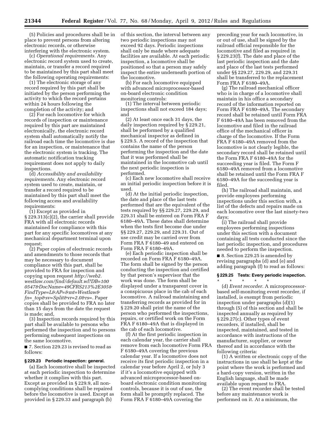(5) Policies and procedures shall be in place to prevent persons from altering electronic records, or otherwise interfering with the electronic system.

(c) *Operational requirements.* Any electronic record system used to create, maintain, or transfer a record required to be maintained by this part shall meet the following operating requirements:

(1) The electronic storage of any record required by this part shall be initiated by the person performing the activity to which the record pertains within 24 hours following the completion of the activity; and

(2) For each locomotive for which records of inspection or maintenance required by this part are maintained electronically, the electronic record system shall automatically notify the railroad each time the locomotive is due for an inspection, or maintenance that the electronic system is tracking. The automatic notification tracking requirement does not apply to daily inspections.

(d) *Accessibility and availability requirements.* Any electronic record system used to create, maintain, or transfer a record required to be maintained by this part shall meet the following access and availability requirements:

(1) Except as provided in § 229.313(c)(2), the carrier shall provide FRA with all electronic records maintained for compliance with this part for any specific locomotives at any mechanical department terminal upon request;

(2) Paper copies of electronic records and amendments to those records that may be necessary to document compliance with this part, shall be provided to FRA for inspection and copying upon request *[http://web2.](http://web2.westlaw.com/find/default.wl?DB=1000547&DocName=49CFRS213%2E305&FindType=L&AP=&mt=Westlaw&fn=_top&sv=Split&vr=2.0&rs=) [westlaw.com/find/default.wl?DB=100](http://web2.westlaw.com/find/default.wl?DB=1000547&DocName=49CFRS213%2E305&FindType=L&AP=&mt=Westlaw&fn=_top&sv=Split&vr=2.0&rs=) [0547&DocName=49CFRS213%2E305&](http://web2.westlaw.com/find/default.wl?DB=1000547&DocName=49CFRS213%2E305&FindType=L&AP=&mt=Westlaw&fn=_top&sv=Split&vr=2.0&rs=) [FindType=L&AP=&mt=Westlaw&](http://web2.westlaw.com/find/default.wl?DB=1000547&DocName=49CFRS213%2E305&FindType=L&AP=&mt=Westlaw&fn=_top&sv=Split&vr=2.0&rs=) fn=*\_*[top&sv=Split&vr=2.0&rs=.](http://web2.westlaw.com/find/default.wl?DB=1000547&DocName=49CFRS213%2E305&FindType=L&AP=&mt=Westlaw&fn=_top&sv=Split&vr=2.0&rs=)* Paper copies shall be provided to FRA no later than 15 days from the date the request is made; and,

(3) Inspection records required by this part shall be available to persons who performed the inspection and to persons performing subsequent inspections on the same locomotive.

■ 7. Section 229.23 is revised to read as follows:

# **§ 229.23 Periodic inspection: general.**

(a) Each locomotive shall be inspected at each periodic inspection to determine whether it complies with this part. Except as provided in § 229.9, all noncomplying conditions shall be repaired before the locomotive is used. Except as provided in § 229.33 and paragraph (b)

of this section, the interval between any two periodic inspections may not exceed 92 days. Periodic inspections shall only be made where adequate facilities are available. At each periodic inspection, a locomotive shall be positioned so that a person may safely inspect the entire underneath portion of the locomotive.

(b) For each locomotive equipped with advanced microprocessor-based on-board electronic condition monitoring controls:

(1) The interval between periodic inspections shall not exceed 184 days; and

(2) At least once each 31 days, the daily inspection required by § 229.21, shall be performed by a qualified mechanical inspector as defined in § 229.5. A record of the inspection that contains the name of the person performing the inspection and the date that it was performed shall be maintained in the locomotive cab until the next periodic inspection is performed.

(c) Each new locomotive shall receive an initial periodic inspection before it is used.

(d) At the initial periodic inspection, the date and place of the last tests performed that are the equivalent of the tests required by §§ 229.27, 229.29, and 229.31 shall be entered on Form FRA F 6180–49A. These dates shall determine when the tests first become due under §§ 229.27, 229.29, and 229.31. Out of use credit may be carried over from Form FRA F 6180–49 and entered on Form FRA F 6180–49A.

(e) Each periodic inspection shall be recorded on Form FRA F 6180–49A. The form shall be signed by the person conducting the inspection and certified by that person's supervisor that the work was done. The form shall be displayed under a transparent cover in a conspicuous place in the cab of each locomotive. A railroad maintaining and transferring records as provided for in § 229.20 shall print the name of the person who performed the inspections, repairs, or certified work on the Form FRA F 6180–49A that is displayed in the cab of each locomotive.

(f) At the first periodic inspection in each calendar year, the carrier shall remove from each locomotive Form FRA F 6180–49A covering the previous calendar year. If a locomotive does not receive its first periodic inspection in a calendar year before April 2, or July 3 if it's a locomotive equipped with advanced microprocessor-based onboard electronic condition monitoring controls, because it is out of use, the form shall be promptly replaced. The Form FRA F 6180–49A covering the

preceding year for each locomotive, in or out of use, shall be signed by the railroad official responsible for the locomotive and filed as required in § 229.23(f). The date and place of the last periodic inspection and the date and place of the last tests performed under §§ 229.27, 229.29, and 229.31 shall be transferred to the replacement Form FRA F 6180–49A.

(g) The railroad mechanical officer who is in charge of a locomotive shall maintain in his office a secondary record of the information reported on Form FRA F 6180–49A. The secondary record shall be retained until Form FRA F 6180–49A has been removed from the locomotive and filed in the railroad office of the mechanical officer in charge of the locomotive. If the Form FRA F 6180–49A removed from the locomotive is not clearly legible, the secondary record shall be retained until the Form FRA F 6180–49A for the succeeding year is filed. The Form F 6180–49A removed from a locomotive shall be retained until the Form FRA F 6180–49A for the succeeding year is filed.

(h) The railroad shall maintain, and provide employees performing inspections under this section with, a list of the defects and repairs made on each locomotive over the last ninety-two days;

(i) The railroad shall provide employees performing inspections under this section with a document containing all tests conducted since the last periodic inspection, and procedures needed to perform the inspection.

■ 8. Section 229.25 is amended by revising paragraphs (d) and (e) and adding paragraph (f) to read as follows:

# **§ 229.25 Tests: Every periodic inspection.**

\* \* \* \* \* (d) *Event recorder.* A microprocessorbased self-monitoring event recorder, if installed, is exempt from periodic inspection under paragraphs (d)(1) through (5) of this section and shall be inspected annually as required by § 229.27(c). Other types of event recorders, if installed, shall be inspected, maintained, and tested in accordance with instructions of the manufacturer, supplier, or owner thereof and in accordance with the following criteria:

(1) A written or electronic copy of the instructions in use shall be kept at the point where the work is performed and a hard-copy version, written in the English language, shall be made available upon request to FRA.

(2) The event recorder shall be tested before any maintenance work is performed on it. At a minimum, the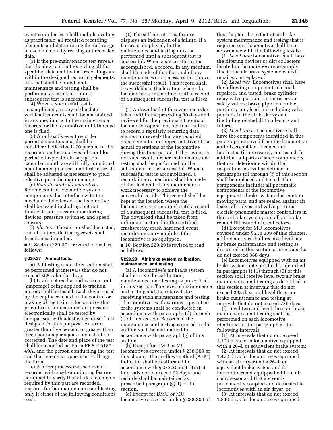event recorder test shall include cycling, as practicable, all required recording elements and determining the full range of each element by reading out recorded data.

(3) If the pre-maintenance test reveals that the device is not recording all the specified data and that all recordings are within the designed recording elements, this fact shall be noted, and maintenance and testing shall be performed as necessary until a subsequent test is successful.

(4) When a successful test is accomplished, a copy of the dataverification results shall be maintained in any medium with the maintenance records for the locomotive until the next one is filed.

(5) A railroad's event recorder periodic maintenance shall be considered effective if 90 percent of the recorders on locomotives inbound for periodic inspection in any given calendar month are still fully functional; maintenance practices and test intervals shall be adjusted as necessary to yield effective periodic maintenance.

(e) *Remote control locomotive.*  Remote control locomotive system components that interface with the mechanical devices of the locomotive shall be tested including, but not limited to, air pressure monitoring devices, pressure switches, and speed sensors.

(f) *Alerters.* The alerter shall be tested, and all automatic timing resets shall function as intended.

■ 9. Section 229.27 is revised to read as follows:

# **§ 229.27 Annual tests.**

(a) All testing under this section shall be performed at intervals that do not exceed 368 calendar days.

(b) Load meters that indicate current (amperage) being applied to traction motors shall be tested. Each device used by the engineer to aid in the control or braking of the train or locomotive that provides an indication of air pressure electronically shall be tested by comparison with a test gauge or self-test designed for this purpose. An error greater than five percent or greater than three pounds per square inch shall be corrected. The date and place of the test shall be recorded on Form FRA F 6180– 49A, and the person conducting the test and that person's supervisor shall sign the form.

(c) A microprocessor-based event recorder with a self-monitoring feature equipped to verify that all data elements required by this part are recorded, requires further maintenance and testing only if either of the following conditions exist:

(1) The self-monitoring feature displays an indication of a failure. If a failure is displayed, further maintenance and testing must be performed until a subsequent test is successful. When a successful test is accomplished, a record, in any medium, shall be made of that fact and of any maintenance work necessary to achieve the successful result. This record shall be available at the location where the locomotive is maintained until a record of a subsequent successful test is filed; or,

(2) A download of the event recorder, taken within the preceding 30 days and reviewed for the previous 48 hours of locomotive operation, reveals a failure to record a regularly recurring data element or reveals that any required data element is not representative of the actual operations of the locomotive during this time period. If the review is not successful, further maintenance and testing shall be performed until a subsequent test is successful. When a successful test is accomplished, a record, in any medium, shall be made of that fact and of any maintenance work necessary to achieve the successful result. This record shall be kept at the location where the locomotive is maintained until a record of a subsequent successful test is filed. The download shall be taken from information stored in the certified crashworthy crash hardened event recorder memory module if the locomotive is so equipped.

■ 10. Section 229.29 is revised to read as follows:

# **§ 229.29 Air brake system calibration, maintenance, and testing.**

(a) A locomotive's air brake system shall receive the calibration, maintenance, and testing as prescribed in this section. The level of maintenance and testing and the intervals for receiving such maintenance and testing of locomotives with various types of air brake systems shall be conducted in accordance with paragraphs (d) through (f) of this section. Records of the maintenance and testing required in this section shall be maintained in accordance with paragraph (g) of this section.

(b) Except for DMU or MU locomotives covered under § 238.309 of this chapter, the air flow method (AFM) indicator shall be calibrated in accordance with  $\S 232.205(c)(1)(iii)$  at intervals not to exceed 92 days, and records shall be maintained as prescribed paragraph (g)(1) of this section.

(c) Except for DMU or MU locomotives covered under § 238.309 of

this chapter, the extent of air brake system maintenance and testing that is required on a locomotive shall be in accordance with the following levels:

(1) *Level one:* Locomotives shall have the filtering devices or dirt collectors located in the main reservoir supply line to the air brake system cleaned, repaired, or replaced.

(2) *Level two:* Locomotives shall have the following components cleaned, repaired, and tested: brake cylinder relay valve portions; main reservoir safety valves; brake pipe vent valve portions; and, feed and reducing valve portions in the air brake system (including related dirt collectors and filters).

(3) *Level three:* Locomotives shall have the components identified in this paragraph removed from the locomotive and disassembled, cleaned and lubricated (if necessary), and tested. In addition, all parts of such components that can deteriorate within the inspection interval as defined in paragraphs (d) through (f) of this section shall be replaced and tested. The components include: all pneumatic components of the locomotive equipment's brake system that contain moving parts, and are sealed against air leaks; all valves and valve portions; electric-pneumatic master controllers in the air brake system; and all air brake related filters and dirt collectors.

(d) Except for MU locomotives covered under § 238.309 of this chapter, all locomotives shall receive level one air brake maintenance and testing as described in this section at intervals that do not exceed 368 days.

(e) Locomotives equipped with an air brake system not specifically identified in paragraphs (f)(1) through (3) of this section shall receive level two air brake maintenance and testing as described in this section at intervals that do not exceed 368 days and level three air brake maintenance and testing at intervals that do not exceed 736 days.

(f) Level two and level three air brake maintenance and testing shall be performed on each locomotive identified in this paragraph at the following intervals:

(1) At intervals that do not exceed 1,104 days for a locomotive equipped with a 26–L or equivalent brake system;

(2) At intervals that do not exceed 1,472 days for locomotives equipped with an air dryer and a 26–L or equivalent brake system and for locomotives not equipped with an air compressor and that are semipermanently coupled and dedicated to locomotives with an air dryer; or

(3) At intervals that do not exceed 1,840 days for locomotives equipped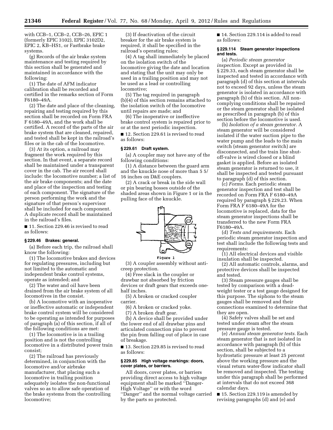with CCB–1, CCB–2, CCB–26, EPIC 1 (formerly EPIC 3102), EPIC 3102D2, EPIC 2, KB–HS1, or Fastbrake brake systems.

(g) Records of the air brake system maintenance and testing required by this section shall be generated and maintained in accordance with the following:

(1) The date of AFM indicator calibration shall be recorded and certified in the remarks section of Form F6180–49A.

(2) The date and place of the cleaning, repairing and testing required by this section shall be recorded on Form FRA F 6180–49A, and the work shall be certified. A record of the parts of the air brake system that are cleaned, repaired, and tested shall be kept in the railroad's files or in the cab of the locomotive.

(3) At its option, a railroad may fragment the work required by this section. In that event, a separate record shall be maintained under a transparent cover in the cab. The air record shall include: the locomotive number; a list of the air brake components; and the date and place of the inspection and testing of each component. The signature of the person performing the work and the signature of that person's supervisor shall be included for each component. A duplicate record shall be maintained in the railroad's files.

■ 11. Section 229.46 is revised to read as follows:

# **§ 229.46 Brakes: general.**

(a) Before each trip, the railroad shall know the following:

(1) The locomotive brakes and devices for regulating pressures, including but not limited to the automatic and independent brake control systems, operate as intended; and

(2) The water and oil have been drained from the air brake system of all locomotives in the consist.

(b) A locomotive with an inoperative or ineffective automatic or independent brake control system will be considered to be operating as intended for purposes of paragraph (a) of this section, if all of the following conditions are met:

(1) The locomotive is in a trailing position and is not the controlling locomotive in a distributed power train consist;

(2) The railroad has previously determined, in conjunction with the locomotive and/or airbrake manufacturer, that placing such a locomotive in trailing position adequately isolates the non-functional valves so as to allow safe operation of the brake systems from the controlling locomotive;

(3) If deactivation of the circuit breaker for the air brake system is required, it shall be specified in the railroad's operating rules;

(4) A tag shall immediately be placed on the isolation switch of the locomotive giving the date and location and stating that the unit may only be used in a trailing position and may not be used as a lead or controlling locomotive;

(5) The tag required in paragraph (b)(4) of this section remains attached to the isolation switch of the locomotive until repairs are made; and

(6) The inoperative or ineffective brake control system is repaired prior to or at the next periodic inspection.

■ 12. Section 229.61 is revised to read as follows:

# **§ 229.61 Draft system.**

(a) A coupler may not have any of the following conditions:

(1) A distance between the guard arm and the knuckle nose of more than 5 5/ 16 inches on D&E couplers.

(2) A crack or break in the side wall or pin bearing bosses outside of the shaded areas shown in Figure 1 or in the pulling face of the knuckle.



(3) A coupler assembly without anticreep protection.

(4) Free slack in the coupler or drawbar not absorbed by friction devices or draft gears that exceeds onehalf inches.

(5) A broken or cracked coupler carrier.

(6) A broken or cracked yoke.

(7) A broken draft gear.

(b) A device shall be provided under the lower end of all drawbar pins and articulated connection pins to prevent the pin from falling out of place in case of breakage.

■ 13. Section 229.85 is revised to read as follows:

# **§ 229.85 High voltage markings: doors, cover plates, or barriers.**

All doors, cover plates, or barriers providing direct access to high voltage equipment shall be marked ''Danger-High Voltage'' or with the word ''Danger'' and the normal voltage carried by the parts so protected.

■ 14. Section 229.114 is added to read as follows:

# **§ 229.114 Steam generator inspections and tests.**

(a) *Periodic steam generator inspection.* Except as provided in § 229.33, each steam generator shall be inspected and tested in accordance with paragraph (d) of this section at intervals not to exceed 92 days, unless the steam generator is isolated in accordance with paragraph (b) of this section. All noncomplying conditions shall be repaired or the steam generator shall be isolated as prescribed in paragraph (b) of this section before the locomotive is used.

(b) *Isolation of a steam generator.* A steam generator will be considered isolated if the water suction pipe to the water pump and the leads to the main switch (steam generator switch) are disconnected, and the train line shutoff-valve is wired closed or a blind gasket is applied. Before an isolated steam generator is returned to use, it shall be inspected and tested pursuant to paragraph (d) of this section.

(c) *Forms.* Each periodic steam generator inspection and test shall be recorded on Form FRA F 6180–49A required by paragraph § 229.23. When Form FRA F 6180–49A for the locomotive is replaced, data for the steam generator inspections shall be transferred to the new Form FRA F6180–49A.

(d) *Tests and requirements.* Each periodic steam generator inspection and test shall include the following tests and requirements:

(1) All electrical devices and visible insulation shall be inspected.

(2) All automatic controls, alarms, and protective devices shall be inspected and tested.

(3) Steam pressure gauges shall be tested by comparison with a deadweight tester or a test gauge designed for this purpose. The siphons to the steam gauges shall be removed and their connections examined to determine that they are open.

(4) Safety valves shall be set and tested under steam after the steam pressure gauge is tested.

(e) *Annual steam generator tests.* Each steam generator that is not isolated in accordance with paragraph (b) of this section, shall be subjected to a hydrostatic pressure at least 25 percent above the working pressure and the visual return water-flow indicator shall be removed and inspected. The testing under this paragraph shall be performed at intervals that do not exceed 368 calendar days.

■ 15. Section 229.119 is amended by revising paragraphs (d) and (e) and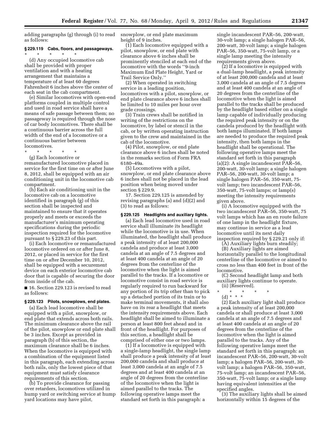adding paragraphs (g) through (i) to read as follows:

# **§ 229.119 Cabs, floors, and passageways.**  \* \* \* \* \*

(d) Any occupied locomotive cab shall be provided with proper ventilation and with a heating arrangement that maintains a temperature of at least 60 degrees Fahrenheit 6 inches above the center of each seat in the cab compartment.

(e) Similar locomotives with open-end platforms coupled in multiple control and used in road service shall have a means of safe passage between them; no passageway is required through the nose of car body locomotives. There shall be a continuous barrier across the full width of the end of a locomotive or a continuous barrier between locomotives.

\* \* \* \* \*

(g) Each locomotive or remanufactured locomotive placed in service for the first time on or after June 8, 2012, shall be equipped with an air conditioning unit in the locomotive cab compartment.

(h) Each air conditioning unit in the locomotive cab on a locomotive identified in paragraph (g) of this section shall be inspected and maintained to ensure that it operates properly and meets or exceeds the manufacturer's minimum operating specifications during the periodic inspection required for the locomotive pursuant to § 229.23 of this part.

(i) Each locomotive or remanufactured locomotive ordered on or after June 8, 2012, or placed in service for the first time on or after December 10, 2012, shall be equipped with a securement device on each exterior locomotive cab door that is capable of securing the door from inside of the cab.

■ 16. Section 229.123 is revised to read as follows:

#### **§ 229.123 Pilots, snowplows, end plates.**

(a) Each lead locomotive shall be equipped with a pilot, snowplow, or end plate that extends across both rails. The minimum clearance above the rail of the pilot, snowplow or end plate shall be 3 inches. Except as provided in paragraph (b) of this section, the maximum clearance shall be 6 inches. When the locomotive is equipped with a combination of the equipment listed in this paragraph, each extending across both rails, only the lowest piece of that equipment must satisfy clearance requirements of this section.

(b) To provide clearance for passing over retarders, locomotives utilized in hump yard or switching service at hump yard locations may have pilot,

snowplow, or end plate maximum height of 9 inches.

(1) Each locomotive equipped with a pilot, snowplow, or end plate with clearance above 6 inches shall be prominently stenciled at each end of the locomotive with the words ''9-inch Maximum End Plate Height, Yard or Trail Service Only.''

(2) When operated in switching service in a leading position, locomotives with a pilot, snowplow, or end plate clearance above 6 inches shall be limited to 10 miles per hour over grade crossings.

(3) Train crews shall be notified in writing of the restrictions on the locomotive, by label or stencil in the cab, or by written operating instruction given to the crew and maintained in the cab of the locomotive.

(4) Pilot, snowplow, or end plate clearance above 6 inches shall be noted in the remarks section of Form FRA 6180–49a.

(5) Locomotives with a pilot, snowplow, or end plate clearance above 6 inches shall not be placed in the lead position when being moved under section § 229.9.

17. Section 229.125 is amended by revising paragraphs (a) and (d)(2) and (3) to read as follows:

# **§ 229.125 Headlights and auxiliary lights.**

(a) Each lead locomotive used in road service shall illuminate its headlight while the locomotive is in use. When illuminated, the headlight shall produce a peak intensity of at least 200,000 candela and produce at least 3,000 candela at an angle of 7.5 degrees and at least 400 candela at an angle of 20 degrees from the centerline of the locomotive when the light is aimed parallel to the tracks. If a locomotive or locomotive consist in road service is regularly required to run backward for any portion of its trip other than to pick up a detached portion of its train or to make terminal movements, it shall also have on its rear a headlight that meets the intensity requirements above. Each headlight shall be aimed to illuminate a person at least 800 feet ahead and in front of the headlight. For purposes of this section, a headlight shall be comprised of either one or two lamps.

 $(1)$  If a locomotive is equipped with a single-lamp headlight, the single lamp shall produce a peak intensity of at least 200,000 candela and shall produce at least 3,000 candela at an angle of 7.5 degrees and at least 400 candela at an angle of 20 degrees from the centerline of the locomotive when the light is aimed parallel to the tracks. The following operative lamps meet the standard set forth in this paragraph: a

single incandescent PAR–56, 200-watt, 30-volt lamp; a single halogen PAR–56, 200-watt, 30-volt lamp; a single halogen PAR–56, 350-watt, 75-volt lamp, or a single lamp meeting the intensity requirements given above.

(2) If a locomotive is equipped with a dual-lamp headlight, a peak intensity of at least 200,000 candela and at least 3,000 candela at an angle of 7.5 degrees and at least 400 candela at an angle of 20 degrees from the centerline of the locomotive when the light is aimed parallel to the tracks shall be produced by the headlight based either on a single lamp capable of individually producing the required peak intensity or on the candela produced by the headlight with both lamps illuminated. If both lamps are needed to produce the required peak intensity, then both lamps in the headlight shall be operational. The following operative lamps meet the standard set forth in this paragraph (a)(2): A single incandescent PAR–56, 200-watt, 30-volt lamp; a single halogen PAR–56, 200-watt, 30-volt lamp; a single halogen PAR–56, 350-watt, 75 volt lamp; two incandescent PAR–56, 350-watt, 75-volt lamps; or lamp(s) meeting the intensity requirements given above.

(i) A locomotive equipped with the two incandescent PAR–56, 350-watt, 75 volt lamps which has an en route failure of one lamp in the headlight fixture, may continue in service as a lead locomotive until its next daily inspection required by § 229.21 only if:

(A) Auxiliary lights burn steadily;

(B) Auxiliary lights are aimed horizontally parallel to the longitudinal centerline of the locomotive or aimed to cross no less than 400 feet in front of the locomotive.

(C) Second headlight lamp and both auxiliary lights continue to operate.

- (ii) [Reserved]. \* \* \* \* \*
	- (d) \* \* \*

(2) Each auxiliary light shall produce a peak intensity of at least 200,000 candela or shall produce at least 3,000 candela at an angle of 7.5 degrees and at least 400 candela at an angle of 20 degrees from the centerline of the locomotive when the light is aimed parallel to the tracks. Any of the following operative lamps meet the standard set forth in this paragraph: an incandescent PAR–56, 200-watt, 30-volt lamp; a halogen PAR–56, 200-watt, 30 volt lamp; a halogen PAR–56, 350-watt, 75-volt lamp; an incandescent PAR–56, 350-watt, 75-volt lamp; or a single lamp having equivalent intensities at the specified angles.

(3) The auxiliary lights shall be aimed horizontally within 15 degrees of the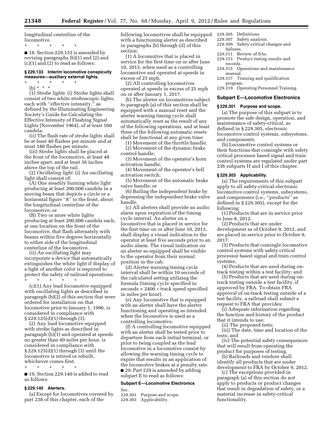longitudinal centerline of the locomotive.

\* \* \* \* \*

■ 18. Section 229.133 is amended by revising paragraphs (b)(1) and (2) and (c)(1) and (2) to read as follows:

# **§ 229.133 Interim locomotive conspicuity measures—auxiliary external lights.**

\* \* \* \* \* (b) \* \* \*

(1) *Strobe lights.* (i) Strobe lights shall consist of two white stroboscopic lights, each with ''effective intensity,'' as defined by the Illuminating Engineering Society's Guide for Calculating the Effective Intensity of Flashing Signal Lights (November 1964), of at least 500 candela.

(ii) The flash rate of strobe lights shall be at least 40 flashes per minute and at most 180 flashes per minute.

(iii) Strobe lights shall be placed at the front of the locomotive, at least 48 inches apart, and at least 36 inches above the top of the rail.

(2) *Oscillating light.* (i) An oscillating light shall consist of:

(A) One steadily burning white light producing at least 200,000 candela in a moving beam that depicts a circle or a horizontal figure "8" to the front, about the longitudinal centerline of the locomotive; or

(B) Two or more white lights producing at least 200,000 candela each, at one location on the front of the locomotive, that flash alternately with beams within five degrees horizontally to either side of the longitudinal centerline of the locomotive.

(ii) An oscillating light may incorporate a device that automatically extinguishes the white light if display of a light of another color is required to protect the safety of railroad operations.

\* \* \* \* \* (c)(1) Any lead locomotive equipped with oscillating lights as described in paragraph (b)(2) of this section that were ordered for installation on that locomotive prior to January 1, 1996, is considered in compliance with § 229.125(d)(1) through (3).

(2) Any lead locomotive equipped with strobe lights as described in paragraph (b)(1) and operated at speeds no greater than 40 miles per hour, is considered in compliance with § 229.125(d)(1) through (3) until the locomotive is retired or rebuilt, whichever comes first. \* \* \* \* \*

■ 19. Section 229.140 is added to read as follows:

# **§ 229.140 Alerters.**

(a) Except for locomotives covered by part 238 of this chapter, each of the

following locomotives shall be equipped with a functioning alerter as described in paragraphs (b) through (d) of this section:

(1) A locomotive that is placed in service for the first time on or after June 10, 2013, when used as a controlling locomotive and operated at speeds in excess of 25 mph.

(2) All controlling locomotives operated at speeds in excess of 25 mph on or after January 1, 2017.

(b) The alerter on locomotives subject to paragraph (a) of this section shall be equipped with a manual reset and the alerter warning timing cycle shall automatically reset as the result of any of the following operations, and at least three of the following automatic resets shall be functional at any given time:

(1) Movement of the throttle handle; (2) Movement of the dynamic brake

control handle;

(3) Movement of the operator's horn activation handle;

(4) Movement of the operator's bell activation switch;

(5) Movement of the automatic brake valve handle; or

(6) Bailing the independent brake by depressing the independent brake valve handle.

(c) All alerters shall provide an audio alarm upon expiration of the timing cycle interval. An alerter on a locomotive that is placed in service for the first time on or after June 10, 2013, shall display a visual indication to the operator at least five seconds prior to an audio alarm. The visual indication on an alerter so equipped shall be visible to the operator from their normal position in the cab.

(d) Alerter warning timing cycle interval shall be within 10 seconds of the calculated setting utilizing the formula (timing cycle specified in  $seconds = 2400 + track speed specified$ in miles per hour).

(e) Any locomotive that is equipped with an alerter shall have the alerter functioning and operating as intended when the locomotive is used as a controlling locomotive.

(f) A controlling locomotive equipped with an alerter shall be tested prior to departure from each initial terminal, or prior to being coupled as the lead locomotive in a locomotive consist by allowing the warning timing cycle to expire that results in an application of the locomotive brakes at a penalty rate. ■ 20. Part 229 is amended by adding

subpart E to read as follows:

# **Subpart E—Locomotive Electronics**

Sec.

229.301 Purpose and scope. 229.303 Applicability.

- 229.305 Definitions.
- 229.307 Safety analysis.
- 229.309 Safety-critical changes and failures.
- 229.311 Review of SAs.
- 229.313 Product testing results and records.
- 229.315 Operations and maintenance manual.
- 229.317 Training and qualification program.
- 229.319 Operating Personnel Training.

# **Subpart E—Locomotive Electronics**

# **§ 229.301 Purpose and scope.**

(a) The purpose of this subpart is to promote the safe design, operation, and maintenance of safety-critical, as defined in § 229.305, electronic locomotive control systems, subsystems, and components.

(b) Locomotive control systems or their functions that comingle with safety critical processor based signal and train control systems are regulated under part 236 subparts H and I of this chapter.

# **§ 229.303 Applicability.**

(a) The requirements of this subpart apply to all safety-critical electronic locomotive control systems, subsystems, and components (i.e., ''products'' as defined in § 229.305), except for the following:

(1) Products that are in service prior to June 8, 2012.

(2) Products that are under development as of October 9, 2012, and are placed in service prior to October 9, 2017.

(3) Products that comingle locomotive control systems with safety critical processor based signal and train control systems;

(4) Products that are used during ontrack testing within a test facility; and

(5) Products that are used during ontrack testing outside a test facility, if approved by FRA. To obtain FRA approval of on-track testing outside of a test facility, a railroad shall submit a request to FRA that provides:

(i) Adequate information regarding the function and history of the product that it intends to use;

(ii) The proposed tests;

(iii) The date, time and location of the tests; and

(iv) The potential safety consequences that will result from operating the product for purposes of testing.

(b) Railroads and vendors shall identify all products that are under development to FRA by October 9, 2012.

(c) The exceptions provided in paragraph (a) of this section do not apply to products or product changes that result in degradation of safety, or a material increase in safety-critical functionality.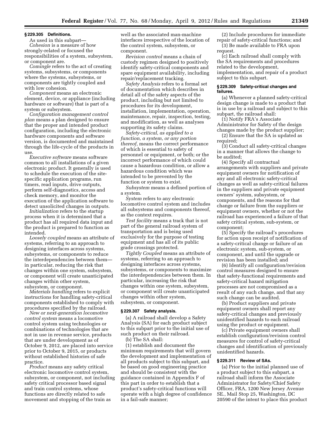### **§ 229.305 Definitions.**

As used in this subpart— *Cohesion* is a measure of how strongly-related or focused the responsibilities of a system, subsystem, or component are.

*Comingle* refers to the act of creating systems, subsystems, or components where the systems, subsystems, or components are tightly coupled and with low cohesion.

*Component* means an electronic element, device, or appliance (including hardware or software) that is part of a system or subsystem.

*Configuration management control plan* means a plan designed to ensure that the proper and intended product configuration, including the electronic hardware components and software version, is documented and maintained through the life-cycle of the products in use.

*Executive software* means software common to all installations of a given electronic product. It generally is used to schedule the execution of the sitespecific application programs, run timers, read inputs, drive outputs, perform self-diagnostics, access and check memory, and monitor the execution of the application software to detect unsolicited changes in outputs.

*Initialization* refers to the startup process when it is determined that a product has all required data input and the product is prepared to function as intended.

*Loosely coupled* means an attribute of systems, referring to an approach to designing interfaces across systems, subsystems, or components to reduce the interdependencies between them in particular, reducing the risk that changes within one system, subsystem, or component will create unanticipated changes within other system, subsystem, or component.

*Materials handling* refers to explicit instructions for handling safety-critical components established to comply with procedures specified by the railroad.

*New or next-generation locomotive control system* means a locomotive control system using technologies or combinations of technologies that are not in use in revenue service, products that are under development as of October 9, 2012, are placed into service prior to October 9, 2015, or products without established histories of safe practice.

*Product* means any safety critical electronic locomotive control system, subsystem, or component, not including safety critical processor based signal and train control systems, whose functions are directly related to safe movement and stopping of the train as

well as the associated man-machine interfaces irrespective of the location of the control system, subsystem, or component.

*Revision control* means a chain of custody regimen designed to positively identify safety-critical components and spare equipment availability, including repair/replacement tracking.

*Safety Analysis* refers to a formal set of documentation which describes in detail all of the safety aspects of the product, including but not limited to procedures for its development, installation, implementation, operation, maintenance, repair, inspection, testing, and modification, as well as analyses supporting its safety claims.

*Safety-critical, as applied to a function, a system, or any portion thereof,* means the correct performance of which is essential to safety of personnel or equipment, or both; or the incorrect performance of which could cause a hazardous condition, or allow a hazardous condition which was intended to be prevented by the function or system to exist.

*Subsystem* means a defined portion of a system.

*System* refers to any electronic locomotive control system and includes all subsystems and components thereof, as the context requires.

*Test facility* means a track that is not part of the general railroad system of transportation and is being used exclusively for the purpose of testing equipment and has all of its public grade crossings protected.

*Tightly Coupled* means an attribute of systems, referring to an approach to designing interfaces across systems, subsystems, or components to maximize the interdependencies between them. In particular, increasing the risk that changes within one system, subsystem, or component will create unanticipated changes within other system, subsystem, or component.

# **§ 229.307 Safety analysis.**

(a) A railroad shall develop a Safety Analysis (SA) for each product subject to this subpart prior to the initial use of such product on their railroad.

(b) The SA shall: (1) establish and document the minimum requirements that will govern the development and implementation of all products subject to this subpart, and be based on good engineering practice and should be consistent with the guidance contained in Appendix F of this part in order to establish that a product's safety-critical functions will operate with a high degree of confidence in a fail-safe manner;

(2) Include procedures for immediate repair of safety-critical functions; and (3) Be made available to FRA upon

request. (c) Each railroad shall comply with the SA requirements and procedures related to the development,

implementation, and repair of a product subject to this subpart.

# **§ 229.309 Safety-critical changes and failures.**

(a) Whenever a planned safety-critical design change is made to a product that is in use by a railroad and subject to this subpart, the railroad shall:

(1) Notify FRA's Associate Administrator for Safety of the design changes made by the product supplier;

(2) Ensure that the SA is updated as required;

(3) Conduct all safety-critical changes in a manner that allows the change to be audited;

(4) Specify all contractual arrangements with suppliers and private equipment owners for notification of any and all electronic safety-critical changes as well as safety-critical failures in the suppliers and private equipment owners' system, subsystem, or components, and the reasons for that change or failure from the suppliers or equipment owners, whether or not the railroad has experienced a failure of that safety critical system, sub-system, or component;

(5) Specify the railroad's procedures for action upon receipt of notification of a safety-critical change or failure of an electronic system, sub-system, or component, and until the upgrade or revision has been installed; and

(6) Identify all configuration/revision control measures designed to ensure that safety-functional requirements and safety-critical hazard mitigation processes are not compromised as a result of any such change, and that any such change can be audited.

(b) Product suppliers and private equipment owners shall report any safety-critical changes and previously unidentified hazards to each railroad using the product or equipment.

(c) Private equipment owners shall establish configuration/revision control measures for control of safety-critical changes and identification of previously unidentified hazards.

# **§ 229.311 Review of SAs.**

(a) Prior to the initial planned use of a product subject to this subpart, a railroad shall inform the Associate Administrator for Safety/Chief Safety Officer, FRA, 1200 New Jersey Avenue SE., Mail Stop 25, Washington, DC 20590 of the intent to place this product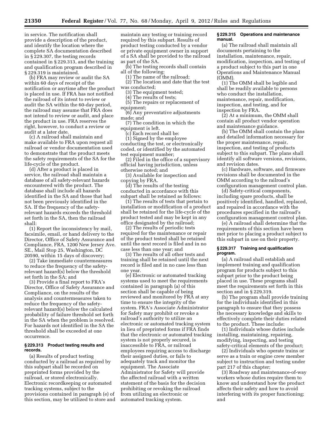in service. The notification shall provide a description of the product, and identify the location where the complete SA documentation described in § 229.307, the testing records contained in § 229.313, and the training and qualification program described in § 229.319 is maintained.

(b) FRA may review or audit the SA within 60 days of receipt of the notification or anytime after the product is placed in use. If FRA has not notified the railroad of its intent to review or audit the SA within the 60-day period, the railroad may assume that FRA does not intend to review or audit, and place the product in use. FRA reserves the right, however, to conduct a review or audit at a later date.

(c) A railroad shall maintain and make available to FRA upon request all railroad or vendor documentation used to demonstrate that the product meets the safety requirements of the SA for the life-cycle of the product.

(d) After a product is placed in service, the railroad shall maintain a database of all safety-relevant hazards encountered with the product. The database shall include all hazards identified in the SA and those that had not been previously identified in the SA. If the frequency of the safetyrelevant hazards exceeds the threshold set forth in the SA, then the railroad shall:

(1) Report the inconsistency by mail, facsimile, email, or hand delivery to the Director, Office of Safety Assurance and Compliance, FRA, 1200 New Jersey Ave. SE., Mail Stop 25, Washington, DC 20590, within 15 days of discovery;

(2) Take immediate countermeasures to reduce the frequency of the safetyrelevant hazard(s) below the threshold set forth in the SA; and

(3) Provide a final report to FRA's Director, Office of Safety Assurance and Compliance, on the results of the analysis and countermeasures taken to reduce the frequency of the safetyrelevant hazard(s) below the calculated probability of failure threshold set forth in the SA when the problem is resolved. For hazards not identified in the SA the threshold shall be exceeded at one occurrence.

# **§ 229.313 Product testing results and records.**

(a) Results of product testing conducted by a railroad as required by this subpart shall be recorded on preprinted forms provided by the railroad, or stored electronically. Electronic recordkeeping or automated tracking systems, subject to the provisions contained in paragraph (e) of this section, may be utilized to store and maintain any testing or training record required by this subpart. Results of product testing conducted by a vendor or private equipment owner in support of a SA shall be provided to the railroad as part of the SA.

(b) The testing records shall contain all of the following:

(1) The name of the railroad;

(2) The location and date that the test was conducted;

(3) The equipment tested;

(4) The results of tests;

(5) The repairs or replacement of equipment;

(6) Any preventative adjustments made; and

(7) The condition in which the equipment is left.

(c) Each record shall be:

(1) Signed by the employee conducting the test, or electronically coded, or identified by the automated test equipment number;

(2) Filed in the office of a supervisory official having jurisdiction, unless otherwise noted; and

(3) Available for inspection and copying by FRA.

(d) The results of the testing conducted in accordance with this subpart shall be retained as follows:

(1) The results of tests that pertain to installation or modification of a product shall be retained for the life-cycle of the product tested and may be kept in any office designated by the railroad;

(2) The results of periodic tests required for the maintenance or repair of the product tested shall be retained until the next record is filed and in no case less than one year; and

(3) The results of all other tests and training shall be retained until the next record is filed and in no case less than one year.

(e) Electronic or automated tracking systems used to meet the requirements contained in paragraph (a) of this section shall be capable of being reviewed and monitored by FRA at any time to ensure the integrity of the system. FRA's Associate Administrator for Safety may prohibit or revoke a railroad's authority to utilize an electronic or automated tracking system in lieu of preprinted forms if FRA finds that the electronic or automated tracking system is not properly secured, is inaccessible to FRA, or railroad employees requiring access to discharge their assigned duties, or fails to adequately track and monitor the equipment. The Associate Administrator for Safety will provide the affected railroad with a written statement of the basis for the decision prohibiting or revoking the railroad from utilizing an electronic or automated tracking system.

# **§ 229.315 Operations and maintenance manual.**

(a) The railroad shall maintain all documents pertaining to the installation, maintenance, repair, modification, inspection, and testing of a product subject to this part in one Operations and Maintenance Manual (OMM).

(1) The OMM shall be legible and shall be readily available to persons who conduct the installation, maintenance, repair, modification, inspection, and testing, and for inspection by FRA.

(2) At a minimum, the OMM shall contain all product vendor operation and maintenance guidance.

(b) The OMM shall contain the plans and detailed information necessary for the proper maintenance, repair, inspection, and testing of products subject to this subpart. The plans shall identify all software versions, revisions, and revision dates.

(c) Hardware, software, and firmware revisions shall be documented in the OMM according to the railroad's configuration management control plan.

(d) Safety-critical components, including spare products, shall be positively identified, handled, replaced, and repaired in accordance with the procedures specified in the railroad's configuration management control plan.

(e) A railroad shall determine that the requirements of this section have been met prior to placing a product subject to this subpart in use on their property.

# **§ 229.317 Training and qualification program.**

(a) A railroad shall establish and implement training and qualification program for products subject to this subpart prior to the product being placed in use. These programs shall meet the requirements set forth in this section and in § 229.319.

(b) The program shall provide training for the individuals identified in this paragraph to ensure that they possess the necessary knowledge and skills to effectively complete their duties related to the product. These include:

(1) Individuals whose duties include installing, maintaining, repairing, modifying, inspecting, and testing safety-critical elements of the product;

(2) Individuals who operate trains or serve as a train or engine crew member subject to instruction and testing under part 217 of this chapter;

(3) Roadway and maintenance-of-way workers whose duties require them to know and understand how the product affects their safety and how to avoid interfering with its proper functioning; and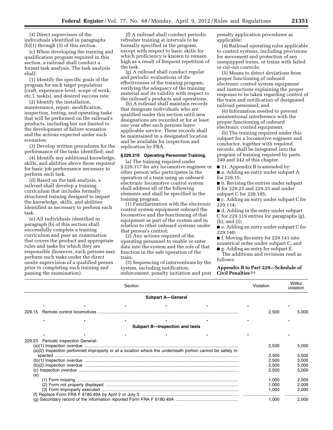(4) Direct supervisors of the individuals identified in paragraphs (b)(1) through (3) of this section.

(c) When developing the training and qualification program required in this section, a railroad shall conduct a formal task analysis. The task analysis shall:

(1) Identify the specific goals of the program for each target population (craft, experience level, scope of work, etc.), task(s), and desired success rate;

(2) Identify the installation, maintenance, repair, modification, inspection, testing, and operating tasks that will be performed on the railroad's products, including but not limited to the development of failure scenarios and the actions expected under such scenarios;

(3) Develop written procedures for the performance of the tasks identified; and

(4) Identify any additional knowledge, skills, and abilities above those required for basic job performance necessary to perform each task.

(d) Based on the task analysis, a railroad shall develop a training curriculum that includes formally structured training designed to impart the knowledge, skills, and abilities identified as necessary to perform each task.

(e) All individuals identified in paragraph (b) of this section shall successfully complete a training curriculum and pass an examination that covers the product and appropriate rules and tasks for which they are responsible (however, such persons may perform such tasks under the direct onsite supervision of a qualified person prior to completing such training and passing the examination).

(f) A railroad shall conduct periodic refresher training at intervals to be formally specified in the program, except with respect to basic skills for which proficiency is known to remain high as a result of frequent repetition of the task.

(g) A railroad shall conduct regular and periodic evaluations of the effectiveness of the training program, verifying the adequacy of the training material and its validity with respect to the railroad's products and operations.

(h) A railroad shall maintain records that designate individuals who are qualified under this section until new designations are recorded or for at least one year after such persons leave applicable service. These records shall be maintained in a designated location and be available for inspection and replication by FRA.

#### **§ 229.319 Operating Personnel Training.**

(a) The training required under § 229.317 for any locomotive engineer or other person who participates in the operation of a train using an onboard electronic locomotive control system shall address all of the following elements and shall be specified in the training program.

(1) Familiarization with the electronic control system equipment onboard the locomotive and the functioning of that equipment as part of the system and in relation to other onboard systems under that person's control;

(2) Any actions required of the operating personnel to enable or enter data into the system and the role of that function in the safe operation of the train;

(3) Sequencing of interventions by the system, including notification, enforcement, penalty initiation and post penalty application procedures as applicable;

(4) Railroad operating rules applicable to control systems, including provisions for movement and protection of any unequipped trains, or trains with failed or cut-out controls;

(5) Means to detect deviations from proper functioning of onboard electronic control system equipment and instructions explaining the proper response to be taken regarding control of the train and notification of designated railroad personnel; and

(6) Information needed to prevent unintentional interference with the proper functioning of onboard electronic control equipment.

(b) The training required under this subpart for a locomotive engineer and conductor, together with required records, shall be integrated into the program of training required by parts 240 and 242 of this chapter.

■ 21. Appendix B is amended by: ■ a. Adding an entry under subpart A for 229.15;

■ b. Revising the entries under subpart B for 229.23 and 229.25 and under subpart C for 229.105;

■ c. Adding an entry under subpart C for 229.114;

■ d. Adding in the entry under subpart C for 229.119 entries for paragraphs (g), (h), and (i);

■ e. Adding an entry under subpart C for 229.140;

■ f. Moving the entry for 229.141 into

numerical order under subpart C; and

■ g. Adding an entry for subpart E. The additions and revisions read as follows:

# **Appendix B to Part 229—Schedule of Civil Penalties (1)**

|        | Section                             |  |  | Violation                      |                                                                                                           | Willful<br>violation |  |       |
|--------|-------------------------------------|--|--|--------------------------------|-----------------------------------------------------------------------------------------------------------|----------------------|--|-------|
|        |                                     |  |  | <b>Subpart A-General</b>       |                                                                                                           |                      |  |       |
|        |                                     |  |  |                                |                                                                                                           |                      |  |       |
| 229.15 |                                     |  |  |                                |                                                                                                           | 2,500                |  | 5,000 |
|        |                                     |  |  |                                |                                                                                                           |                      |  |       |
|        |                                     |  |  | Subpart B-lnspection and tests |                                                                                                           |                      |  |       |
|        |                                     |  |  |                                |                                                                                                           |                      |  |       |
|        | 229.23 Periodic inspection General: |  |  |                                |                                                                                                           |                      |  |       |
|        |                                     |  |  |                                |                                                                                                           | 2,500                |  | 5,000 |
|        |                                     |  |  |                                | (a)(2) Inspection performed improperly or at a location where the underneath portion cannot be safely in- | 2,500                |  | 5,000 |
|        |                                     |  |  |                                |                                                                                                           | 2,500                |  | 5,000 |
|        |                                     |  |  |                                |                                                                                                           | 2,500                |  | 5,000 |
|        |                                     |  |  |                                |                                                                                                           | 2,500                |  | 5,000 |
| (e):   |                                     |  |  |                                |                                                                                                           |                      |  |       |
|        |                                     |  |  |                                |                                                                                                           | 1.000                |  | 2.000 |
|        |                                     |  |  |                                |                                                                                                           | 1.000                |  | 2,000 |
|        |                                     |  |  |                                |                                                                                                           | 1.000                |  | 2,000 |
|        |                                     |  |  |                                |                                                                                                           |                      |  |       |
|        |                                     |  |  |                                |                                                                                                           | 1,000                |  | 2,000 |
|        |                                     |  |  |                                |                                                                                                           |                      |  |       |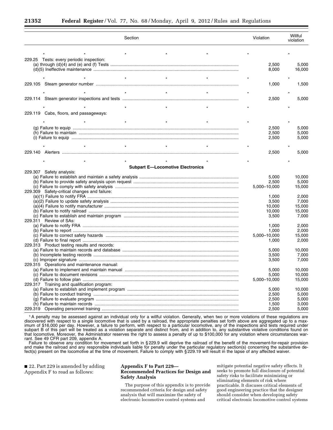|                                              | Section                                 | Violation      | Willful<br>violation |
|----------------------------------------------|-----------------------------------------|----------------|----------------------|
|                                              |                                         |                |                      |
| 229.25 Tests: every periodic inspection:     |                                         | 2,500<br>8,000 | 5,000<br>16,000      |
|                                              | $_{\star}$                              |                |                      |
|                                              |                                         |                |                      |
|                                              |                                         | 1,000          | 1,500                |
|                                              | $^\star$                                |                |                      |
|                                              |                                         | 2,500          | 5,000                |
|                                              |                                         |                |                      |
|                                              |                                         |                |                      |
| 229.119 Cabs, floors, and passageways:       |                                         |                |                      |
|                                              |                                         |                |                      |
|                                              |                                         |                |                      |
|                                              |                                         | 2.500          | 5.000                |
|                                              |                                         | 2,500          | 5,000                |
|                                              |                                         | 2,500          | 5,000                |
|                                              |                                         |                |                      |
|                                              |                                         |                |                      |
|                                              |                                         | 2,500          | 5,000                |
|                                              |                                         |                |                      |
|                                              |                                         |                |                      |
| 229.307 Safety analysis:                     | <b>Subpart E-Locomotive Electronics</b> |                |                      |
|                                              |                                         | 5,000          | 10,000               |
|                                              |                                         | 2,500          | 5,000                |
|                                              |                                         |                | 15,000               |
| 229.309 Safety-critical changes and failure: |                                         | 5,000-10,000   |                      |
|                                              |                                         | 1,000          | 2,000                |
|                                              |                                         | 3,500          | 7,000                |
|                                              |                                         | 10,000         | 15,000               |
|                                              |                                         | 10,000         | 15,000               |
|                                              |                                         | 3,500          | 7,000                |
| 229.311 Review of SAs:                       |                                         |                |                      |
|                                              |                                         | 1,000          | 2,000                |
|                                              |                                         | 1,000          | 2,000                |
|                                              |                                         | 5,000-10,000   | 15,000               |
|                                              |                                         | 1,000          | 2,000                |
| 229.313 Product testing results and records: |                                         |                |                      |
|                                              |                                         | 5,000          | 10,000               |
|                                              |                                         | 3,500          | 7,000                |
|                                              |                                         | 3,500          | 7,000                |
| 229.315 Operations and maintenance manual:   |                                         |                |                      |
|                                              |                                         | 5,000          | 10,000               |
|                                              |                                         | 5,000          | 10.000               |
|                                              |                                         | 5,000-10,000   | 15,000               |
| 229.317 Training and qualification program:  |                                         |                |                      |
|                                              |                                         | 5,000          | 10,000               |
|                                              |                                         | 2,500          | 5,000                |
|                                              |                                         | 2,500          | 5,000                |
|                                              |                                         | 1.500          | 3.000                |
|                                              |                                         | 2.500          | 5,000                |
|                                              |                                         |                |                      |

1A penalty may be assessed against an individual only for a willful violation. Generally, when two or more violations of these regulations are discovered with respect to a single locomotive that is used by a railroad, the appropriate penalties set forth above are aggregated up to a maximum of \$16,000 per day. However, a failure to perform, with respect to a particular locomotive, any of the inspections and tests required under subpart B of this part will be treated as a violation separate and distinct from, and in addition to, any substantive violative conditions found on that locomotive. Moreover, the Administrator reserves the right to assess a penalty of up to \$100,000 for any violation where circumstances warrant. See 49 CFR part 209, appendix A.

Failure to observe any condition for movement set forth in § 229.9 will deprive the railroad of the benefit of the movement-for-repair provision and make the railroad and any responsible individuals liable for penalty under the particular regulatory section(s) concerning the substantive defect(s) present on the locomotive at the time of movement. Failure to comply with § 229.19 will result in the lapse of any affected waiver.

■ 22. Part 229 is amended by adding Appendix F to read as follows:

# **Appendix F to Part 229— Recommended Practices for Design and Safety Analysis**

The purpose of this appendix is to provide recommended criteria for design and safety analysis that will maximize the safety of electronic locomotive control systems and

mitigate potential negative safety effects. It seeks to promote full disclosure of potential safety risks to facilitate minimizing or eliminating elements of risk where practicable. It discuses critical elements of good engineering practice that the designer should consider when developing safety critical electronic locomotive control systems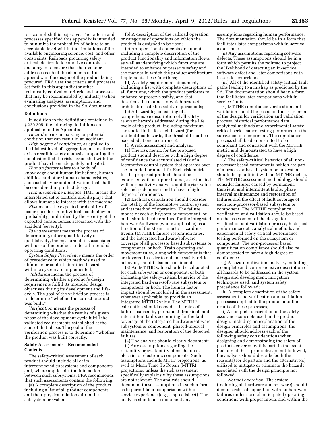to accomplish this objective. The criteria and processes specified this appendix is intended to minimize the probability of failure to an acceptable level within the limitations of the available engineering science, cost, and other constraints. Railroads procuring safety critical electronic locomotive controls are encouraged to ensure that their vendor addresses each of the elements of this appendix in the design of the product being procured. FRA uses the criteria and processes set forth in this appendix (or other technically equivalent criteria and processes that may be recommended by industry) when evaluating analyses, assumptions, and conclusions provided in the SA documents.

# **Definitions**

In addition to the definitions contained in § 229.305, the following definitions are applicable to this Appendix:

*Hazard* means an existing or potential condition that can result in an accident.

*High degree of confidence,* as applied to the highest level of aggregation, means there exists credible safety analysis supporting the conclusion that the risks associated with the product have been adequately mitigated.

*Human factors* refers to a body of knowledge about human limitations, human abilities, and other human characteristics, such as behavior and motivation, that shall be considered in product design.

*Human-machine interface* (HMI) means the interrelated set of controls and displays that allows humans to interact with the machine.

*Risk* means the expected probability of occurrence for an individual accident event (probability) multiplied by the severity of the expected consequences associated with the accident (severity).

*Risk assessment* means the process of determining, either quantitatively or qualitatively, the measure of risk associated with use of the product under all intended operating conditions.

*System Safety Precedence* means the order of precedence in which methods used to eliminate or control identified hazards within a system are implemented.

*Validation* means the process of determining whether a product's design requirements fulfill its intended design objectives during its development and lifecycle. The goal of the validation process is to determine ''whether the correct product was built.''

*Verification* means the process of determining whether the results of a given phase of the development cycle fulfill the validated requirements established at the start of that phase. The goal of the verification process is to determine ''whether the product was built correctly.''

# **Safety Assessments—Recommended Contents**

The safety-critical assessment of each product should include all of its interconnected subsystems and components and, where applicable, the interaction between such subsystems. FRA recommends that such assessments contain the following:

(a) A complete description of the product, including a list of all product components and their physical relationship in the subsystem or system;

(b) A description of the railroad operation or categories of operations on which the product is designed to be used;

(c) An operational concepts document, including a complete description of the product functionality and information flows; as well as identifying which functions are intended to enhance or preserve safety and the manner in which the product architecture implements these functions;

(d) A safety requirements document, including a list with complete descriptions of all functions, which the product performs to enhance or preserve safety, and that describes the manner in which product architecture satisfies safety requirements;

(e) A hazard log consisting of a comprehensive description of all safety relevant hazards addressed during the life cycle of the product, including maximum threshold limits for each hazard (for unidentified hazards, the threshold shall be exceeded at one occurrence);

(f) A risk assessment and analysis.

(1) The risk metric for the proposed product should describe with a high degree of confidence the accumulated risk of a locomotive control system that operates over the intended product life. Each risk metric for the proposed product should be expressed with an upper bound, as estimated with a sensitivity analysis, and the risk value selected is demonstrated to have a high degree of confidence.

(2) Each risk calculation should consider the totality of the locomotive control system and its method of operation. The failure modes of each subsystem or component, or both, should be determined for the integrated hardware/software (where applicable) as a function of the Mean Time to Hazardous Events (MTTHE), failure restoration rates, and the integrated hardware/software coverage of all processor based subsystems or components, or both. Train operating and movement rules, along with components that are layered in order to enhance safety-critical behavior, should also be considered.

(3) An MTTHE value should be calculated for each subsystem or component, or both, indicating the safety-critical behavior of the integrated hardware/software subsystem or component, or both. The human factor impact should be included in the assessment, whenever applicable, to provide an integrated MTTHE value. The MTTHE calculation should consider the rates of failures caused by permanent, transient, and intermittent faults accounting for the fault coverage of the integrated hardware/software subsystem or component, phased-interval maintenance, and restoration of the detected failures.

(4) The analysis should clearly document: (i) Any assumptions regarding the reliability or availability of mechanical, electric, or electronic components. Such assumptions include MTTF projections, as well as Mean Time To Repair (MTTR) projections, unless the risk assessment specifically explains why these assumptions are not relevant. The analysis should document these assumptions in such a form as to permit later comparisons with inservice experience (e.g., a spreadsheet). The analysis should also document any

assumptions regarding human performance. The documentation should be in a form that facilitates later comparisons with in-service experience.

(ii) Any assumptions regarding software defects. These assumptions should be in a form which permits the railroad to project the likelihood of detecting an in-service software defect and later comparisons with in-service experience.

(iii) All of the identified safety-critical fault paths leading to a mishap as predicted by the SA. The documentation should be in a form that facilitates later comparisons with inservice faults.

(4) MTTHE compliance verification and validation should be based on the assessment of the design for verification and validation process, historical performance data, analytical methods and experimental safety critical performance testing performed on the subsystem or component. The compliance process shall be demonstrated to be compliant and consistent with the MTTHE metric and demonstrated to have a high degree of confidence.

(5) The safety-critical behavior of all nonprocessor based components, which are part of a processor-based system or subsystem, should be quantified with an MTTHE metric. The MTTHE assessment methodology should consider failures caused by permanent, transient, and intermittent faults, phase interval maintenance and restoration of failures and the effect of fault coverage of each non-processor-based subsystem or component. The MTTHE compliance verification and validation should be based on the assessment of the design for verification and validation process, historical performance data, analytical methods and experimental safety critical performance testing performed on the subsystem or component. The non-processor based quantification compliance should also be demonstrated to have a high degree of confidence.

(g) A hazard mitigation analysis, including a complete and comprehensive description of all hazards to be addressed in the system design and development, mitigation techniques used, and system safety precedence followed;

(h) A complete description of the safety assessment and verification and validation processes applied to the product and the results of these processes;

(i) A complete description of the safety assurance concepts used in the product design, including an explanation of the design principles and assumptions; the designer should address each of the following safety considerations when designing and demonstrating the safety of products covered by this part. In the event that any of these principles are not followed, the analysis should describe both the reason(s) for departure and the alternative(s) utilized to mitigate or eliminate the hazards associated with the design principle not followed.

(1) *Normal operation.* The system (including all hardware and software) should demonstrate safe operation with no hardware failures under normal anticipated operating conditions with proper inputs and within the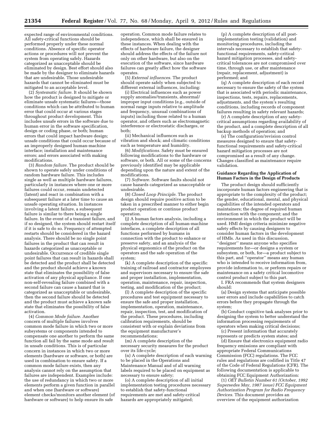expected range of environmental conditions. All safety-critical functions should be performed properly under these normal conditions. Absence of specific operator actions or procedures will not prevent the system from operating safely. Hazards categorized as unacceptable should be eliminated by design. Best effort should also be made by the designer to eliminate hazards that are undesirable. Those undesirable hazards that cannot be eliminated must be mitigated to an acceptable level.

(2) *Systematic failure.* It should be shown how the product is designed to mitigate or eliminate unsafe systematic failures—those conditions which can be attributed to human error that could occur at various stages throughout product development. This includes unsafe errors in the software due to human error in the software specification, design or coding phase, or both; human errors that could impact hardware design; unsafe conditions that could occur because of an improperly designed human-machine interface; installation and maintenance errors; and errors associated with making modifications.

(3) *Random failure.* The product should be shown to operate safely under conditions of random hardware failure. This includes single as well as multiple hardware failures, particularly in instances where one or more failures could occur, remain undetected (latent) and react in combination with a subsequent failure at a later time to cause an unsafe operating situation. In instances involving a latent failure, a subsequent failure is similar to there being a single failure. In the event of a transient failure, and if so designed, the system should restart itself if it is safe to do so. Frequency of attempted restarts should be considered in the hazard analysis. There should be no single point failures in the product that can result in hazards categorized as unacceptable or undesirable. Occurrence of credible single point failures that can result in hazards shall be detected and the product shall be detected and the product should achieve a known state that eliminates the possibility of false activation of any physical appliance. If one non-self-revealing failure combined with a second failure can cause a hazard that is categorized as unacceptable or undesirable, then the second failure should be detected and the product must achieve a known safe state that eliminates the possibility of false activation.

(4) *Common Mode failure.* Another concern of multiple failures involves common mode failure in which two or more subsystems or components intended to compensate one another to perform the same function all fail by the same mode and result in unsafe conditions. This is of particular concern in instances in which two or more elements (hardware or software, or both) are used in combination to ensure safety. If a common mode failure exists, then any analysis cannot rely on the assumption that failures are independent. Examples include: the use of redundancy in which two or more elements perform a given function in parallel and when one (hardware or software) element checks/monitors another element (of hardware or software) to help ensure its safe

operation. Common mode failure relates to independence, which shall be ensured in these instances. When dealing with the effects of hardware failure, the designer should address the effects of the failure not only on other hardware, but also on the execution of the software, since hardware failures can greatly affect how the software operates.

(5) *External influences.* The product should operate safely when subjected to different external influences, including:

(i) Electrical influences such as power supply anomalies/transients, abnormal/ improper input conditions (e.g., outside of normal range inputs relative to amplitude and frequency, unusual combinations of inputs) including those related to a human operator, and others such as electromagnetic interference or electrostatic discharges, or both;

(ii) Mechanical influences such as vibration and shock; and climatic conditions such as temperature and humidity.

(6) *Modifications.* Safety must be ensured following modifications to the hardware or software, or both. All or some of the concerns previously identified may be applicable depending upon the nature and extent of the modifications.

(7) *Software.* Software faults should not cause hazards categorized as unacceptable or undesirable.

(8) *Closed Loop Principle.* The product design should require positive action to be taken in a prescribed manner to either begin product operation or continue product operation.

(j) A human factors analysis, including a complete description of all human-machine interfaces, a complete description of all functions performed by humans in connection with the product to enhance or preserve safety, and an analysis of the physical ergonomics of the product on the operators and the safe operation of the system;

(k) A complete description of the specific training of railroad and contractor employees and supervisors necessary to ensure the safe and proper installation, implementation, operation, maintenance, repair, inspection, testing, and modification of the product;

(l) A complete description of the specific procedures and test equipment necessary to ensure the safe and proper installation, implementation, operation, maintenance, repair, inspection, test, and modification of the product. These procedures, including calibration requirements, should be consistent with or explain deviations from the equipment manufacturer's recommendations;

(m) A complete description of the necessary security measures for the product over its life-cycle;

(n) A complete description of each warning to be placed in the Operations and Maintenance Manual and of all warning labels required to be placed on equipment as necessary to ensure safety;

(o) A complete description of all initial implementation testing procedures necessary to establish that safety-functional requirements are met and safety-critical hazards are appropriately mitigated;

(p) A complete description of all postimplementation testing (validation) and monitoring procedures, including the intervals necessary to establish that safetyfunctional requirements, safety-critical hazard mitigation processes, and safetycritical tolerances are not compromised over time, through use, or after maintenance (repair, replacement, adjustment) is performed; and

(q) A complete description of each record necessary to ensure the safety of the system that is associated with periodic maintenance, inspections, tests, repairs, replacements, adjustments, and the system's resulting conditions, including records of component failures resulting in safety relevant hazards;

(r) A complete description of any safetycritical assumptions regarding availability of the product, and a complete description of all backup methods of operation; and

(s) The configuration/revision control measures designed to ensure that safetyfunctional requirements and safety-critical hazard mitigation processes are not compromised as a result of any change. Changes classified as maintenance require validation.

# **Guidance Regarding the Application of Human Factors in the Design of Products**

The product design should sufficiently incorporate human factors engineering that is appropriate to the complexity of the product; the gender, educational, mental, and physical capabilities of the intended operators and maintainers; the degree of required human interaction with the component; and the environment in which the product will be used. HMI design criteria minimize negative safety effects by causing designers to consider human factors in the development of HMIs. As used in this discussion, ''designer'' means anyone who specifies requirements for—or designs a system or subsystem, or both, for—a product subject to this part, and ''operator'' means any human who is intended to receive information from, provide information to, or perform repairs or maintenance on a safety critical locomotive control product subject to this part.

I. FRA recommends that system designers should:

(a) Design systems that anticipate possible user errors and include capabilities to catch errors before they propagate through the system;

(b) Conduct cognitive task analyses prior to designing the system to better understand the information processing requirements of operators when making critical decisions;

(c) Present information that accurately represents or predicts system states; and

(d) Ensure that electronics equipment radio frequency emissions are compliant with appropriate Federal Communications Commission (FCC) regulations. The FCC rules and regulations are codified in Title 47 of the Code of Federal Regulations (CFR). The following documentation is applicable to obtaining FCC Equipment Authorization:

(1) *OET Bulletin Number 61 (October, 1992 Supersedes May, 1987 issue) FCC Equipment Authorization Program for Radio Frequency Devices.* This document provides an overview of the equipment authorization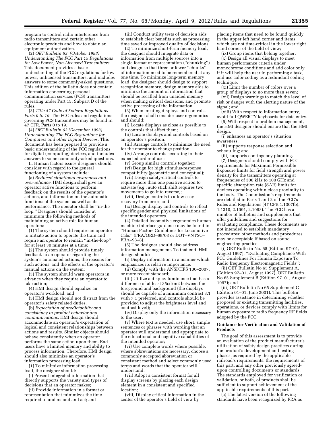program to control radio interference from radio transmitters and certain other electronic products and how to obtain an equipment authorization.

(2) *OET Bulletin 63: (October 1993) Understanding The FCC Part 15 Regulations for Low Power, Non-Licensed Transmitters.*  This document provides a basic understanding of the FCC regulations for low power, unlicensed transmitters, and includes answers to some commonly-asked questions. This edition of the bulletin does not contain information concerning personal communication services (PCS) transmitters operating under Part 15, Subpart D of the rules.

(3) *Title 47 Code of Federal Regulations Parts 0 to 19.* The FCC rules and regulations governing PCS transmitters may be found in 47 CFR, Parts 0 to 19.

(4) *OET Bulletin 62 (December 1993) Understanding The FCC Regulations for Computers and other Digital Devices.* This document has been prepared to provide a basic understanding of the FCC regulations for digital (computing) devices, and includes answers to some commonly-asked questions.

II. Human factors issues designers should consider with regard to the general functioning of a system include:

(a) *Reduced situational awareness and over-reliance.* HMI design shall give an operator active functions to perform, feedback on the results of the operator's actions, and information on the automatic functions of the system as well as its performance. The operator shall be ''in-the loop.'' Designers should consider at minimum the following methods of maintaining an active role for human operators:

(1) The system should require an operator to initiate action to operate the train and require an operator to remain ''in-the-loop'' for at least 30 minutes at a time;

(2) The system should provide timely feedback to an operator regarding the system's automated actions, the reasons for such actions, and the effects of the operator's manual actions on the system;

(3) The system should warn operators in advance when they require an operator to take action;

(4) HMI design should equalize an operator's workload; and

(5) HMI design should not distract from the operator's safety related duties.

(b) *Expectation of predictability and consistency in product behavior and communications.* HMI design should accommodate an operator's expectation of logical and consistent relationships between actions and results. Similar objects should behave consistently when an operator performs the same action upon them. End users have a limited memory and ability to process information. Therefore, HMI design should also minimize an operator's information processing load.

(1) To minimize information processing load, the designer should:

(i) Present integrated information that directly supports the variety and types of decisions that an operator makes;

(ii) Provide information in a format or representation that minimizes the time required to understand and act; and

(iii) Conduct utility tests of decision aids to establish clear benefits such as processing time saved or improved quality of decisions. (2) To minimize short-term memory load,

the designer should integrate data or information from multiple sources into a single format or representation (''chunking'') and design so that three or fewer ''chunks'' of information need to be remembered at any one time. To minimize long-term memory load, the designer should design to support recognition memory, design memory aids to minimize the amount of information that should be recalled from unaided memory when making critical decisions, and promote active processing of the information.

(3) When creating displays and controls, the designer shall consider user ergonomics and should:

(i) Locate displays as close as possible to the controls that affect them;

(ii) Locate displays and controls based on an operator's position;

(iii) Arrange controls to minimize the need for the operator to change position;

(iv) Arrange controls according to their

expected order of use; (v) Group similar controls together;

(vi) Design for high stimulus-response compatibility (geometric and conceptual);

(vii) Design safety-critical controls to require more than one positive action to activate (e.g., auto stick shift requires two movements to go into reverse);

(viii) Design controls to allow easy recovery from error; and

(ix) Design display and controls to reflect specific gender and physical limitations of the intended operators.

(4) Detailed locomotive ergonomics human machine interface guidance may be found in ''Human Factors Guidelines for Locomotive Cabs'' (FRA/ORD–98/03 or DOT–VNTSC– FRA–98–8).

(5) The designer should also address information management. To that end, HMI design should:

(i) Display information in a manner which emphasizes its relative importance;

(ii) Comply with the ANSI/HFS 100–2007, or more recent standard;

(iii) Utilize a display luminance that has a difference of at least 35cd/m2 between the foreground and background (the displays should be capable of a minimum contrast 3:1 with 7:1 preferred, and controls should be provided to adjust the brightness level and contrast level);

(iv) Display only the information necessary to the user;

(v) Where text is needed, use short, simple sentences or phrases with wording that an operator will understand and appropriate to the educational and cognitive capabilities of the intended operator;

(vi) Use complete words where possible; where abbreviations are necessary, choose a commonly accepted abbreviation or consistent method and select commonly used terms and words that the operator will understand;

(vii) Adopt a consistent format for all display screens by placing each design element in a consistent and specified location;

(viii) Display critical information in the center of the operator's field of view by

placing items that need to be found quickly in the upper left hand corner and items which are not time-critical in the lower right hand corner of the field of view;

(ix) Group items that belong together;

(x) Design all visual displays to meet human performance criteria under monochrome conditions and add color only if it will help the user in performing a task, and use color coding as a redundant coding technique:

(xi) Limit the number of colors over a group of displays to no more than seven;

(xii) Design warnings to match the level of risk or danger with the alerting nature of the signal; and

(xiii) With respect to information entry, avoid full QWERTY keyboards for data entry.

(6) With respect to problem management, the HMI designer should ensure that the HMI

design: (i) enhances an operator's situation awareness;

(ii) supports response selection and scheduling; and

(iii) supports contingency planning. (7) Designers should comply with FCC requirements for Maximum Permissible Exposure limits for field strength and power density for the transmitters operating at frequencies of 300 kHz to 100 GHz and specific absorption rate (SAR) limits for devices operating within close proximity to the body. The Commission's requirements are detailed in Parts 1 and 2 of the FCC's Rules and Regulations (47 CFR 1.1307(b), 1.1310, 2.1091, 2.1093). The FCC has a number of bulletins and supplements that offer guidelines and suggestions for evaluating compliance. These documents are not intended to establish mandatory procedures; other methods and procedures may be acceptable if based on sound engineering practice.

(i) OET Bulletin No. 65 (Edition 97–01, August 1997), ''Evaluating Compliance With FCC Guidelines For Human Exposure To Radio frequency Electromagnetic Fields'';

(ii) OET Bulletin No 65 Supplement A, (Edition 97–01, August 1997), OET Bulletin No 65 Supplement B (Edition 97–01, August 1997); and

(iii) OET Bulletin No 65 Supplement C (Edition 01–01, June 2001). This bulletin provides assistance in determining whether proposed or existing transmitting facilities, operations, or devices comply with limits for human exposure to radio frequency RF fields adopted by the FCC.

#### **Guidance for Verification and Validation of Products**

The goal of this assessment is to provide an evaluation of the product manufacturer's utilization of safety design practices during the product's development and testing phases, as required by the applicable railroad's requirements, the requirements of this part, and any other previously agreedupon controlling documents or standards. The standards employed for verification or validation, or both, of products shall be sufficient to support achievement of the applicable requirements of this part.

(a) The latest version of the following standards have been recognized by FRA as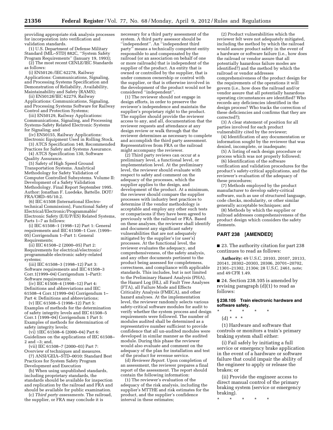providing appropriate risk analysis processes for incorporation into verification and validation standards.

(1) U.S. Department of Defense Military Standard (MIL–STD) 882C, ''System Safety Program Requirements'' (January 19, 1993); (2) The most recent CENLE/IEC Standards

as follows:

(i) EN50126:/IEC 62278, Railway Applications: Communications, Signaling, and Processing Systems Specification and Demonstration of Reliability, Availability, Maintainability and Safety (RAMS);

(ii) EN50128/IEC 62279, Railway Applications: Communications, Signaling, and Processing Systems Software for Railway Control and Protection Systems;

(iii) EN50129, Railway Applications: Communications, Signaling, and Processing Systems-Safety Related Electronic Systems for Signaling; and

(iv) EN50155, Railway Applications: Electronic Equipment Used in Rolling Stock.

(3) ATCS Specification 140, Recommended Practices for Safety and Systems Assurance. (4) ATCS Specification 130, Software

Quality Assurance.

(5) Safety of High Speed Ground Transportation Systems. Analytical Methodology for Safety Validation of Computer Controlled Subsystems. Volume II: Development of a Safety Validation Methodology. Final Report September 1995. Author: Jonathan F. Luedeke, Battelle. DOT/ FRA/ORD–95/10.2.

(6) IEC 61508 (International Electrotechnical Commission), Functional Safety of Electrical/Electronic/Programmable/ Electronic Safety (E/E/P/ES) Related Systems, Parts 1–7 as follows:

(i) IEC 61508–1 (1998–12) Part 1: General requirements and IEC 61508–1 Corr. (1999– 05) Corrigendum 1–Part 1: General Requirements;

(ii) IEC 61508–2 (2000–05) Part 2: Requirements for electrical/electronic/ programmable electronic safety-related systems;

(iii) IEC 61508–3 (1998–12) Part 3: Software requirements and IEC 61508–3 Corr.1(1999–04) Corrigendum 1–Part3: Software requirements;

(iv) IEC 61508–4 (1998–12) Part 4: Definitions and abbreviations and IEC 61508–4 Corr.1(1999–04) Corrigendum 1– Part 4: Definitions and abbreviations;

(v) IEC 61508–5 (1998–12) Part 5: Examples of methods for the determination of safety integrity levels and IEC 61508–5 Corr.1 (1999–04) Corrigendum 1 Part 5: Examples of methods for determination of safety integrity levels;

(vi) 1IEC 61508–6 (2000–04) Part 6: Guidelines on the applications of IEC 61508– 2 and –3; and,

(vii) IEC 61508–7 (2000–03) Part 7: Overview of techniques and measures.

(7) ANSI/GEIA–STD–0010: Standard Best Practices for System Safety Program Development and Execution

(b) When using unpublished standards, including proprietary standards, the standards should be available for inspection and replication by the railroad and FRA and should be available for public examination.

(c) *Third party assessments.* The railroad, the supplier, or FRA may conclude it is

necessary for a third party assessment of the system. A third party assessor should be ''independent''. An ''independent third party'' means a technically competent entity responsible to and compensated by the railroad (or an association on behalf of one or more railroads) that is independent of the supplier of the product. An entity that is owned or controlled by the supplier, that is under common ownership or control with the supplier, or that is otherwise involved in the development of the product would not be considered ''independent''.

(1) The reviewer should not engage in design efforts, in order to preserve the reviewer's independence and maintain the supplier's proprietary right to the product. The supplier should provide the reviewer access to any, and all, documentation that the reviewer requests and attendance at any design review or walk through that the reviewer determines as necessary to complete and accomplish the third party assessment. Representatives from FRA or the railroad might accompany the reviewer.

(2) Third party reviews can occur at a preliminary level, a functional level, or implementation level. At the preliminary level, the reviewer should evaluate with respect to safety and comment on the adequacy of the processes, which the supplier applies to the design, and development of the product. At a minimum, the reviewer should compare the supplier processes with industry best practices to determine if the vendor methodology is acceptable and employ any other such tests or comparisons if they have been agreed to previously with the railroad or FRA. Based on these analyses, the reviewer shall identify and document any significant safety vulnerabilities that are not adequately mitigated by the supplier's (or user's) processes. At the functional level, the reviewer evaluates the adequacy, and comprehensiveness, of the safety analysis, and any other documents pertinent to the product being assessed for completeness, correctness, and compliance with applicable standards. This includes, but is not limited to the Preliminary Hazard Analysis (PHA), the Hazard Log (HL), all Fault Tree Analyses (FTA), all Failure Mode and Effects Criticality Analysis (FMECA), and other hazard analyses. At the implementation level, the reviewer randomly selects various safety-critical software modules for audit to verify whether the system process and design requirements were followed. The number of modules audited shall be determined as a representative number sufficient to provide confidence that all un-audited modules were developed in similar manner as the audited module. During this phase the reviewer would also evaluate and comment on the adequacy of the plan for installation and test of the product for revenue service.

(d) *Reviewer Report.* Upon completion of an assessment, the reviewer prepares a final report of the assessment. The report should contain the following information:

(1) The reviewer's evaluation of the adequacy of the risk analysis, including the supplier's MTTHE and risk estimates for the product, and the supplier's confidence interval in these estimates;

(2) Product vulnerabilities which the reviewer felt were not adequately mitigated, including the method by which the railroad would assure product safety in the event of a hardware or software failure (i.e., how does the railroad or vendor assure that all potentially hazardous failure modes are identified?) and the method by which the railroad or vendor addresses comprehensiveness of the product design for the requirements of the operations it will govern (i.e., how does the railroad and/or vendor assure that all potentially hazardous operating circumstances are identified? Who records any deficiencies identified in the design process? Who tracks the correction of these deficiencies and confirms that they are corrected?);

(3) A clear statement of position for all parties involved for each product vulnerability cited by the reviewer;

(4) Identification of any documentation or information sought by the reviewer that was denied, incomplete, or inadequate;

(5) A listing of each design procedure or process which was not properly followed;

(6) Identification of the software verification and validation procedures for the product's safety-critical applications, and the reviewer's evaluation of the adequacy of these procedures;

(7) Methods employed by the product manufacturer to develop safety-critical software, such as use of structured language, code checks, modularity, or other similar generally acceptable techniques; and

(8) Methods by which the supplier or railroad addresses comprehensiveness of the product design which considers the safety elements.

# **PART 238 [AMENDED]**

■ 23. The authority citation for part 238 continues to read as follows:

**Authority:** 49 U.S.C. 20103, 20107, 20133, 20141, 20302–20303, 20306, 20701–20702, 21301–21302, 21304; 28 U.S.C. 2461, note; and 49 CFR 1.49.

■ 24. Section 238.105 is amended by revising paragraph (d)(1) to read as follows:

# **§ 238.105 Train electronic hardware and software safety.**

\* \* \* \* \*

(d) \* \* \*

(1) Hardware and software that controls or monitors a train's primary braking system shall either:

(i) Fail safely by initiating a full service or emergency brake application in the event of a hardware or software failure that could impair the ability of the engineer to apply or release the brakes; or

(ii) Provide the engineer access to direct manual control of the primary braking system (service or emergency braking).

\* \* \* \* \*